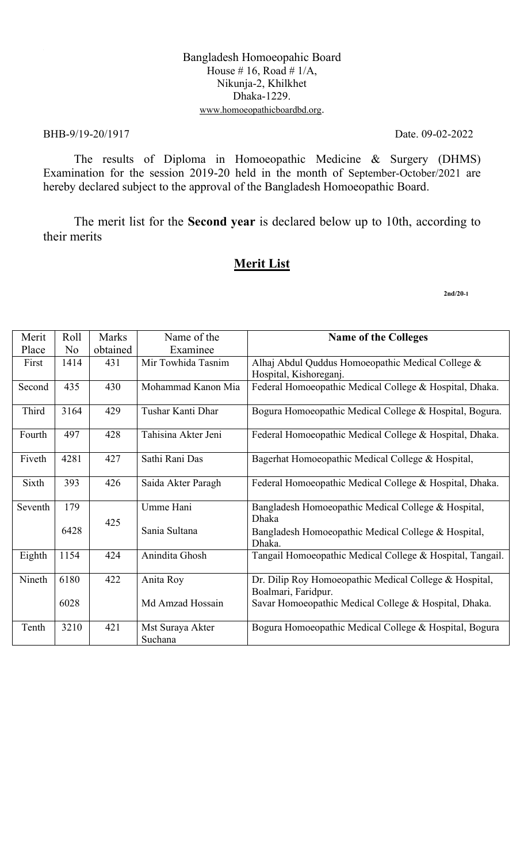#### Bangladesh Homoeopahic Board House # 16, Road #  $1/A$ , Nikunja-2, Khilkhet Dhaka-1229. www.homoeopathicboardbd.org.

#### BHB-9/19-20/1917 Date. 09-02-2022

The results of Diploma in Homoeopathic Medicine & Surgery (DHMS) Examination for the session 2019-20 held in the month of September-October/2021 are hereby declared subject to the approval of the Bangladesh Homoeopathic Board.

The merit list for the **Second year** is declared below up to 10th, according to their merits

#### **Merit List**

| Merit   | Roll           | <b>Marks</b> | Name of the                 | <b>Name of the Colleges</b>                                                   |
|---------|----------------|--------------|-----------------------------|-------------------------------------------------------------------------------|
| Place   | N <sub>o</sub> | obtained     | Examinee                    |                                                                               |
| First   | 1414           | 431          | Mir Towhida Tasnim          | Alhaj Abdul Quddus Homoeopathic Medical College &<br>Hospital, Kishoreganj.   |
| Second  | 435            | 430          | Mohammad Kanon Mia          | Federal Homoeopathic Medical College & Hospital, Dhaka.                       |
| Third   | 3164           | 429          | Tushar Kanti Dhar           | Bogura Homoeopathic Medical College & Hospital, Bogura.                       |
| Fourth  | 497            | 428          | Tahisina Akter Jeni         | Federal Homoeopathic Medical College & Hospital, Dhaka.                       |
| Fiveth  | 4281           | 427          | Sathi Rani Das              | Bagerhat Homoeopathic Medical College & Hospital,                             |
| Sixth   | 393            | 426          | Saida Akter Paragh          | Federal Homoeopathic Medical College & Hospital, Dhaka.                       |
| Seventh | 179            | 425          | Umme Hani                   | Bangladesh Homoeopathic Medical College & Hospital,<br>Dhaka                  |
|         | 6428           |              | Sania Sultana               | Bangladesh Homoeopathic Medical College & Hospital,<br>Dhaka.                 |
| Eighth  | 1154           | 424          | Anindita Ghosh              | Tangail Homoeopathic Medical College & Hospital, Tangail.                     |
| Nineth  | 6180           | 422          | Anita Roy                   | Dr. Dilip Roy Homoeopathic Medical College & Hospital,<br>Boalmari, Faridpur. |
|         | 6028           |              | Md Amzad Hossain            | Savar Homoeopathic Medical College & Hospital, Dhaka.                         |
| Tenth   | 3210           | 421          | Mst Suraya Akter<br>Suchana | Bogura Homoeopathic Medical College & Hospital, Bogura                        |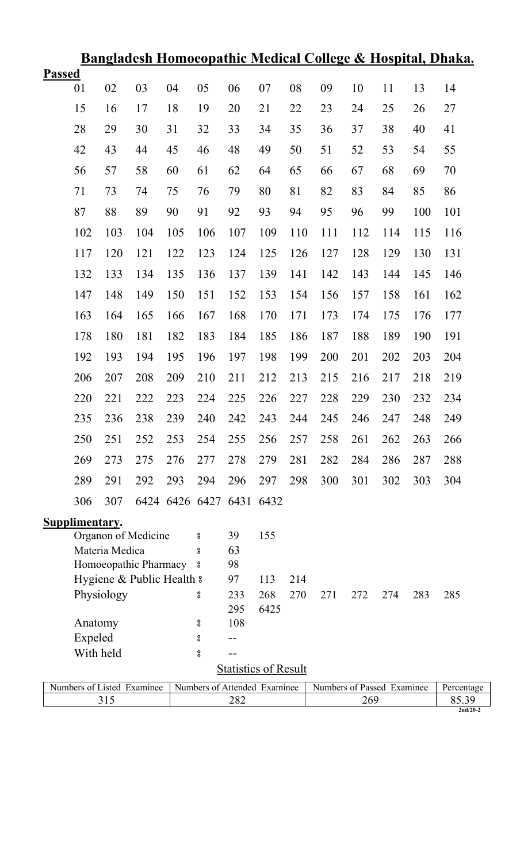|               |                |                |                            |                          |                              |     |                             |     |                            |     |     |     | <u>Bangladesh Homoeopathic Medical College &amp; Hospital, Dhaka.</u> |
|---------------|----------------|----------------|----------------------------|--------------------------|------------------------------|-----|-----------------------------|-----|----------------------------|-----|-----|-----|-----------------------------------------------------------------------|
| <b>Passed</b> |                |                |                            |                          |                              |     |                             |     |                            |     |     |     |                                                                       |
|               | 01             | 02             | 03                         | 04                       | 05                           | 06  | 07                          | 08  | 09                         | 10  | 11  | 13  | 14                                                                    |
|               | 15             | 16             | 17                         | 18                       | 19                           | 20  | 21                          | 22  | 23                         | 24  | 25  | 26  | 27                                                                    |
|               | 28             | 29             | 30                         | 31                       | 32                           | 33  | 34                          | 35  | 36                         | 37  | 38  | 40  | 41                                                                    |
|               | 42             | 43             | 44                         | 45                       | 46                           | 48  | 49                          | 50  | 51                         | 52  | 53  | 54  | 55                                                                    |
|               | 56             | 57             | 58                         | 60                       | 61                           | 62  | 64                          | 65  | 66                         | 67  | 68  | 69  | 70                                                                    |
|               | 71             | 73             | 74                         | 75                       | 76                           | 79  | 80                          | 81  | 82                         | 83  | 84  | 85  | 86                                                                    |
|               | 87             | 88             | 89                         | 90                       | 91                           | 92  | 93                          | 94  | 95                         | 96  | 99  | 100 | 101                                                                   |
|               | 102            | 103            | 104                        | 105                      | 106                          | 107 | 109                         | 110 | 111                        | 112 | 114 | 115 | 116                                                                   |
|               | 117            | 120            | 121                        | 122                      | 123                          | 124 | 125                         | 126 | 127                        | 128 | 129 | 130 | 131                                                                   |
|               | 132            | 133            | 134                        | 135                      | 136                          | 137 | 139                         | 141 | 142                        | 143 | 144 | 145 | 146                                                                   |
|               | 147            | 148            | 149                        | 150                      | 151                          | 152 | 153                         | 154 | 156                        | 157 | 158 | 161 | 162                                                                   |
|               | 163            | 164            | 165                        | 166                      | 167                          | 168 | 170                         | 171 | 173                        | 174 | 175 | 176 | 177                                                                   |
|               | 178            | 180            | 181                        | 182                      | 183                          | 184 | 185                         | 186 | 187                        | 188 | 189 | 190 | 191                                                                   |
|               | 192            |                |                            |                          |                              |     |                             |     |                            |     |     |     |                                                                       |
|               |                | 193            | 194                        | 195                      | 196                          | 197 | 198                         | 199 | 200                        | 201 | 202 | 203 | 204                                                                   |
|               | 206            | 207            | 208                        | 209                      | 210                          | 211 | 212                         | 213 | 215                        | 216 | 217 | 218 | 219                                                                   |
|               | 220            | 221            | 222                        | 223                      | 224                          | 225 | 226                         | 227 | 228                        | 229 | 230 | 232 | 234                                                                   |
|               | 235            | 236            | 238                        | 239                      | 240                          | 242 | 243                         | 244 | 245                        | 246 | 247 | 248 | 249                                                                   |
|               | 250            | 251            | 252                        | 253                      | 254                          | 255 | 256                         | 257 | 258                        | 261 | 262 | 263 | 266                                                                   |
|               | 269            | 273            | 275                        | 276                      | 277                          | 278 | 279                         | 281 | 282                        | 284 | 286 | 287 | 288                                                                   |
|               | 289            | 291            | 292                        | 293                      | 294                          | 296 | 297                         | 298 | 300                        | 301 | 302 | 303 | 304                                                                   |
|               | 306            | 307            |                            | 6424 6426 6427 6431 6432 |                              |     |                             |     |                            |     |     |     |                                                                       |
|               | Supplimentary. |                |                            |                          |                              |     |                             |     |                            |     |     |     |                                                                       |
|               |                |                | Organon of Medicine        |                          | 8                            | 39  | 155                         |     |                            |     |     |     |                                                                       |
|               |                | Materia Medica |                            |                          | 8                            | 63  |                             |     |                            |     |     |     |                                                                       |
|               |                |                | Homoeopathic Pharmacy      |                          | °                            | 98  |                             |     |                            |     |     |     |                                                                       |
|               |                |                | Hygiene & Public Health &  |                          |                              | 97  | 113                         | 214 |                            |     |     |     |                                                                       |
|               |                | Physiology     |                            |                          | 8                            | 233 | 268                         | 270 | 271                        | 272 | 274 | 283 | 285                                                                   |
|               |                |                |                            |                          |                              | 295 | 6425                        |     |                            |     |     |     |                                                                       |
|               | Anatomy        |                |                            |                          | 8                            | 108 |                             |     |                            |     |     |     |                                                                       |
|               | Expeled        |                |                            |                          | °                            |     |                             |     |                            |     |     |     |                                                                       |
|               | With held      |                |                            |                          | $^{\rm o}_{\rm o}$           | --  |                             |     |                            |     |     |     |                                                                       |
|               |                |                |                            |                          |                              |     | <b>Statistics of Result</b> |     |                            |     |     |     |                                                                       |
|               |                |                | Numbers of Listed Examinee |                          | Numbers of Attended Examinee |     |                             |     | Numbers of Passed Examinee |     |     |     | Percentage                                                            |
|               |                | 315            |                            |                          |                              | 282 |                             |     |                            | 269 |     |     | 85.39                                                                 |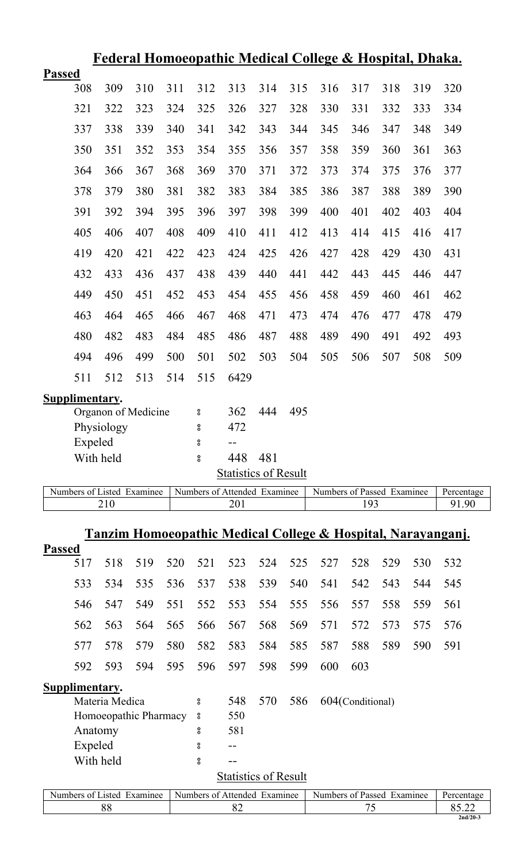| <u>Federal Homoeopathic Medical College &amp; Hospital, Dhaka.</u> |                |                |                            |            |                    |                              |            |            |                            |                  |     |     |                                                                         |
|--------------------------------------------------------------------|----------------|----------------|----------------------------|------------|--------------------|------------------------------|------------|------------|----------------------------|------------------|-----|-----|-------------------------------------------------------------------------|
| <b>Passed</b>                                                      |                |                |                            |            |                    |                              |            |            |                            |                  |     |     |                                                                         |
|                                                                    | 308            | 309            | 310                        | 311        | 312                | 313                          | 314        | 315        | 316                        | 317              | 318 | 319 | 320                                                                     |
|                                                                    | 321            | 322            | 323                        | 324        | 325                | 326                          | 327        | 328        | 330                        | 331              | 332 | 333 | 334                                                                     |
|                                                                    | 337            | 338            | 339                        | 340        | 341                | 342                          | 343        | 344        | 345                        | 346              | 347 | 348 | 349                                                                     |
|                                                                    | 350            | 351            | 352                        | 353        | 354                | 355                          | 356        | 357        | 358                        | 359              | 360 | 361 | 363                                                                     |
|                                                                    | 364            | 366            | 367                        | 368        | 369                | 370                          | 371        | 372        | 373                        | 374              | 375 | 376 | 377                                                                     |
|                                                                    | 378            | 379            | 380                        | 381        | 382                | 383                          | 384        | 385        | 386                        | 387              | 388 | 389 | 390                                                                     |
|                                                                    | 391            | 392            | 394                        | 395        | 396                | 397                          | 398        | 399        | 400                        | 401              | 402 | 403 | 404                                                                     |
|                                                                    | 405            | 406            | 407                        | 408        | 409                | 410                          | 411        | 412        | 413                        | 414              | 415 | 416 | 417                                                                     |
|                                                                    | 419            | 420            | 421                        | 422        | 423                | 424                          | 425        | 426        | 427                        | 428              | 429 | 430 | 431                                                                     |
|                                                                    | 432            | 433            | 436                        | 437        | 438                | 439                          | 440        | 441        | 442                        | 443              | 445 | 446 | 447                                                                     |
|                                                                    | 449            | 450            | 451                        | 452        | 453                | 454                          | 455        | 456        | 458                        | 459              | 460 | 461 | 462                                                                     |
|                                                                    | 463            | 464            | 465                        | 466        | 467                | 468                          | 471        | 473        | 474                        | 476              | 477 | 478 | 479                                                                     |
|                                                                    | 480            | 482            | 483                        | 484        | 485                | 486                          | 487        | 488        | 489                        | 490              | 491 | 492 | 493                                                                     |
|                                                                    | 494            | 496            | 499                        | 500        | 501                | 502                          | 503        | 504        | 505                        | 506              | 507 | 508 | 509                                                                     |
|                                                                    | 511            | 512            | 513                        | 514        | 515                | 6429                         |            |            |                            |                  |     |     |                                                                         |
|                                                                    | Supplimentary. |                |                            |            |                    |                              |            |            |                            |                  |     |     |                                                                         |
|                                                                    |                |                | Organon of Medicine        |            | °                  | 362                          | 444        | 495        |                            |                  |     |     |                                                                         |
|                                                                    |                | Physiology     |                            |            | 8                  | 472                          |            |            |                            |                  |     |     |                                                                         |
|                                                                    | Expeled        |                |                            |            | 8                  | --                           |            |            |                            |                  |     |     |                                                                         |
|                                                                    | With held      |                |                            |            | $_{\rm o}^{\rm o}$ | 448                          | 481        |            |                            |                  |     |     |                                                                         |
|                                                                    |                |                |                            |            |                    | <b>Statistics of Result</b>  |            |            |                            |                  |     |     |                                                                         |
|                                                                    |                |                | Numbers of Listed Examinee |            |                    | Numbers of Attended Examinee |            |            | Numbers of Passed Examinee |                  |     |     | Percentage                                                              |
|                                                                    |                | 210            |                            |            |                    | 201                          |            |            |                            | 193              |     |     | 91.90                                                                   |
|                                                                    |                |                |                            |            |                    |                              |            |            |                            |                  |     |     |                                                                         |
|                                                                    |                |                |                            |            |                    |                              |            |            |                            |                  |     |     | <u>Tanzim Homoeopathic Medical College &amp; Hospital, Narayanganj.</u> |
| <b>Passed</b>                                                      |                |                |                            |            |                    |                              |            |            |                            |                  |     |     |                                                                         |
|                                                                    | 517            | 518            | 519                        | 520        | 521                | 523                          | 524        | 525        | 527                        | 528              | 529 | 530 | 532                                                                     |
|                                                                    | 533            | 534            | 535                        | 536        | 537                | 538                          | 539        | 540        | 541                        | 542              | 543 | 544 | 545                                                                     |
|                                                                    | 546            | 547            | 549                        | 551        | 552                | 553                          | 554        | 555        | 556                        | 557              | 558 | 559 | 561                                                                     |
|                                                                    | 562            | 563            | 564                        | 565        | 566                | 567                          | 568        | 569        | 571                        | 572              | 573 | 575 | 576                                                                     |
|                                                                    | 577<br>592     | 578<br>593     | 579<br>594                 | 580<br>595 | 582<br>596         | 583<br>597                   | 584<br>598 | 585<br>599 | 587<br>600                 | 588<br>603       | 589 | 590 | 591                                                                     |
|                                                                    |                |                |                            |            |                    |                              |            |            |                            |                  |     |     |                                                                         |
|                                                                    | Supplimentary. | Materia Medica |                            |            | 8                  | 548                          | 570        | 586        |                            | 604(Conditional) |     |     |                                                                         |
|                                                                    |                |                | Homoeopathic Pharmacy      |            | °                  | 550                          |            |            |                            |                  |     |     |                                                                         |
|                                                                    | Anatomy        |                |                            |            | °                  | 581                          |            |            |                            |                  |     |     |                                                                         |
|                                                                    | Expeled        |                |                            |            | 8                  | --                           |            |            |                            |                  |     |     |                                                                         |
|                                                                    | With held      |                |                            |            | $^{\rm o}_{\rm o}$ | --                           |            |            |                            |                  |     |     |                                                                         |
|                                                                    |                |                |                            |            |                    | <b>Statistics of Result</b>  |            |            |                            |                  |     |     |                                                                         |
|                                                                    |                |                | Numbers of Listed Examinee |            |                    | Numbers of Attended Examinee |            |            | Numbers of Passed Examinee |                  |     |     | Percentage                                                              |
|                                                                    |                | 88             |                            |            |                    | 82                           |            |            |                            | 75               |     |     | 85.22                                                                   |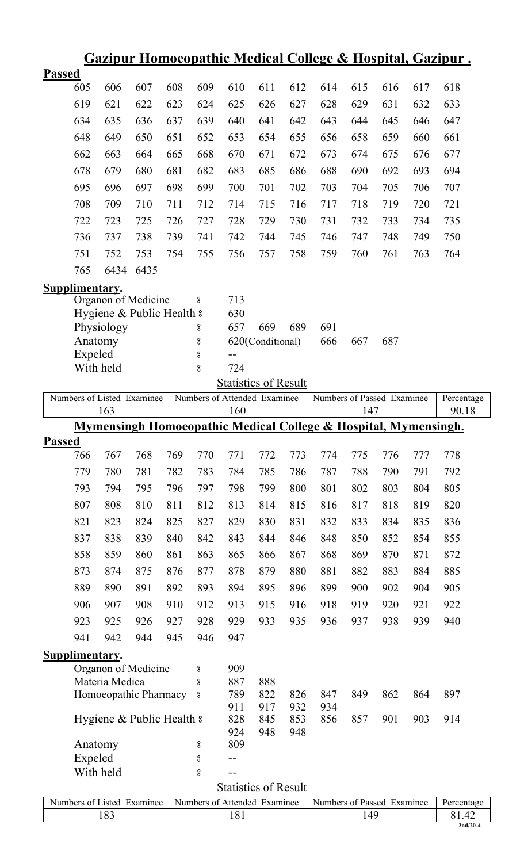|               |                       |                                         |      |     |                              |                             |                         |     |                                                                 |     |     |     | <u> Gazipur Homoeopathic Medical College &amp; Hospital, Gazipur .</u> |
|---------------|-----------------------|-----------------------------------------|------|-----|------------------------------|-----------------------------|-------------------------|-----|-----------------------------------------------------------------|-----|-----|-----|------------------------------------------------------------------------|
| <b>Passed</b> |                       |                                         |      |     |                              |                             |                         |     |                                                                 |     |     |     |                                                                        |
|               | 605                   | 606                                     | 607  | 608 | 609                          | 610                         | 611                     | 612 | 614                                                             | 615 | 616 | 617 | 618                                                                    |
|               | 619                   | 621                                     | 622  | 623 | 624                          | 625                         | 626                     | 627 | 628                                                             | 629 | 631 | 632 | 633                                                                    |
|               | 634                   | 635                                     | 636  | 637 | 639                          | 640                         | 641                     | 642 | 643                                                             | 644 | 645 | 646 | 647                                                                    |
|               | 648                   | 649                                     | 650  | 651 | 652                          | 653                         | 654                     | 655 | 656                                                             | 658 | 659 | 660 | 661                                                                    |
|               | 662                   | 663                                     | 664  | 665 | 668                          | 670                         | 671                     | 672 | 673                                                             | 674 | 675 | 676 | 677                                                                    |
|               | 678                   | 679                                     | 680  | 681 | 682                          | 683                         | 685                     | 686 | 688                                                             | 690 | 692 | 693 | 694                                                                    |
|               | 695                   | 696                                     | 697  | 698 | 699                          | 700                         | 701                     | 702 | 703                                                             | 704 | 705 | 706 | 707                                                                    |
|               |                       |                                         |      |     |                              |                             |                         |     |                                                                 |     |     |     |                                                                        |
|               | 708                   | 709                                     | 710  | 711 | 712                          | 714                         | 715                     | 716 | 717                                                             | 718 | 719 | 720 | 721                                                                    |
|               | 722                   | 723                                     | 725  | 726 | 727                          | 728                         | 729                     | 730 | 731                                                             | 732 | 733 | 734 | 735                                                                    |
|               | 736                   | 737                                     | 738  | 739 | 741                          | 742                         | 744                     | 745 | 746                                                             | 747 | 748 | 749 | 750                                                                    |
|               | 751                   | 752                                     | 753  | 754 | 755                          | 756                         | 757                     | 758 | 759                                                             | 760 | 761 | 763 | 764                                                                    |
|               | 765                   | 6434                                    | 6435 |     |                              |                             |                         |     |                                                                 |     |     |     |                                                                        |
|               | Supplimentary.        |                                         |      |     |                              |                             |                         |     |                                                                 |     |     |     |                                                                        |
|               |                       | Organon of Medicine                     |      |     | °                            | 713                         |                         |     |                                                                 |     |     |     |                                                                        |
|               |                       | Hygiene & Public Health &               |      |     |                              | 630                         |                         |     |                                                                 |     |     |     |                                                                        |
|               | Anatomy               | Physiology                              |      |     | °<br>8                       | 657                         | 669<br>620(Conditional) | 689 | 691<br>666                                                      | 667 | 687 |     |                                                                        |
|               | Expeled               |                                         |      |     | °                            |                             |                         |     |                                                                 |     |     |     |                                                                        |
|               |                       | With held                               |      |     | $_{\rm o}^{\rm o}$           | 724                         |                         |     |                                                                 |     |     |     |                                                                        |
|               |                       |                                         |      |     |                              | <b>Statistics of Result</b> |                         |     |                                                                 |     |     |     |                                                                        |
|               |                       | Numbers of Listed Examinee              |      |     | Numbers of Attended Examinee |                             |                         |     | Numbers of Passed Examinee                                      |     |     |     | Percentage                                                             |
|               |                       | 163                                     |      |     |                              | 160                         |                         |     |                                                                 | 147 |     |     | 90.18                                                                  |
|               |                       |                                         |      |     |                              |                             |                         |     | Mymensingh Homoeopathic Medical College & Hospital, Mymensingh. |     |     |     |                                                                        |
| <b>Passed</b> |                       |                                         |      |     |                              |                             |                         |     |                                                                 |     |     |     |                                                                        |
|               | 766                   | 767                                     | 768  | 769 | 770                          | 771                         | 772                     | 773 | 774                                                             | 775 | 776 | 777 | 778                                                                    |
|               | 779                   | 780                                     | 781  | 782 | 783                          | 784                         | 785                     | 786 | 787                                                             | 788 | 790 | 791 | 792                                                                    |
|               | 793                   | 794                                     | 795  | 796 | 797                          | 798                         | 799                     | 800 | 801                                                             | 802 | 803 | 804 | 805                                                                    |
|               | 807                   | 808                                     | 810  | 811 | 812                          | 813                         | 814                     | 815 | 816                                                             | 817 | 818 | 819 | 820                                                                    |
|               | 821                   | 823                                     | 824  | 825 | 827                          | 829                         | 830                     | 831 | 832                                                             | 833 | 834 | 835 | 836                                                                    |
|               | 837                   | 838                                     | 839  | 840 | 842                          | 843                         | 844                     | 846 | 848                                                             | 850 | 852 | 854 | 855                                                                    |
|               | 858                   | 859                                     | 860  | 861 | 863                          | 865                         | 866                     | 867 | 868                                                             | 869 | 870 | 871 | 872                                                                    |
|               | 873                   | 874                                     | 875  | 876 | 877                          | 878                         | 879                     | 880 | 881                                                             | 882 | 883 | 884 | 885                                                                    |
|               | 889                   | 890                                     | 891  | 892 | 893                          | 894                         | 895                     | 896 | 899                                                             | 900 | 902 | 904 | 905                                                                    |
|               | 906                   | 907                                     | 908  | 910 | 912                          | 913                         | 915                     | 916 | 918                                                             | 919 | 920 | 921 | 922                                                                    |
|               |                       |                                         |      |     |                              |                             |                         |     |                                                                 |     |     |     |                                                                        |
|               |                       |                                         |      |     |                              |                             |                         |     |                                                                 |     |     |     |                                                                        |
|               | 923                   | 925                                     | 926  | 927 | 928                          | 929                         | 933                     | 935 | 936                                                             | 937 | 938 | 939 | 940                                                                    |
|               | 941                   | 942                                     | 944  | 945 | 946                          | 947                         |                         |     |                                                                 |     |     |     |                                                                        |
|               | <b>Supplimentary.</b> |                                         |      |     |                              |                             |                         |     |                                                                 |     |     |     |                                                                        |
|               |                       | Organon of Medicine                     |      |     | °                            | 909                         |                         |     |                                                                 |     |     |     |                                                                        |
|               |                       | Materia Medica<br>Homoeopathic Pharmacy |      |     | °<br>°                       | 887<br>789                  | 888<br>822              | 826 | 847                                                             | 849 | 862 | 864 | 897                                                                    |
|               |                       |                                         |      |     |                              | 911                         | 917                     | 932 | 934                                                             |     |     |     |                                                                        |
|               |                       | Hygiene & Public Health &               |      |     |                              | 828                         | 845                     | 853 | 856                                                             | 857 | 901 | 903 | 914                                                                    |
|               |                       |                                         |      |     |                              | 924                         | 948                     | 948 |                                                                 |     |     |     |                                                                        |
|               | Anatomy               |                                         |      |     | °                            | 809                         |                         |     |                                                                 |     |     |     |                                                                        |
|               | Expeled<br>With held  |                                         |      |     | °<br>8                       |                             |                         |     |                                                                 |     |     |     |                                                                        |
|               |                       |                                         |      |     |                              |                             |                         |     |                                                                 |     |     |     |                                                                        |
|               |                       | Numbers of Listed Examinee              |      |     | Numbers of Attended Examinee | <b>Statistics of Result</b> |                         |     | Numbers of Passed Examinee                                      |     |     |     | Percentage                                                             |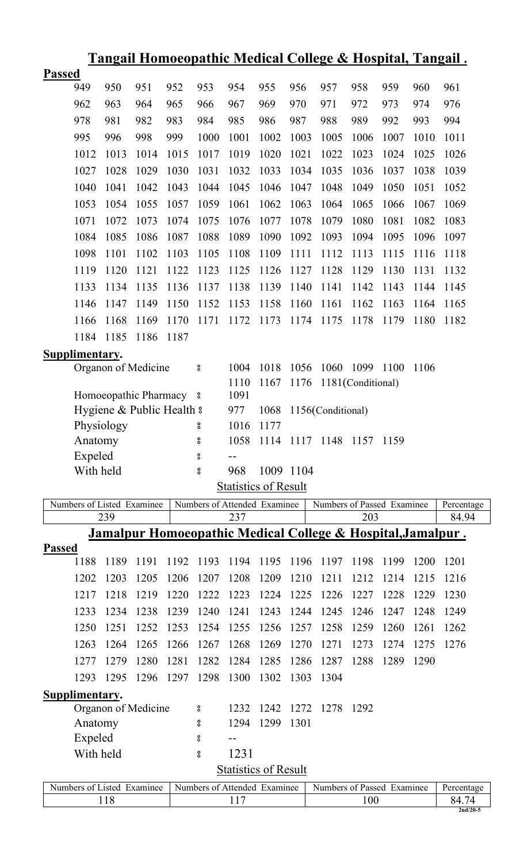|               |                            |                                                      |      |      |                    |             |                              |           | <u> Tangail Homoeopathic Medical College &amp; Hospital, Tangail.</u>  |                   |      |      |            |
|---------------|----------------------------|------------------------------------------------------|------|------|--------------------|-------------|------------------------------|-----------|------------------------------------------------------------------------|-------------------|------|------|------------|
| <b>Passed</b> |                            |                                                      |      |      |                    |             |                              |           |                                                                        |                   |      |      |            |
|               | 949                        | 950                                                  | 951  | 952  | 953                | 954         | 955                          | 956       | 957                                                                    | 958               | 959  | 960  | 961        |
|               | 962                        | 963                                                  | 964  | 965  | 966                | 967         | 969                          | 970       | 971                                                                    | 972               | 973  | 974  | 976        |
|               | 978                        | 981                                                  | 982  | 983  | 984                | 985         | 986                          | 987       | 988                                                                    | 989               | 992  | 993  | 994        |
|               | 995                        | 996                                                  | 998  | 999  | 1000               | 1001        | 1002                         | 1003      | 1005                                                                   | 1006              | 1007 | 1010 | 1011       |
|               | 1012                       | 1013                                                 | 1014 | 1015 | 1017               | 1019        | 1020                         | 1021      | 1022                                                                   | 1023              | 1024 | 1025 | 1026       |
|               | 1027                       | 1028                                                 | 1029 | 1030 | 1031               | 1032        | 1033                         | 1034      | 1035                                                                   | 1036              | 1037 | 1038 | 1039       |
|               | 1040                       | 1041                                                 | 1042 | 1043 | 1044               | 1045        | 1046                         | 1047      | 1048                                                                   | 1049              | 1050 | 1051 | 1052       |
|               | 1053                       | 1054                                                 | 1055 | 1057 | 1059               | 1061        | 1062                         | 1063      | 1064                                                                   | 1065              | 1066 | 1067 | 1069       |
|               | 1071                       | 1072                                                 | 1073 | 1074 | 1075               | 1076        | 1077                         | 1078      | 1079                                                                   | 1080              | 1081 | 1082 | 1083       |
|               | 1084                       | 1085                                                 | 1086 | 1087 | 1088               | 1089        | 1090                         | 1092      | 1093                                                                   | 1094              | 1095 | 1096 | 1097       |
|               | 1098                       | 1101                                                 | 1102 | 1103 | 1105               | 1108        | 1109                         | 1111      | 1112                                                                   | 1113              | 1115 | 1116 | 1118       |
|               | 1119                       | 1120                                                 | 1121 | 1122 | 1123               | 1125        | 1126                         | 1127      | 1128                                                                   | 1129              | 1130 | 1131 | 1132       |
|               | 1133                       | 1134                                                 | 1135 | 1136 | 1137               | 1138        | 1139                         | 1140      | 1141                                                                   | 1142              | 1143 | 1144 | 1145       |
|               | 1146                       | 1147                                                 | 1149 | 1150 | 1152               | 1153        | 1158                         | 1160      | 1161                                                                   | 1162              | 1163 | 1164 | 1165       |
|               | 1166                       | 1168                                                 | 1169 | 1170 | 1171               | 1172        | 1173                         | 1174      | 1175                                                                   | 1178              | 1179 | 1180 | 1182       |
|               | 1184                       | 1185                                                 | 1186 | 1187 |                    |             |                              |           |                                                                        |                   |      |      |            |
|               | Supplimentary.             |                                                      |      |      |                    |             |                              |           |                                                                        |                   |      |      |            |
|               |                            | Organon of Medicine                                  |      |      | 8                  | 1004        | 1018                         | 1056      | 1060                                                                   | 1099 1100         |      | 1106 |            |
|               |                            |                                                      |      |      |                    | 1110        | 1167                         | 1176      |                                                                        | 1181(Conditional) |      |      |            |
|               |                            | Homoeopathic Pharmacy 8<br>Hygiene & Public Health & |      |      |                    | 1091<br>977 | 1068                         |           | 1156(Conditional)                                                      |                   |      |      |            |
|               |                            | Physiology                                           |      |      | 8                  | 1016        | 1177                         |           |                                                                        |                   |      |      |            |
|               | Anatomy                    |                                                      |      |      | °                  | 1058        |                              |           | 1114 1117 1148 1157 1159                                               |                   |      |      |            |
|               | Expeled                    |                                                      |      |      | 8                  | --          |                              |           |                                                                        |                   |      |      |            |
|               | With held                  |                                                      |      |      | 8                  | 968         |                              | 1009 1104 |                                                                        |                   |      |      |            |
|               |                            |                                                      |      |      |                    |             | <b>Statistics of Result</b>  |           |                                                                        |                   |      |      |            |
|               | Numbers of Listed Examinee |                                                      |      |      |                    |             | Numbers of Attended Examinee |           | Numbers of Passed Examinee                                             |                   |      |      | Percentage |
|               |                            | 239                                                  |      |      |                    | 237         |                              |           |                                                                        | 203               |      |      | 84.94      |
|               |                            |                                                      |      |      |                    |             |                              |           | <u>Jamalpur Homoeopathic Medical College &amp; Hospital, Jamalpur.</u> |                   |      |      |            |
| <b>Passed</b> | 1188                       | 1189                                                 | 1191 | 1192 | 1193               | 1194        | 1195                         | 1196      | 1197                                                                   | 1198              | 1199 | 1200 | 1201       |
|               | 1202                       | 1203                                                 | 1205 | 1206 | 1207               | 1208        | 1209                         | 1210      | 1211                                                                   | 1212              | 1214 | 1215 | 1216       |
|               | 1217                       | 1218                                                 | 1219 | 1220 | 1222               | 1223        | 1224                         | 1225      | 1226                                                                   | 1227              | 1228 | 1229 | 1230       |
|               | 1233                       | 1234                                                 | 1238 | 1239 | 1240               | 1241        | 1243                         | 1244      | 1245                                                                   | 1246              | 1247 | 1248 | 1249       |
|               | 1250                       | 1251                                                 | 1252 | 1253 | 1254               | 1255        | 1256                         | 1257      | 1258                                                                   | 1259              | 1260 | 1261 | 1262       |
|               | 1263                       | 1264                                                 | 1265 | 1266 | 1267               | 1268        | 1269                         | 1270      | 1271                                                                   | 1273              | 1274 | 1275 | 1276       |
|               |                            |                                                      |      |      |                    |             |                              |           |                                                                        |                   |      |      |            |
|               | 1277                       | 1279                                                 | 1280 | 1281 | 1282               | 1284        | 1285                         | 1286      | 1287                                                                   | 1288              | 1289 | 1290 |            |
|               | 1293                       | 1295                                                 | 1296 | 1297 | 1298               | 1300        | 1302                         | 1303      | 1304                                                                   |                   |      |      |            |
|               | Supplimentary.             | Organon of Medicine                                  |      |      | 8                  | 1232        | 1242                         | 1272      | 1278                                                                   | 1292              |      |      |            |
|               | Anatomy                    |                                                      |      |      | °                  | 1294        | 1299                         | 1301      |                                                                        |                   |      |      |            |
|               | Expeled                    |                                                      |      |      | 8                  |             |                              |           |                                                                        |                   |      |      |            |
|               | With held                  |                                                      |      |      | $^{\rm o}_{\rm o}$ | 1231        |                              |           |                                                                        |                   |      |      |            |
|               |                            |                                                      |      |      |                    |             | <b>Statistics of Result</b>  |           |                                                                        |                   |      |      |            |
|               | Numbers of Listed Examinee |                                                      |      |      |                    |             | Numbers of Attended Examinee |           | Numbers of Passed Examinee                                             |                   |      |      | Percentage |
|               |                            | 118                                                  |      |      |                    | 117         |                              |           |                                                                        | 100               |      |      | 84.74      |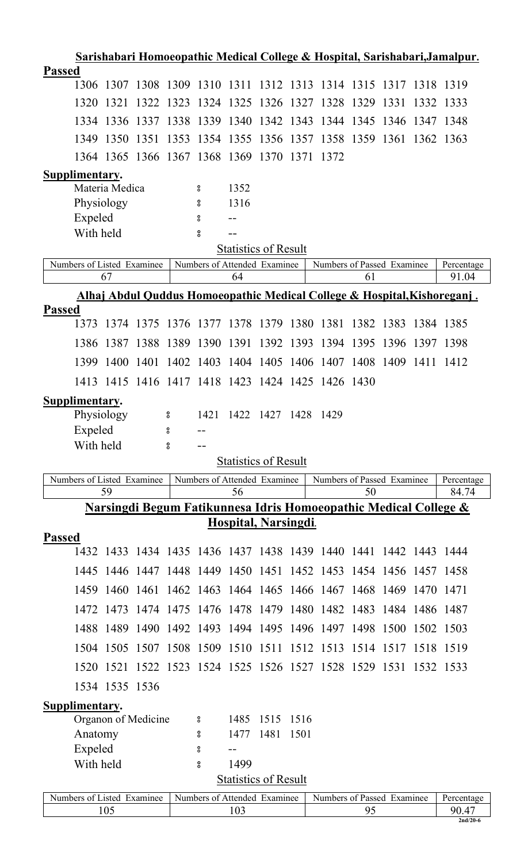| Sarishabari Homoeopathic Medical College & Hospital, Sarishabari, Jamalpur. |           |                |                     |      |                    |                                    |           |      |                                                                             |      |      |           |                                                                                     |
|-----------------------------------------------------------------------------|-----------|----------------|---------------------|------|--------------------|------------------------------------|-----------|------|-----------------------------------------------------------------------------|------|------|-----------|-------------------------------------------------------------------------------------|
| <b>Passed</b>                                                               |           |                |                     |      |                    |                                    |           |      |                                                                             |      |      |           |                                                                                     |
|                                                                             |           |                |                     |      |                    |                                    |           |      | 1306 1307 1308 1309 1310 1311 1312 1313 1314 1315 1317 1318 1319            |      |      |           |                                                                                     |
|                                                                             | 1320      | 1321           | 1322                | 1323 |                    | 1324 1325 1326 1327                |           |      | 1328 1329                                                                   |      | 1331 | 1332      | 1333                                                                                |
|                                                                             |           |                | 1334 1336 1337 1338 |      |                    | 1339 1340 1342 1343                |           |      | 1344 1345 1346                                                              |      |      | 1347      | 1348                                                                                |
|                                                                             | 1349      | 1350 1351      |                     | 1353 |                    | 1354 1355                          | 1356 1357 |      | 1358 1359 1361 1362 1363                                                    |      |      |           |                                                                                     |
|                                                                             |           |                |                     |      |                    | 1364 1365 1366 1367 1368 1369 1370 |           | 1371 | 1372                                                                        |      |      |           |                                                                                     |
| <b>Supplimentary.</b>                                                       |           |                |                     |      |                    |                                    |           |      |                                                                             |      |      |           |                                                                                     |
|                                                                             |           | Materia Medica |                     |      | 8                  | 1352                               |           |      |                                                                             |      |      |           |                                                                                     |
|                                                                             |           | Physiology     |                     |      | 8                  | 1316                               |           |      |                                                                             |      |      |           |                                                                                     |
|                                                                             | Expeled   |                |                     |      | 8                  |                                    |           |      |                                                                             |      |      |           |                                                                                     |
|                                                                             | With held |                |                     |      | $_{\rm o}^{\rm o}$ |                                    |           |      |                                                                             |      |      |           |                                                                                     |
|                                                                             |           |                |                     |      |                    | <b>Statistics of Result</b>        |           |      |                                                                             |      |      |           |                                                                                     |
| Numbers of Listed Examinee                                                  |           | 67             |                     |      |                    | Numbers of Attended Examinee<br>64 |           |      | Numbers of Passed Examinee                                                  | 61   |      |           | Percentage<br>91.04                                                                 |
|                                                                             |           |                |                     |      |                    |                                    |           |      |                                                                             |      |      |           |                                                                                     |
| <b>Passed</b>                                                               |           |                |                     |      |                    |                                    |           |      |                                                                             |      |      |           | <u>Alhaj Abdul Quddus Homoeopathic Medical College &amp; Hospital, Kishoreganj.</u> |
|                                                                             | 1373      |                |                     |      |                    |                                    |           |      | 1374 1375 1376 1377 1378 1379 1380 1381 1382 1383                           |      |      | 1384 1385 |                                                                                     |
|                                                                             | 1386      | 1387           | 1388                | 1389 | 1390               | 1391                               | 1392      | 1393 | 1394                                                                        | 1395 | 1396 | 1397      | 1398                                                                                |
|                                                                             | 1399      | 1400           | 1401                | 1402 | 1403               | 1404 1405                          |           |      | 1406 1407 1408 1409                                                         |      |      | 1411      | 1412                                                                                |
|                                                                             |           |                |                     |      |                    |                                    |           |      | 1413 1415 1416 1417 1418 1423 1424 1425 1426 1430                           |      |      |           |                                                                                     |
| Supplimentary.                                                              |           |                |                     |      |                    |                                    |           |      |                                                                             |      |      |           |                                                                                     |
|                                                                             |           | Physiology     |                     | 8    | 1421               | 1422                               | 1427      | 1428 | 1429                                                                        |      |      |           |                                                                                     |
|                                                                             | Expeled   |                |                     | 8    | $ -$               |                                    |           |      |                                                                             |      |      |           |                                                                                     |
|                                                                             | With held |                |                     | 8    |                    |                                    |           |      |                                                                             |      |      |           |                                                                                     |
|                                                                             |           |                |                     |      |                    |                                    |           |      |                                                                             |      |      |           |                                                                                     |
|                                                                             |           |                |                     |      |                    | <b>Statistics of Result</b>        |           |      |                                                                             |      |      |           |                                                                                     |
| Numbers of Listed Examinee                                                  |           |                |                     |      |                    | Numbers of Attended Examinee       |           |      | Numbers of Passed Examinee                                                  |      |      |           | Percentage                                                                          |
|                                                                             |           | 59             |                     |      |                    | 56                                 |           |      |                                                                             | 50   |      |           | 84.74                                                                               |
|                                                                             |           |                |                     |      |                    |                                    |           |      | <u>Narsingdi Begum Fatikunnesa Idris Homoeopathic Medical College &amp;</u> |      |      |           |                                                                                     |
|                                                                             |           |                |                     |      |                    | Hospital, Narsingdi.               |           |      |                                                                             |      |      |           |                                                                                     |
| <b>Passed</b>                                                               |           |                |                     |      |                    |                                    |           |      | 1432 1433 1434 1435 1436 1437 1438 1439 1440 1441 1442 1443 1444            |      |      |           |                                                                                     |
|                                                                             |           |                |                     |      |                    |                                    |           |      |                                                                             |      |      |           |                                                                                     |
|                                                                             |           |                |                     |      |                    |                                    |           |      | 1445 1446 1447 1448 1449 1450 1451 1452 1453 1454 1456 1457 1458            |      |      |           |                                                                                     |
|                                                                             |           |                |                     |      |                    |                                    |           |      | 1459 1460 1461 1462 1463 1464 1465 1466 1467 1468 1469 1470 1471            |      |      |           |                                                                                     |
|                                                                             |           | 1472 1473      |                     |      |                    |                                    |           |      | 1474 1475 1476 1478 1479 1480 1482 1483 1484 1486 1487                      |      |      |           |                                                                                     |
|                                                                             |           |                |                     |      |                    |                                    |           |      | 1488 1489 1490 1492 1493 1494 1495 1496 1497 1498 1500 1502 1503            |      |      |           |                                                                                     |
|                                                                             |           |                |                     |      |                    |                                    |           |      | 1504 1505 1507 1508 1509 1510 1511 1512 1513 1514 1517 1518 1519            |      |      |           |                                                                                     |
|                                                                             |           |                |                     |      |                    |                                    |           |      | 1520 1521 1522 1523 1524 1525 1526 1527 1528 1529 1531 1532 1533            |      |      |           |                                                                                     |
|                                                                             |           | 1534 1535 1536 |                     |      |                    |                                    |           |      |                                                                             |      |      |           |                                                                                     |
| Supplimentary.                                                              |           |                |                     |      | $\boldsymbol{S}$   | 1485                               | 1515 1516 |      |                                                                             |      |      |           |                                                                                     |
|                                                                             |           |                | Organon of Medicine |      | 8                  | 1477                               | 1481      | 1501 |                                                                             |      |      |           |                                                                                     |
|                                                                             | Anatomy   |                |                     |      | °                  |                                    |           |      |                                                                             |      |      |           |                                                                                     |
|                                                                             | Expeled   |                |                     |      | $_{\rm 8}^{\rm o}$ | 1499                               |           |      |                                                                             |      |      |           |                                                                                     |
|                                                                             | With held |                |                     |      |                    | <b>Statistics of Result</b>        |           |      |                                                                             |      |      |           |                                                                                     |
| Numbers of Listed Examinee                                                  |           |                |                     |      |                    | Numbers of Attended Examinee       |           |      | Numbers of Passed Examinee                                                  |      |      |           |                                                                                     |
|                                                                             |           | 105            |                     |      |                    | 103                                |           |      |                                                                             | 95   |      |           | Percentage<br>90.47<br>$2nd/20-6$                                                   |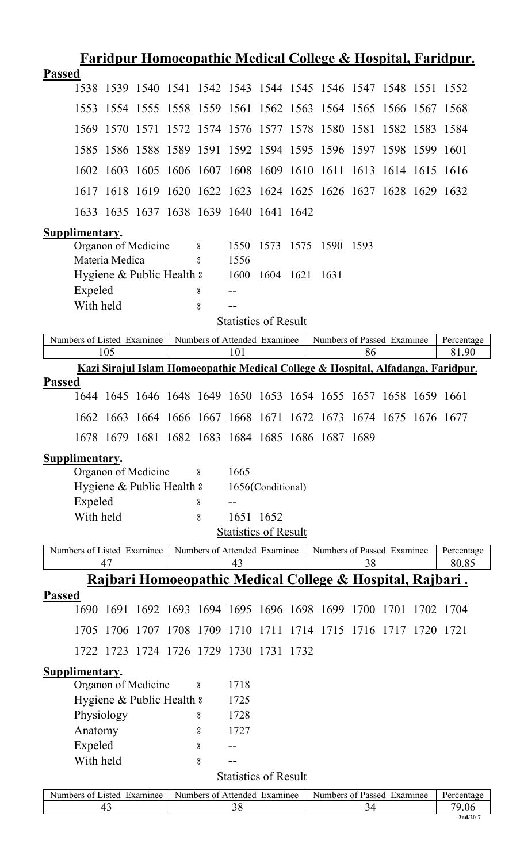| <u>Faridpur Homoeopathic Medical College &amp; Hospital, Faridpur.</u> |                                                                                                                 |            |                           |  |                    |                                         |                   |  |                                                                  |    |  |  |                                                                                  |  |
|------------------------------------------------------------------------|-----------------------------------------------------------------------------------------------------------------|------------|---------------------------|--|--------------------|-----------------------------------------|-------------------|--|------------------------------------------------------------------|----|--|--|----------------------------------------------------------------------------------|--|
| <b>Passed</b>                                                          |                                                                                                                 |            |                           |  |                    |                                         |                   |  |                                                                  |    |  |  |                                                                                  |  |
|                                                                        |                                                                                                                 |            |                           |  |                    |                                         |                   |  | 1538 1539 1540 1541 1542 1543 1544 1545 1546 1547 1548 1551 1552 |    |  |  |                                                                                  |  |
|                                                                        |                                                                                                                 |            |                           |  |                    |                                         |                   |  | 1553 1554 1555 1558 1559 1561 1562 1563 1564 1565 1566 1567 1568 |    |  |  |                                                                                  |  |
|                                                                        |                                                                                                                 |            |                           |  |                    |                                         |                   |  | 1569 1570 1571 1572 1574 1576 1577 1578 1580 1581 1582 1583 1584 |    |  |  |                                                                                  |  |
|                                                                        |                                                                                                                 |            |                           |  |                    |                                         |                   |  | 1585 1586 1588 1589 1591 1592 1594 1595 1596 1597 1598 1599 1601 |    |  |  |                                                                                  |  |
|                                                                        |                                                                                                                 |            |                           |  |                    |                                         |                   |  | 1602 1603 1605 1606 1607 1608 1609 1610 1611 1613 1614 1615 1616 |    |  |  |                                                                                  |  |
|                                                                        |                                                                                                                 |            |                           |  |                    |                                         |                   |  | 1617 1618 1619 1620 1622 1623 1624 1625 1626 1627 1628 1629 1632 |    |  |  |                                                                                  |  |
|                                                                        |                                                                                                                 |            |                           |  |                    | 1633 1635 1637 1638 1639 1640 1641 1642 |                   |  |                                                                  |    |  |  |                                                                                  |  |
| Supplimentary.                                                         |                                                                                                                 |            |                           |  |                    |                                         |                   |  |                                                                  |    |  |  |                                                                                  |  |
|                                                                        |                                                                                                                 |            |                           |  |                    | 1550                                    |                   |  |                                                                  |    |  |  |                                                                                  |  |
|                                                                        | 1573 1575 1590 1593<br>Organon of Medicine<br>$\sim$ $\sim$ $\sim$ $\sim$ $\sim$<br>Materia Medica<br>1556<br>° |            |                           |  |                    |                                         |                   |  |                                                                  |    |  |  |                                                                                  |  |
| Hygiene & Public Health &<br>1600 1604 1621 1631                       |                                                                                                                 |            |                           |  |                    |                                         |                   |  |                                                                  |    |  |  |                                                                                  |  |
|                                                                        | Expeled                                                                                                         |            |                           |  | 8                  |                                         |                   |  |                                                                  |    |  |  |                                                                                  |  |
|                                                                        | With held                                                                                                       |            |                           |  | $_{\rm o}^{\rm o}$ |                                         |                   |  |                                                                  |    |  |  |                                                                                  |  |
|                                                                        |                                                                                                                 |            |                           |  |                    | <b>Statistics of Result</b>             |                   |  |                                                                  |    |  |  |                                                                                  |  |
| Numbers of Listed Examinee                                             |                                                                                                                 |            |                           |  |                    | Numbers of Attended Examinee            |                   |  | Numbers of Passed Examinee                                       |    |  |  | Percentage                                                                       |  |
|                                                                        |                                                                                                                 | 105        |                           |  |                    | 101                                     |                   |  |                                                                  | 86 |  |  | 81.90                                                                            |  |
|                                                                        |                                                                                                                 |            |                           |  |                    |                                         |                   |  |                                                                  |    |  |  | Kazi Sirajul Islam Homoeopathic Medical College & Hospital, Alfadanga, Faridpur. |  |
| <b>Passed</b>                                                          |                                                                                                                 |            |                           |  |                    |                                         |                   |  | 1644 1645 1646 1648 1649 1650 1653 1654 1655 1657 1658 1659 1661 |    |  |  |                                                                                  |  |
|                                                                        |                                                                                                                 |            |                           |  |                    |                                         |                   |  | 1662 1663 1664 1666 1667 1668 1671 1672 1673 1674 1675 1676 1677 |    |  |  |                                                                                  |  |
|                                                                        |                                                                                                                 |            |                           |  |                    |                                         |                   |  | 1678 1679 1681 1682 1683 1684 1685 1686 1687 1689                |    |  |  |                                                                                  |  |
| Supplimentary.                                                         |                                                                                                                 |            |                           |  |                    |                                         |                   |  |                                                                  |    |  |  |                                                                                  |  |
|                                                                        |                                                                                                                 |            | Organon of Medicine       |  | $\rm ^o$           | 1665                                    |                   |  |                                                                  |    |  |  |                                                                                  |  |
|                                                                        |                                                                                                                 |            | Hygiene & Public Health & |  |                    |                                         | 1656(Conditional) |  |                                                                  |    |  |  |                                                                                  |  |
|                                                                        | Expeled                                                                                                         |            |                           |  | 8                  |                                         |                   |  |                                                                  |    |  |  |                                                                                  |  |
|                                                                        | With held                                                                                                       |            |                           |  | 8                  |                                         | 1651 1652         |  |                                                                  |    |  |  |                                                                                  |  |
|                                                                        |                                                                                                                 |            |                           |  |                    | <b>Statistics of Result</b>             |                   |  |                                                                  |    |  |  |                                                                                  |  |
| Numbers of Listed Examinee                                             |                                                                                                                 |            |                           |  |                    | Numbers of Attended Examinee            |                   |  | Numbers of Passed Examinee                                       |    |  |  | Percentage                                                                       |  |
|                                                                        |                                                                                                                 | 47         |                           |  |                    | 43                                      |                   |  |                                                                  | 38 |  |  | 80.85                                                                            |  |
|                                                                        |                                                                                                                 |            |                           |  |                    |                                         |                   |  | Rajbari Homoeopathic Medical College & Hospital, Rajbari.        |    |  |  |                                                                                  |  |
| <b>Passed</b>                                                          |                                                                                                                 |            |                           |  |                    |                                         |                   |  | 1690 1691 1692 1693 1694 1695 1696 1698 1699 1700 1701 1702 1704 |    |  |  |                                                                                  |  |
|                                                                        |                                                                                                                 |            |                           |  |                    |                                         |                   |  | 1705 1706 1707 1708 1709 1710 1711 1714 1715 1716 1717 1720 1721 |    |  |  |                                                                                  |  |
|                                                                        |                                                                                                                 |            |                           |  |                    |                                         |                   |  |                                                                  |    |  |  |                                                                                  |  |
|                                                                        |                                                                                                                 |            |                           |  |                    | 1722 1723 1724 1726 1729 1730 1731 1732 |                   |  |                                                                  |    |  |  |                                                                                  |  |
| Supplimentary.                                                         |                                                                                                                 |            |                           |  |                    |                                         |                   |  |                                                                  |    |  |  |                                                                                  |  |
|                                                                        |                                                                                                                 |            | Organon of Medicine       |  | $\rm ^o$           | 1718                                    |                   |  |                                                                  |    |  |  |                                                                                  |  |
|                                                                        |                                                                                                                 |            | Hygiene & Public Health & |  |                    | 1725                                    |                   |  |                                                                  |    |  |  |                                                                                  |  |
|                                                                        |                                                                                                                 | Physiology |                           |  | 8                  | 1728                                    |                   |  |                                                                  |    |  |  |                                                                                  |  |
|                                                                        | Anatomy                                                                                                         |            |                           |  | 8                  | 1727                                    |                   |  |                                                                  |    |  |  |                                                                                  |  |
|                                                                        | Expeled                                                                                                         |            |                           |  | ိ                  |                                         |                   |  |                                                                  |    |  |  |                                                                                  |  |
|                                                                        | With held                                                                                                       |            |                           |  | ပ္ပိ               | <b>Statistics of Result</b>             |                   |  |                                                                  |    |  |  |                                                                                  |  |
|                                                                        |                                                                                                                 |            |                           |  |                    |                                         |                   |  |                                                                  |    |  |  |                                                                                  |  |
| Numbers of Listed Examinee                                             |                                                                                                                 | 43         |                           |  |                    | Numbers of Attended Examinee<br>38      |                   |  | Numbers of Passed Examinee                                       |    |  |  | Percentage<br>79.06                                                              |  |
|                                                                        |                                                                                                                 |            |                           |  |                    |                                         |                   |  |                                                                  | 34 |  |  | $2nd/20-7$                                                                       |  |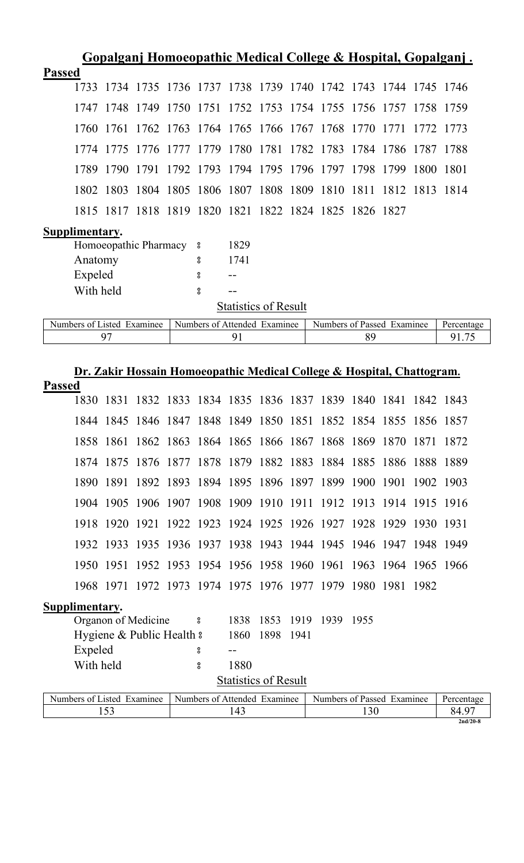| <u>Gopalganj Homoeopathic Medical College &amp; Hospital, Gopalganj.</u> |                            |                         |           |                          |                                                        |      |                             |  |  |    |                                                                        |           |            |
|--------------------------------------------------------------------------|----------------------------|-------------------------|-----------|--------------------------|--------------------------------------------------------|------|-----------------------------|--|--|----|------------------------------------------------------------------------|-----------|------------|
| <b>Passed</b>                                                            |                            |                         |           |                          |                                                        |      |                             |  |  |    |                                                                        |           |            |
|                                                                          | 1733                       |                         |           |                          |                                                        |      |                             |  |  |    | 1734 1735 1736 1737 1738 1739 1740 1742 1743 1744 1745 1746            |           |            |
|                                                                          |                            | 1747 1748               | 1749      | 1750                     |                                                        |      |                             |  |  |    | 1751 1752 1753 1754 1755 1756 1757 1758 1759                           |           |            |
|                                                                          |                            | 1760 1761               |           |                          |                                                        |      |                             |  |  |    | 1762 1763 1764 1765 1766 1767 1768 1770 1771 1772 1773                 |           |            |
|                                                                          |                            | 1774 1775               |           |                          |                                                        |      |                             |  |  |    | 1776 1777 1779 1780 1781 1782 1783 1784 1786 1787 1788                 |           |            |
|                                                                          | 1789                       | 1790                    | 1791 1792 |                          | 1793 1794 1795 1796 1797 1798 1799                     |      |                             |  |  |    |                                                                        | 1800      | -1801      |
|                                                                          | 1802                       | 1803                    | 1804 1805 |                          |                                                        |      |                             |  |  |    | 1806 1807 1808 1809 1810 1811 1812 1813 1814                           |           |            |
|                                                                          |                            |                         |           |                          | 1815 1817 1818 1819 1820 1821 1822 1824 1825 1826 1827 |      |                             |  |  |    |                                                                        |           |            |
|                                                                          | Supplimentary.             |                         |           |                          |                                                        |      |                             |  |  |    |                                                                        |           |            |
|                                                                          |                            | Homoeopathic Pharmacy 8 |           |                          |                                                        | 1829 |                             |  |  |    |                                                                        |           |            |
|                                                                          | Anatomy                    |                         |           |                          | 8                                                      | 1741 |                             |  |  |    |                                                                        |           |            |
|                                                                          | Expeled                    |                         |           |                          | $\rm ^o$                                               |      |                             |  |  |    |                                                                        |           |            |
|                                                                          | With held                  |                         |           |                          | $_{\rm o}^{\rm o}$                                     |      |                             |  |  |    |                                                                        |           |            |
|                                                                          |                            |                         |           |                          |                                                        |      | <b>Statistics of Result</b> |  |  |    |                                                                        |           |            |
|                                                                          | Numbers of Listed Examinee |                         |           |                          | Numbers of Attended Examinee                           |      |                             |  |  |    | Numbers of Passed Examinee                                             |           | Percentage |
|                                                                          |                            | 97                      |           |                          |                                                        | 91   |                             |  |  | 89 |                                                                        |           | 91.75      |
|                                                                          |                            |                         |           |                          |                                                        |      |                             |  |  |    |                                                                        |           |            |
|                                                                          |                            |                         |           |                          |                                                        |      |                             |  |  |    |                                                                        |           |            |
|                                                                          |                            |                         |           |                          |                                                        |      |                             |  |  |    | Dr. Zakir Hossain Homoeopathic Medical College & Hospital, Chattogram. |           |            |
| <b>Passed</b>                                                            |                            | 1830 1831               |           |                          | 1832 1833 1834 1835 1836 1837 1839 1840 1841           |      |                             |  |  |    |                                                                        | 1842 1843 |            |
|                                                                          |                            |                         |           |                          |                                                        |      |                             |  |  |    | 1844 1845 1846 1847 1848 1849 1850 1851 1852 1854 1855 1856 1857       |           |            |
|                                                                          |                            |                         |           |                          |                                                        |      |                             |  |  |    | 1858 1861 1862 1863 1864 1865 1866 1867 1868 1869 1870 1871 1872       |           |            |
|                                                                          |                            |                         |           |                          |                                                        |      |                             |  |  |    | 1874 1875 1876 1877 1878 1879 1882 1883 1884 1885 1886 1888 1889       |           |            |
|                                                                          |                            |                         |           |                          |                                                        |      |                             |  |  |    | 1890 1891 1892 1893 1894 1895 1896 1897 1899 1900 1901 1902 1903       |           |            |
|                                                                          |                            |                         |           |                          |                                                        |      |                             |  |  |    | 1904 1905 1906 1907 1908 1909 1910 1911 1912 1913 1914 1915 1916       |           |            |
|                                                                          |                            |                         |           |                          |                                                        |      |                             |  |  |    | 1918 1920 1921 1922 1923 1924 1925 1926 1927 1928 1929 1930 1931       |           |            |
|                                                                          |                            |                         |           |                          |                                                        |      |                             |  |  |    | 1932 1933 1935 1936 1937 1938 1943 1944 1945 1946 1947 1948 1949       |           |            |
|                                                                          |                            |                         |           |                          |                                                        |      |                             |  |  |    | 1950 1951 1952 1953 1954 1956 1958 1960 1961 1963 1964 1965 1966       |           |            |
|                                                                          |                            |                         |           |                          |                                                        |      |                             |  |  |    | 1968 1971 1972 1973 1974 1975 1976 1977 1979 1980 1981 1982            |           |            |
|                                                                          |                            |                         |           |                          |                                                        |      |                             |  |  |    |                                                                        |           |            |
|                                                                          | Supplimentary.             | Organon of Medicine     |           | $\overline{\phantom{0}}$ |                                                        | 1838 | 1853 1919 1939 1955         |  |  |    |                                                                        |           |            |

Expeled <br>
With held <br>
Solution 2 and 2 and 2 and 2 and 2 and 2 and 2 and 2 and 2 and 2 and 2 and 2 and 2 and 2 and 2 and 2 and 2 and 2 and 2 and 2 and 2 and 2 and 2 and 2 and 2 and 2 and 2 and 2 and 2 and 2 and 2 and 2 and **Statistics of Result** 

With held

| usted.<br>Numbers of<br>Examinee | $\overline{\phantom{0}}$<br>Numbers of Attended<br>Examinee | $\blacksquare$<br><sup>c</sup> Passed<br>Examinee<br>Numbers of | Percentage |
|----------------------------------|-------------------------------------------------------------|-----------------------------------------------------------------|------------|
| $\sim$<br>⊥ັບ                    |                                                             | $\overline{\phantom{a}}$                                        | 84<br>`⊤…  |
|                                  |                                                             |                                                                 | $2nd/20-8$ |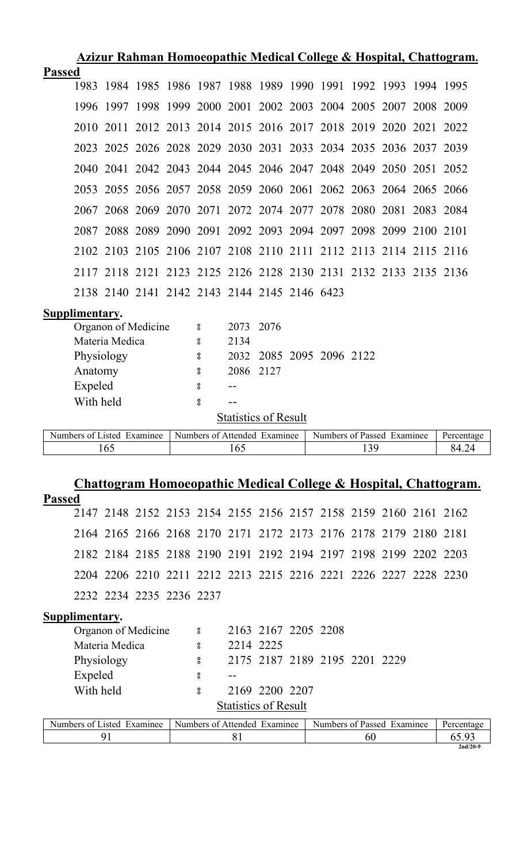| Azizur Rahman Homoeopathic Medical College & Hospital, Chattogram. |  |  |  |  |
|--------------------------------------------------------------------|--|--|--|--|
|--------------------------------------------------------------------|--|--|--|--|

| 2010 |               |                                                                        |                |                                                   |      |      |           |                                                             |                                              |                          |     |                                                                                                                                                                                                                                                                                                                                                                                                                                                                                                                                                                                                                                                                                                                               |
|------|---------------|------------------------------------------------------------------------|----------------|---------------------------------------------------|------|------|-----------|-------------------------------------------------------------|----------------------------------------------|--------------------------|-----|-------------------------------------------------------------------------------------------------------------------------------------------------------------------------------------------------------------------------------------------------------------------------------------------------------------------------------------------------------------------------------------------------------------------------------------------------------------------------------------------------------------------------------------------------------------------------------------------------------------------------------------------------------------------------------------------------------------------------------|
|      |               |                                                                        |                |                                                   |      |      |           |                                                             |                                              |                          |     |                                                                                                                                                                                                                                                                                                                                                                                                                                                                                                                                                                                                                                                                                                                               |
|      |               |                                                                        |                |                                                   |      |      |           |                                                             |                                              |                          |     |                                                                                                                                                                                                                                                                                                                                                                                                                                                                                                                                                                                                                                                                                                                               |
|      |               |                                                                        |                |                                                   |      |      |           |                                                             |                                              |                          |     |                                                                                                                                                                                                                                                                                                                                                                                                                                                                                                                                                                                                                                                                                                                               |
|      |               |                                                                        |                |                                                   |      |      |           |                                                             |                                              |                          |     |                                                                                                                                                                                                                                                                                                                                                                                                                                                                                                                                                                                                                                                                                                                               |
|      |               |                                                                        |                |                                                   |      |      |           |                                                             |                                              |                          |     |                                                                                                                                                                                                                                                                                                                                                                                                                                                                                                                                                                                                                                                                                                                               |
|      |               |                                                                        |                |                                                   |      |      |           |                                                             |                                              |                          |     |                                                                                                                                                                                                                                                                                                                                                                                                                                                                                                                                                                                                                                                                                                                               |
|      |               |                                                                        |                |                                                   |      |      |           |                                                             |                                              |                          |     |                                                                                                                                                                                                                                                                                                                                                                                                                                                                                                                                                                                                                                                                                                                               |
|      |               |                                                                        |                |                                                   |      |      |           |                                                             |                                              |                          |     |                                                                                                                                                                                                                                                                                                                                                                                                                                                                                                                                                                                                                                                                                                                               |
|      |               |                                                                        |                |                                                   |      |      |           |                                                             |                                              |                          |     |                                                                                                                                                                                                                                                                                                                                                                                                                                                                                                                                                                                                                                                                                                                               |
|      |               |                                                                        |                | $\rm ^o$                                          | 2073 | 2076 |           |                                                             |                                              |                          |     |                                                                                                                                                                                                                                                                                                                                                                                                                                                                                                                                                                                                                                                                                                                               |
|      |               |                                                                        |                | $\rm ^o$                                          | 2134 |      |           |                                                             |                                              |                          |     |                                                                                                                                                                                                                                                                                                                                                                                                                                                                                                                                                                                                                                                                                                                               |
|      |               |                                                                        |                | 8                                                 |      |      |           |                                                             |                                              |                          |     |                                                                                                                                                                                                                                                                                                                                                                                                                                                                                                                                                                                                                                                                                                                               |
|      |               |                                                                        |                | 8                                                 |      |      |           |                                                             |                                              |                          |     |                                                                                                                                                                                                                                                                                                                                                                                                                                                                                                                                                                                                                                                                                                                               |
|      |               |                                                                        |                | 8                                                 |      |      |           |                                                             |                                              |                          |     |                                                                                                                                                                                                                                                                                                                                                                                                                                                                                                                                                                                                                                                                                                                               |
|      |               |                                                                        |                | $\boldsymbol{S}$                                  |      |      |           |                                                             |                                              |                          |     |                                                                                                                                                                                                                                                                                                                                                                                                                                                                                                                                                                                                                                                                                                                               |
|      |               |                                                                        |                |                                                   |      |      |           |                                                             |                                              |                          |     |                                                                                                                                                                                                                                                                                                                                                                                                                                                                                                                                                                                                                                                                                                                               |
|      |               |                                                                        |                |                                                   |      |      |           |                                                             |                                              |                          |     | Percentage                                                                                                                                                                                                                                                                                                                                                                                                                                                                                                                                                                                                                                                                                                                    |
|      |               |                                                                        |                |                                                   | 165  |      |           |                                                             |                                              |                          |     | 84.24                                                                                                                                                                                                                                                                                                                                                                                                                                                                                                                                                                                                                                                                                                                         |
|      | <b>Passed</b> | Supplimentary.<br>Physiology<br>Anatomy<br>Expeled<br>With held<br>165 | Materia Medica | Organon of Medicine<br>Numbers of Listed Examinee |      |      | 2086 2127 | <b>Statistics of Result</b><br>Numbers of Attended Examinee | 2138 2140 2141 2142 2143 2144 2145 2146 6423 | 2032 2085 2095 2096 2122 | 139 | 1983 1984 1985 1986 1987 1988 1989 1990 1991 1992 1993 1994 1995<br>1996 1997 1998 1999 2000 2001 2002 2003 2004 2005 2007 2008 2009<br>2011 2012 2013 2014 2015 2016 2017 2018 2019 2020 2021 2022<br>2023 2025 2026 2028 2029 2030 2031 2033 2034 2035 2036 2037 2039<br>2040 2041 2042 2043 2044 2045 2046 2047 2048 2049 2050 2051 2052<br>2053 2055 2056 2057 2058 2059 2060 2061 2062 2063 2064 2065 2066<br>2067 2068 2069 2070 2071 2072 2074 2077 2078 2080 2081 2083 2084<br>2087 2088 2089 2090 2091 2092 2093 2094 2097 2098 2099 2100 2101<br>2102 2103 2105 2106 2107 2108 2110 2111 2112 2113 2114 2115 2116<br>2117 2118 2121 2123 2125 2126 2128 2130 2131 2132 2133 2135 2136<br>Numbers of Passed Examinee |

# **Chattogram Homoeopathic Medical College & Hospital, Chattogram.**

| <b>Passed</b>  |                                                                  |  |  |  |  |  |  |
|----------------|------------------------------------------------------------------|--|--|--|--|--|--|
|                | 2147 2148 2152 2153 2154 2155 2156 2157 2158 2159 2160 2161 2162 |  |  |  |  |  |  |
|                | 2164 2165 2166 2168 2170 2171 2172 2173 2176 2178 2179 2180 2181 |  |  |  |  |  |  |
|                | 2182 2184 2185 2188 2190 2191 2192 2194 2197 2198 2199 2202 2203 |  |  |  |  |  |  |
|                | 2204 2206 2210 2211 2212 2213 2215 2216 2221 2226 2227 2228 2230 |  |  |  |  |  |  |
|                | 2232 2234 2235 2236 2237                                         |  |  |  |  |  |  |
| Supplimentary. |                                                                  |  |  |  |  |  |  |

| мирринценти у              |                              |                             |                     |                               |    |                            |            |
|----------------------------|------------------------------|-----------------------------|---------------------|-------------------------------|----|----------------------------|------------|
| Organon of Medicine        | 8                            |                             | 2163 2167 2205 2208 |                               |    |                            |            |
| Materia Medica             | 8                            | 2214 2225                   |                     |                               |    |                            |            |
| Physiology                 | 8                            |                             |                     | 2175 2187 2189 2195 2201 2229 |    |                            |            |
| Expeled                    | 8                            |                             |                     |                               |    |                            |            |
| With held                  | 8                            |                             | 2169 2200 2207      |                               |    |                            |            |
|                            |                              | <b>Statistics of Result</b> |                     |                               |    |                            |            |
| Numbers of Listed Examinee | Numbers of Attended Examinee |                             |                     |                               |    | Numbers of Passed Examinee | Percentage |
| 91                         |                              | 81                          |                     |                               | 60 |                            | 65.93      |
|                            |                              |                             |                     |                               |    |                            | $2nd/20-9$ |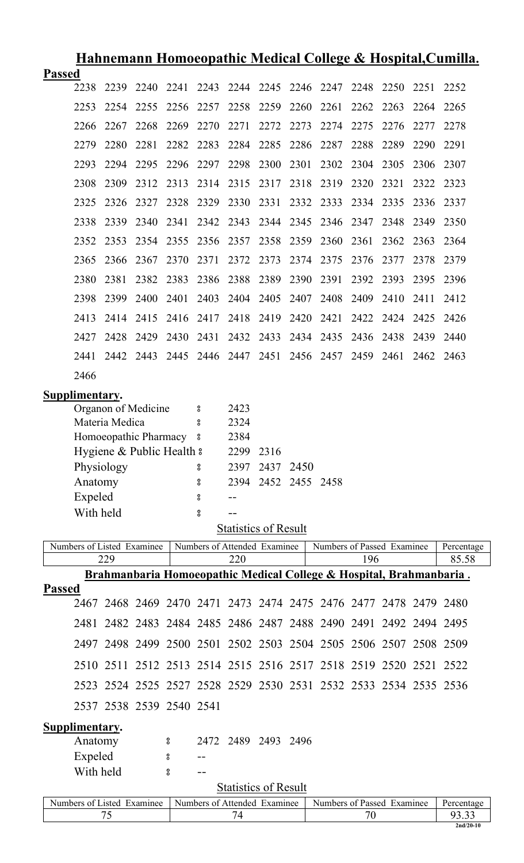| <u>Hahnemann Homoeopathic Medical College &amp; Hospital, Cumilla.</u> |                                                                                                        |            |                           |          |                    |                              |                     |      |                                                                                 |           |           |           |                      |  |
|------------------------------------------------------------------------|--------------------------------------------------------------------------------------------------------|------------|---------------------------|----------|--------------------|------------------------------|---------------------|------|---------------------------------------------------------------------------------|-----------|-----------|-----------|----------------------|--|
| <b>Passed</b>                                                          |                                                                                                        |            |                           |          |                    |                              |                     |      |                                                                                 |           |           |           |                      |  |
|                                                                        | 2238                                                                                                   | 2239       | 2240                      | 2241     |                    |                              |                     |      | 2243 2244 2245 2246 2247                                                        | 2248      | 2250      | 2251      | 2252                 |  |
|                                                                        | 2253                                                                                                   | 2254       | 2255                      | 2256     | 2257               | 2258                         | 2259                | 2260 | 2261                                                                            | 2262      | 2263      | 2264      | 2265                 |  |
|                                                                        | 2266                                                                                                   | 2267       | 2268                      | 2269     | 2270               | 2271                         | 2272                | 2273 | 2274                                                                            | 2275      | 2276      | 2277      | 2278                 |  |
|                                                                        | 2279                                                                                                   | 2280       | 2281                      | 2282     | 2283               | 2284                         | 2285                | 2286 | 2287                                                                            | 2288      | 2289      | 2290      | 2291                 |  |
|                                                                        | 2293                                                                                                   | 2294       | 2295                      | 2296     | 2297               | 2298                         | 2300                | 2301 | 2302                                                                            | 2304 2305 |           | 2306      | 2307                 |  |
|                                                                        | 2308                                                                                                   | 2309       | 2312                      | 2313     | 2314 2315          |                              | 2317                | 2318 | 2319                                                                            | 2320      | 2321      | 2322      | 2323                 |  |
|                                                                        | 2325                                                                                                   | 2326       | 2327                      | 2328     | 2329 2330          |                              | 2331                |      | 2332 2333 2334 2335                                                             |           |           | 2336      | 2337                 |  |
|                                                                        | 2338                                                                                                   | 2339       | 2340                      | 2341     | 2342               | 2343                         | 2344                | 2345 | 2346                                                                            | 2347      | 2348      | 2349      | 2350                 |  |
|                                                                        | 2352                                                                                                   | 2353       | 2354                      | 2355     | 2356               | 2357                         | 2358                | 2359 | 2360                                                                            | 2361      | 2362      | 2363      | 2364                 |  |
|                                                                        | 2365                                                                                                   | 2366       | 2367                      | 2370     | 2371               | 2372                         | 2373                | 2374 | 2375                                                                            | 2376      | 2377      | 2378      | 2379                 |  |
|                                                                        | 2380                                                                                                   | 2381       | 2382 2383                 |          | 2386               | 2388                         | 2389                | 2390 | 2391                                                                            |           | 2392 2393 | 2395      | 2396                 |  |
|                                                                        | 2398                                                                                                   | 2399       | 2400                      | 2401     |                    | 2403 2404 2405               |                     | 2407 | 2408                                                                            | 2409      | 2410      | 2411      | 2412                 |  |
|                                                                        | 2413                                                                                                   | 2414       | 2415                      | 2416     | 2417 2418          |                              | 2419                | 2420 | 2421                                                                            |           | 2422 2424 | 2425      | 2426                 |  |
|                                                                        | 2427                                                                                                   | 2428       | 2429                      | 2430     | 2431               |                              |                     |      | 2432 2433 2434 2435                                                             | 2436 2438 |           | 2439      | 2440                 |  |
|                                                                        | 2441                                                                                                   |            |                           |          |                    |                              |                     |      | 2442 2443 2445 2446 2447 2451 2456 2457 2459 2461                               |           |           | 2462 2463 |                      |  |
|                                                                        | 2466                                                                                                   |            |                           |          |                    |                              |                     |      |                                                                                 |           |           |           |                      |  |
|                                                                        |                                                                                                        |            |                           |          |                    |                              |                     |      |                                                                                 |           |           |           |                      |  |
|                                                                        | Supplimentary.<br>Organon of Medicine<br>2423<br>$\rm ^o$                                              |            |                           |          |                    |                              |                     |      |                                                                                 |           |           |           |                      |  |
| Materia Medica<br>2324<br>8                                            |                                                                                                        |            |                           |          |                    |                              |                     |      |                                                                                 |           |           |           |                      |  |
|                                                                        |                                                                                                        |            | Homoeopathic Pharmacy 8   |          |                    | 2384                         |                     |      |                                                                                 |           |           |           |                      |  |
|                                                                        |                                                                                                        |            | Hygiene & Public Health & |          |                    | 2299 2316                    |                     |      |                                                                                 |           |           |           |                      |  |
|                                                                        |                                                                                                        | Physiology |                           |          | 8                  |                              | 2397 2437 2450      |      |                                                                                 |           |           |           |                      |  |
|                                                                        | Anatomy                                                                                                |            |                           |          | 8                  |                              | 2394 2452 2455 2458 |      |                                                                                 |           |           |           |                      |  |
|                                                                        | Expeled                                                                                                |            |                           |          | 8                  |                              |                     |      |                                                                                 |           |           |           |                      |  |
|                                                                        | With held                                                                                              |            |                           |          | $_{\rm 8}^{\rm o}$ |                              |                     |      |                                                                                 |           |           |           |                      |  |
|                                                                        |                                                                                                        |            |                           |          |                    | <b>Statistics of Result</b>  |                     |      |                                                                                 |           |           |           |                      |  |
| Numbers of Listed Examinee                                             |                                                                                                        |            |                           |          |                    | Numbers of Attended Examinee |                     |      | Numbers of Passed Examinee                                                      |           |           |           | Percentage           |  |
|                                                                        |                                                                                                        | 229        |                           |          |                    | 220                          |                     |      | <u> Brahmanbaria Homoeopathic Medical College &amp; Hospital, Brahmanbaria.</u> | 196       |           |           | 85.58                |  |
| <b>Passed</b>                                                          |                                                                                                        |            |                           |          |                    |                              |                     |      |                                                                                 |           |           |           |                      |  |
|                                                                        |                                                                                                        |            |                           |          |                    |                              |                     |      | 2467 2468 2469 2470 2471 2473 2474 2475 2476 2477 2478 2479 2480                |           |           |           |                      |  |
|                                                                        |                                                                                                        |            |                           |          |                    |                              |                     |      | 2481 2482 2483 2484 2485 2486 2487 2488 2490 2491 2492 2494 2495                |           |           |           |                      |  |
|                                                                        |                                                                                                        |            |                           |          |                    |                              |                     |      | 2497 2498 2499 2500 2501 2502 2503 2504 2505 2506 2507 2508 2509                |           |           |           |                      |  |
|                                                                        |                                                                                                        |            |                           |          |                    |                              |                     |      | 2510 2511 2512 2513 2514 2515 2516 2517 2518 2519 2520 2521 2522                |           |           |           |                      |  |
|                                                                        |                                                                                                        |            |                           |          |                    |                              |                     |      | 2523 2524 2525 2527 2528 2529 2530 2531 2532 2533 2534 2535 2536                |           |           |           |                      |  |
|                                                                        |                                                                                                        |            | 2537 2538 2539 2540 2541  |          |                    |                              |                     |      |                                                                                 |           |           |           |                      |  |
| Supplimentary.                                                         |                                                                                                        |            |                           |          |                    |                              |                     |      |                                                                                 |           |           |           |                      |  |
|                                                                        | Anatomy<br>2472 2489 2493 2496<br>$\boldsymbol{S}$                                                     |            |                           |          |                    |                              |                     |      |                                                                                 |           |           |           |                      |  |
|                                                                        | Expeled                                                                                                |            |                           | $\bf{S}$ |                    |                              |                     |      |                                                                                 |           |           |           |                      |  |
|                                                                        | With held                                                                                              |            |                           | $\bf{S}$ | $ -$               |                              |                     |      |                                                                                 |           |           |           |                      |  |
|                                                                        | <b>Statistics of Result</b>                                                                            |            |                           |          |                    |                              |                     |      |                                                                                 |           |           |           |                      |  |
|                                                                        | Numbers of Listed Examinee<br>Numbers of Attended Examinee<br>Numbers of Passed Examinee<br>Percentage |            |                           |          |                    |                              |                     |      |                                                                                 |           |           |           |                      |  |
|                                                                        |                                                                                                        | 75         |                           |          |                    | 74                           |                     |      |                                                                                 | 70        |           |           | 93.33<br>$2nd/20-10$ |  |
|                                                                        |                                                                                                        |            |                           |          |                    |                              |                     |      |                                                                                 |           |           |           |                      |  |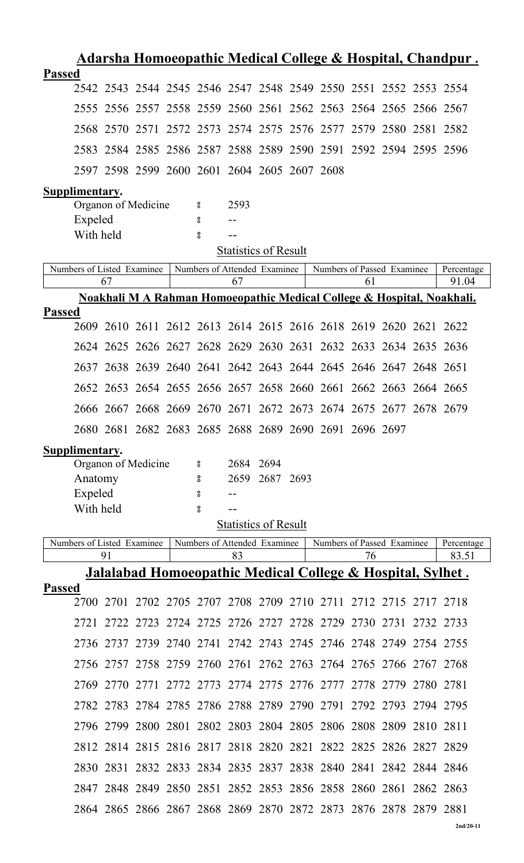| <u> Adarsha Homoeopathic Medical College &amp; Hospital, Chandpur.</u> |                                                                              |           |  |                               |                   |                             |      |                                                             |    |  |           |                                                                                 |
|------------------------------------------------------------------------|------------------------------------------------------------------------------|-----------|--|-------------------------------|-------------------|-----------------------------|------|-------------------------------------------------------------|----|--|-----------|---------------------------------------------------------------------------------|
| <b>Passed</b>                                                          |                                                                              |           |  |                               |                   |                             |      |                                                             |    |  |           |                                                                                 |
|                                                                        | 2542 2543 2544 2545 2546 2547 2548 2549 2550 2551 2552 2553 2554             |           |  |                               |                   |                             |      |                                                             |    |  |           |                                                                                 |
|                                                                        | 2555 2556 2557 2558 2559 2560 2561 2562 2563 2564 2565 2566 2567             |           |  |                               |                   |                             |      |                                                             |    |  |           |                                                                                 |
|                                                                        | 2568 2570 2571 2572 2573 2574 2575 2576 2577 2579 2580 2581 2582             |           |  |                               |                   |                             |      |                                                             |    |  |           |                                                                                 |
|                                                                        | 2583 2584 2585 2586 2587 2588 2589 2590 2591 2592 2594 2595 2596             |           |  |                               |                   |                             |      |                                                             |    |  |           |                                                                                 |
| 2597 2598 2599 2600 2601 2604 2605 2607 2608                           |                                                                              |           |  |                               |                   |                             |      |                                                             |    |  |           |                                                                                 |
| Supplimentary.                                                         | Organon of Medicine                                                          |           |  | $\boldsymbol{S}$              | 2593              |                             |      |                                                             |    |  |           |                                                                                 |
| Expeled                                                                |                                                                              |           |  | 8                             |                   |                             |      |                                                             |    |  |           |                                                                                 |
| With held                                                              |                                                                              |           |  | 8                             |                   |                             |      |                                                             |    |  |           |                                                                                 |
|                                                                        |                                                                              |           |  |                               |                   | <b>Statistics of Result</b> |      |                                                             |    |  |           |                                                                                 |
| Numbers of Listed Examinee                                             |                                                                              |           |  | Numbers of Attended Examinee  |                   |                             |      | Numbers of Passed Examinee                                  |    |  |           | Percentage                                                                      |
|                                                                        | 67                                                                           |           |  |                               | 67                |                             |      |                                                             | 61 |  |           | 91.04<br>Noakhali M A Rahman Homoeopathic Medical College & Hospital, Noakhali. |
| <b>Passed</b>                                                          |                                                                              |           |  |                               |                   |                             |      |                                                             |    |  |           |                                                                                 |
|                                                                        | 2609 2610 2611 2612 2613 2614 2615 2616 2618 2619 2620 2621 2622             |           |  |                               |                   |                             |      |                                                             |    |  |           |                                                                                 |
|                                                                        | 2624 2625 2626 2627 2628 2629 2630 2631 2632 2633 2634 2635 2636             |           |  |                               |                   |                             |      |                                                             |    |  |           |                                                                                 |
|                                                                        | 2637 2638 2639 2640 2641 2642 2643 2644 2645 2646 2647 2648 2651             |           |  |                               |                   |                             |      |                                                             |    |  |           |                                                                                 |
|                                                                        | 2652 2653 2654 2655 2656 2657 2658 2660 2661 2662 2663 2664 2665             |           |  |                               |                   |                             |      |                                                             |    |  |           |                                                                                 |
|                                                                        | 2666 2667 2668 2669 2670 2671 2672 2673 2674 2675 2677 2678 2679             |           |  |                               |                   |                             |      |                                                             |    |  |           |                                                                                 |
|                                                                        | 2680 2681 2682 2683 2685 2688 2689 2690 2691 2696 2697                       |           |  |                               |                   |                             |      |                                                             |    |  |           |                                                                                 |
| Supplimentary.                                                         |                                                                              |           |  |                               |                   |                             |      |                                                             |    |  |           |                                                                                 |
|                                                                        | Organon of Medicine                                                          |           |  | 8                             | 2684 2694<br>2659 | 2687                        | 2693 |                                                             |    |  |           |                                                                                 |
| Anatomy<br>Expeled                                                     |                                                                              |           |  | 8<br>8                        |                   |                             |      |                                                             |    |  |           |                                                                                 |
| With held                                                              |                                                                              |           |  | °                             |                   |                             |      |                                                             |    |  |           |                                                                                 |
|                                                                        |                                                                              |           |  |                               |                   | <b>Statistics of Result</b> |      |                                                             |    |  |           |                                                                                 |
| Numbers of Listed Examinee                                             |                                                                              |           |  | Numbers of Attended Examinee  |                   |                             |      | Numbers of Passed Examinee                                  |    |  |           | Percentage                                                                      |
|                                                                        | 91<br><u> Jalalabad Homoeopathic Medical College &amp; Hospital, Sylhet.</u> |           |  |                               | 83                |                             |      |                                                             | 76 |  |           | 83.51                                                                           |
| <b>Passed</b>                                                          |                                                                              |           |  |                               |                   |                             |      |                                                             |    |  |           |                                                                                 |
| 2700                                                                   |                                                                              |           |  |                               |                   |                             |      | 2701 2702 2705 2707 2708 2709 2710 2711 2712 2715 2717 2718 |    |  |           |                                                                                 |
| 2721                                                                   |                                                                              | 2722 2723 |  |                               |                   |                             |      | 2724 2725 2726 2727 2728 2729 2730 2731                     |    |  | 2732 2733 |                                                                                 |
|                                                                        | 2736 2737 2739 2740 2741 2742 2743 2745 2746 2748 2749 2754 2755             |           |  |                               |                   |                             |      |                                                             |    |  |           |                                                                                 |
|                                                                        | 2756 2757 2758 2759 2760 2761 2762 2763 2764 2765 2766 2767 2768             |           |  |                               |                   |                             |      |                                                             |    |  |           |                                                                                 |
| 2769                                                                   | 2770                                                                         | 2771      |  |                               |                   |                             |      | 2772 2773 2774 2775 2776 2777 2778 2779                     |    |  | 2780      | 2781                                                                            |
|                                                                        | 2782 2783 2784 2785 2786 2788 2789 2790 2791 2792 2793 2794 2795             |           |  |                               |                   |                             |      |                                                             |    |  |           |                                                                                 |
|                                                                        | 2796 2799                                                                    |           |  |                               |                   |                             |      | 2800 2801 2802 2803 2804 2805 2806 2808 2809 2810           |    |  |           | 2811                                                                            |
|                                                                        | 2812 2814 2815 2816 2817 2818 2820                                           |           |  |                               |                   |                             |      | 2821 2822 2825 2826 2827 2829                               |    |  |           |                                                                                 |
| 2830                                                                   | 2831                                                                         |           |  | 2832 2833 2834 2835 2837      |                   |                             |      | 2838 2840 2841 2842 2844 2846                               |    |  |           |                                                                                 |
| 2847                                                                   |                                                                              |           |  | 2848 2849 2850 2851 2852 2853 |                   |                             |      | 2856 2858 2860 2861 2862 2863                               |    |  |           |                                                                                 |
|                                                                        | 2864 2865 2866 2867 2868 2869 2870 2872 2873 2876 2878 2879 2881             |           |  |                               |                   |                             |      |                                                             |    |  |           |                                                                                 |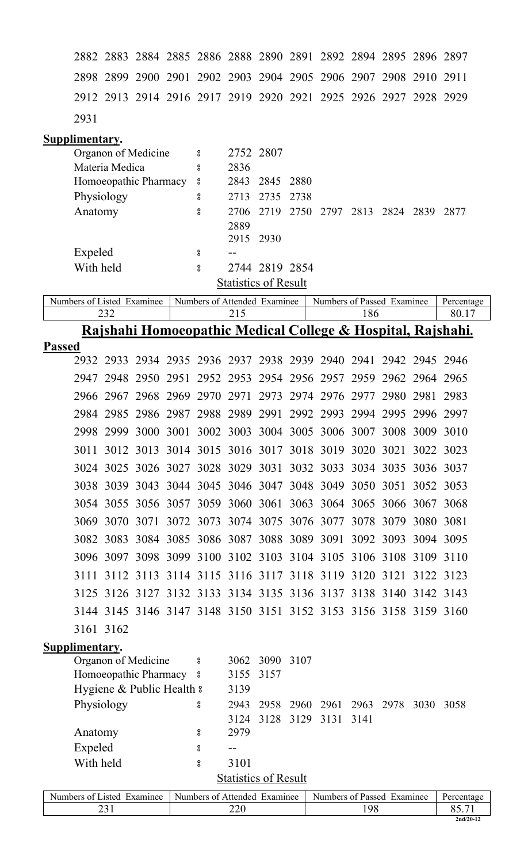2883 2884 2885 2886 2888 2890 2891 2892 2894 2895 2896 2897 2899 2900 2901 2902 2903 2904 2905 2906 2907 2908 2910 2911 2913 2914 2916 2917 2919 2920 2921 2925 2926 2927 2928 2929 2931

#### **Supplimentary.**

| Organon of Medicine     | $\overline{\phantom{0}}$ | 2752 2807                                   |
|-------------------------|--------------------------|---------------------------------------------|
| Materia Medica          | 8                        | 2836                                        |
| Homoeopathic Pharmacy 8 |                          | 2843 2845 2880                              |
| Physiology              | 8                        | 2735 2738<br>2713                           |
| Anatomy                 | 8                        | 2706 2719 2750 2797 2813 2824 2839<br>-2877 |
|                         |                          | 2889                                        |
|                         |                          | 2915 2930                                   |
| Expeled                 | 8                        |                                             |
| With held               | 8                        | 2744 2819 2854                              |
|                         |                          | <b>Statistics of Result</b>                 |

| Numbers of Listed Examinee | Numbers of Attended Examinee | Numbers of Passed<br>Examinee | Percentage |
|----------------------------|------------------------------|-------------------------------|------------|
|                            |                              |                               |            |

### **Rajshahi Homoeopathic Medical College & Hospital, Rajshahi.**

| <b>Passed</b> |           |                                                                  |           |  |                                                             |  |  |           |      |      |
|---------------|-----------|------------------------------------------------------------------|-----------|--|-------------------------------------------------------------|--|--|-----------|------|------|
|               |           | 2932 2933 2934 2935 2936 2937 2938 2939 2940 2941 2942 2945 2946 |           |  |                                                             |  |  |           |      |      |
|               | 2947      | 2948 2950                                                        |           |  | 2951 2952 2953 2954 2956 2957 2959 2962 2964 2965           |  |  |           |      |      |
|               |           | 2966 2967 2968 2969 2970 2971 2973 2974 2976 2977                |           |  |                                                             |  |  | 2980 2981 |      | 2983 |
|               | 2984      | 2985                                                             |           |  | 2986 2987 2988 2989 2991 2992 2993 2994 2995 2996 2997      |  |  |           |      |      |
|               | 2998      | 2999                                                             |           |  | 3000 3001 3002 3003 3004 3005 3006 3007 3008 3009           |  |  |           |      | 3010 |
|               | 3011      |                                                                  |           |  | 3012 3013 3014 3015 3016 3017 3018 3019 3020 3021 3022 3023 |  |  |           |      |      |
|               | 3024      |                                                                  |           |  | 3025 3026 3027 3028 3029 3031 3032 3033 3034 3035 3036 3037 |  |  |           |      |      |
|               | 3038      | 3039                                                             |           |  | 3043 3044 3045 3046 3047 3048 3049 3050 3051 3052 3053      |  |  |           |      |      |
|               | 3054      |                                                                  |           |  | 3055 3056 3057 3059 3060 3061 3063 3064 3065 3066 3067 3068 |  |  |           |      |      |
|               | 3069      | 3070                                                             | 3071      |  | 3072 3073 3074 3075 3076 3077 3078 3079                     |  |  |           | 3080 | 3081 |
|               |           | 3082 3083 3084 3085 3086 3087 3088 3089 3091 3092 3093 3094 3095 |           |  |                                                             |  |  |           |      |      |
|               |           | 3096 3097 3098 3099 3100 3102 3103 3104 3105 3106 3108 3109 3110 |           |  |                                                             |  |  |           |      |      |
|               | 3111      |                                                                  | 3112 3113 |  | 3114 3115 3116 3117 3118 3119 3120 3121 3122 3123           |  |  |           |      |      |
|               |           | 3125 3126 3127 3132 3133 3134 3135 3136 3137 3138 3140 3142 3143 |           |  |                                                             |  |  |           |      |      |
|               |           | 3144 3145 3146 3147 3148 3150 3151 3152 3153 3156 3158 3159 3160 |           |  |                                                             |  |  |           |      |      |
|               | 3161 3162 |                                                                  |           |  |                                                             |  |  |           |      |      |
|               |           |                                                                  |           |  |                                                             |  |  |           |      |      |

### **Supplimentary.**

| Organon of Medicine       | ိ |                             | 3062 3090 3107 |                          |  |                                    |  |
|---------------------------|---|-----------------------------|----------------|--------------------------|--|------------------------------------|--|
| Homoeopathic Pharmacy 8   |   | 3155 3157                   |                |                          |  |                                    |  |
| Hygiene & Public Health & |   | 3139                        |                |                          |  |                                    |  |
| Physiology                | 8 | 2943                        |                |                          |  | 2958 2960 2961 2963 2978 3030 3058 |  |
|                           |   |                             |                | 3124 3128 3129 3131 3141 |  |                                    |  |
| Anatomy                   | 8 | 2979                        |                |                          |  |                                    |  |
| Expeled                   | 8 |                             |                |                          |  |                                    |  |
| With held                 | 8 | 3101                        |                |                          |  |                                    |  |
|                           |   | <b>Statistics of Result</b> |                |                          |  |                                    |  |
|                           |   |                             |                |                          |  |                                    |  |

| Listed.<br>Examinee<br>Numbers of L | Numbers of Attended<br>Examinee | $\blacksquare$<br>Numbers of Passed<br>Examinee | Percentage  |
|-------------------------------------|---------------------------------|-------------------------------------------------|-------------|
|                                     | ∩∩<br>∠∠∪                       | .98                                             |             |
|                                     |                                 |                                                 | $2nd/20-12$ |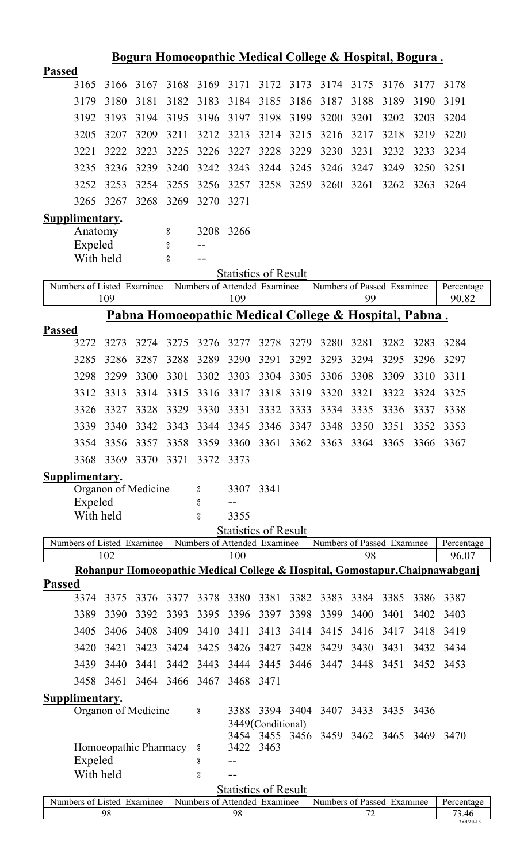|               | <u>Bogura Homoeopathic Medical College &amp; Hospital, Bogura.</u>                                                                    |                       |              |                    |              |                                     |                   |              |                                    |           |              |              |                                                                              |  |
|---------------|---------------------------------------------------------------------------------------------------------------------------------------|-----------------------|--------------|--------------------|--------------|-------------------------------------|-------------------|--------------|------------------------------------|-----------|--------------|--------------|------------------------------------------------------------------------------|--|
| <b>Passed</b> |                                                                                                                                       |                       |              |                    |              |                                     |                   |              |                                    |           |              |              |                                                                              |  |
|               | 3165                                                                                                                                  | 3166                  | 3167         | 3168               | 3169         | 3171                                | 3172              | 3173         | 3174                               | 3175      | 3176         | 3177         | 3178                                                                         |  |
|               | 3179                                                                                                                                  | 3180                  | 3181         | 3182               | 3183         | 3184                                | 3185              | 3186         | 3187                               | 3188      | 3189         | 3190         | 3191                                                                         |  |
|               | 3192                                                                                                                                  | 3193                  | 3194         | 3195               | 3196         | 3197                                | 3198              | 3199         | 3200                               | 3201      | 3202         | 3203         | 3204                                                                         |  |
|               | 3205                                                                                                                                  | 3207                  | 3209         | 3211               | 3212         | 3213                                | 3214              | 3215         | 3216                               | 3217      | 3218         | 3219         | 3220                                                                         |  |
|               | 3221                                                                                                                                  | 3222                  | 3223         | 3225               | 3226         | 3227                                | 3228              | 3229         | 3230                               | 3231      | 3232         | 3233         | 3234                                                                         |  |
|               | 3235                                                                                                                                  | 3236                  | 3239         | 3240               | 3242         | 3243                                | 3244              | 3245         | 3246                               | 3247      | 3249         | 3250         | 3251                                                                         |  |
|               | 3252                                                                                                                                  | 3253                  | 3254         | 3255               | 3256         | 3257                                | 3258              | 3259         | 3260                               | 3261      | 3262         | 3263         | 3264                                                                         |  |
|               | 3265                                                                                                                                  | 3267                  | 3268         | 3269               | 3270         | 3271                                |                   |              |                                    |           |              |              |                                                                              |  |
|               | Supplimentary.                                                                                                                        |                       |              |                    |              |                                     |                   |              |                                    |           |              |              |                                                                              |  |
|               | Anatomy                                                                                                                               |                       |              | 8                  | 3208         | 3266                                |                   |              |                                    |           |              |              |                                                                              |  |
|               | Expeled                                                                                                                               |                       |              | $\rm ^o$           |              |                                     |                   |              |                                    |           |              |              |                                                                              |  |
|               | With held                                                                                                                             |                       |              | $_{\rm o}^{\rm o}$ |              |                                     |                   |              |                                    |           |              |              |                                                                              |  |
|               | <b>Statistics of Result</b><br>Numbers of Listed Examinee<br>Numbers of Attended Examinee<br>Numbers of Passed Examinee<br>Percentage |                       |              |                    |              |                                     |                   |              |                                    |           |              |              |                                                                              |  |
|               |                                                                                                                                       | 109                   |              |                    |              | 109                                 |                   |              |                                    | 99        |              |              | 90.82                                                                        |  |
|               | <u> Pabna Homoeopathic Medical College &amp; Hospital, Pabna.</u>                                                                     |                       |              |                    |              |                                     |                   |              |                                    |           |              |              |                                                                              |  |
| <b>Passed</b> |                                                                                                                                       |                       | 3274         |                    |              |                                     |                   |              |                                    | 3281      |              |              |                                                                              |  |
|               | 3272<br>3285                                                                                                                          | 3273<br>3286          | 3287         | 3275<br>3288       | 3276<br>3289 | 3277<br>3290                        | 3278<br>3291      | 3279<br>3292 | 3280<br>3293                       | 3294      | 3282<br>3295 | 3283<br>3296 | 3284<br>3297                                                                 |  |
|               | 3298                                                                                                                                  | 3299                  | 3300         | 3301               | 3302         | 3303                                | 3304              | 3305         | 3306                               | 3308      | 3309         | 3310         | 3311                                                                         |  |
|               |                                                                                                                                       |                       | 3314         | 3315               | 3316         |                                     | 3318              | 3319         | 3320                               | 3321      |              | 3324         |                                                                              |  |
|               | 3312                                                                                                                                  | 3313                  |              | 3329               | 3330         | 3317<br>3331                        |                   | 3333         |                                    | 3335      | 3322         |              | 3325                                                                         |  |
|               | 3326                                                                                                                                  | 3327                  | 3328         |                    |              |                                     | 3332              |              | 3334                               |           | 3336         | 3337         | 3338                                                                         |  |
|               | 3339                                                                                                                                  | 3340                  | 3342         | 3343               | 3344         | 3345                                | 3346              | 3347         | 3348                               | 3350      | 3351         | 3352         | 3353                                                                         |  |
|               | 3354                                                                                                                                  | 3356                  | 3357<br>3370 | 3358               | 3359<br>3372 |                                     |                   |              | 3360 3361 3362 3363 3364 3365 3366 |           |              |              | 3367                                                                         |  |
|               | 3368                                                                                                                                  | 3369                  |              | 3371               |              | 3373                                |                   |              |                                    |           |              |              |                                                                              |  |
|               | <b>Supplimentary.</b>                                                                                                                 | Organon of Medicine   |              |                    | 8            | 3307 3341                           |                   |              |                                    |           |              |              |                                                                              |  |
|               | Expeled                                                                                                                               |                       |              |                    | ိ            |                                     |                   |              |                                    |           |              |              |                                                                              |  |
|               | With held                                                                                                                             |                       |              |                    | o<br>0       | 3355                                |                   |              |                                    |           |              |              |                                                                              |  |
|               |                                                                                                                                       |                       |              |                    |              | <b>Statistics of Result</b>         |                   |              |                                    |           |              |              |                                                                              |  |
|               | Numbers of Listed Examinee                                                                                                            | 102                   |              |                    |              | Numbers of Attended Examinee<br>100 |                   |              | Numbers of Passed Examinee         | 98        |              |              | Percentage<br>96.07                                                          |  |
|               |                                                                                                                                       |                       |              |                    |              |                                     |                   |              |                                    |           |              |              | Rohanpur Homoeopathic Medical College & Hospital, Gomostapur, Chaipnawabganj |  |
| <b>Passed</b> |                                                                                                                                       |                       |              |                    |              |                                     |                   |              |                                    |           |              |              |                                                                              |  |
|               | 3374                                                                                                                                  | 3375                  | 3376         | 3377               | 3378         | 3380                                | 3381              | 3382         | 3383                               | 3384 3385 |              | 3386         | 3387                                                                         |  |
|               | 3389                                                                                                                                  | 3390                  | 3392         | 3393               | 3395         | 3396                                | 3397              | 3398         | 3399                               | 3400      | 3401         | 3402         | 3403                                                                         |  |
|               | 3405                                                                                                                                  | 3406                  | 3408         | 3409               | 3410         | 3411                                | 3413              | 3414         | 3415                               | 3416      | 3417         | 3418         | 3419                                                                         |  |
|               | 3420                                                                                                                                  | 3421                  | 3423         | 3424               | 3425         | 3426                                | 3427              | 3428         | 3429                               | 3430      | 3431         | 3432         | 3434                                                                         |  |
|               | 3439                                                                                                                                  | 3440                  | 3441         | 3442               | 3443         | 3444                                | 3445              | 3446         | 3447                               | 3448      | 3451         | 3452         | 3453                                                                         |  |
|               | 3458                                                                                                                                  | 3461                  | 3464 3466    |                    | 3467         | 3468                                | 3471              |              |                                    |           |              |              |                                                                              |  |
|               | <b>Supplimentary.</b>                                                                                                                 |                       |              |                    |              |                                     |                   |              |                                    |           |              |              |                                                                              |  |
|               |                                                                                                                                       | Organon of Medicine   |              |                    | 8            |                                     |                   |              | 3388 3394 3404 3407 3433 3435      |           |              | 3436         |                                                                              |  |
|               |                                                                                                                                       |                       |              |                    |              |                                     | 3449(Conditional) |              | 3454 3455 3456 3459 3462 3465      |           |              | 3469         | 3470                                                                         |  |
|               |                                                                                                                                       | Homoeopathic Pharmacy |              |                    | °            | 3422 3463                           |                   |              |                                    |           |              |              |                                                                              |  |
|               | Expeled                                                                                                                               |                       |              |                    | 8            |                                     |                   |              |                                    |           |              |              |                                                                              |  |
|               | With held                                                                                                                             |                       |              |                    | °            |                                     |                   |              |                                    |           |              |              |                                                                              |  |
|               |                                                                                                                                       |                       |              |                    |              | <b>Statistics of Result</b>         |                   |              |                                    |           |              |              |                                                                              |  |

| $\sim$<br>$\sim$ $\sim$<br><b>Examinee</b><br>1010<br><b>Numbers</b><br>Λt | $\sim$ $\sim$<br><b>Numbers</b><br>- Affended<br>Examinee<br>ΩŤ | <u>т</u><br>÷<br><b>Numbers</b><br>Examinee<br>. വ<br>Paccar | 110000      |
|----------------------------------------------------------------------------|-----------------------------------------------------------------|--------------------------------------------------------------|-------------|
| Q۶                                                                         | ΩC<br>. ب                                                       | $\overline{\phantom{a}}$                                     | 70          |
|                                                                            |                                                                 |                                                              | $2nd/20-13$ |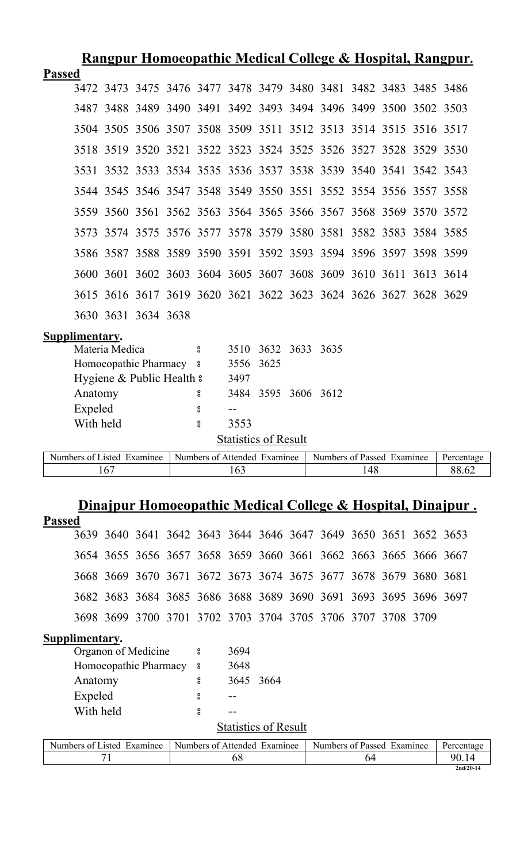| <u>Rangpur Homoeopathic Medical College &amp; Hospital, Rangpur.</u> |                |                           |  |                  |                              |                     |  |                                                                  |     |  |  |            |
|----------------------------------------------------------------------|----------------|---------------------------|--|------------------|------------------------------|---------------------|--|------------------------------------------------------------------|-----|--|--|------------|
| <b>Passed</b>                                                        |                |                           |  |                  |                              |                     |  |                                                                  |     |  |  |            |
|                                                                      |                |                           |  |                  |                              |                     |  | 3472 3473 3475 3476 3477 3478 3479 3480 3481 3482 3483 3485 3486 |     |  |  |            |
|                                                                      |                |                           |  |                  |                              |                     |  | 3487 3488 3489 3490 3491 3492 3493 3494 3496 3499 3500 3502 3503 |     |  |  |            |
|                                                                      |                |                           |  |                  |                              |                     |  | 3504 3505 3506 3507 3508 3509 3511 3512 3513 3514 3515 3516 3517 |     |  |  |            |
|                                                                      |                |                           |  |                  |                              |                     |  | 3518 3519 3520 3521 3522 3523 3524 3525 3526 3527 3528 3529 3530 |     |  |  |            |
|                                                                      |                |                           |  |                  |                              |                     |  | 3531 3532 3533 3534 3535 3536 3537 3538 3539 3540 3541 3542 3543 |     |  |  |            |
|                                                                      |                |                           |  |                  |                              |                     |  | 3544 3545 3546 3547 3548 3549 3550 3551 3552 3554 3556 3557 3558 |     |  |  |            |
|                                                                      |                |                           |  |                  |                              |                     |  | 3559 3560 3561 3562 3563 3564 3565 3566 3567 3568 3569 3570 3572 |     |  |  |            |
|                                                                      |                |                           |  |                  |                              |                     |  | 3573 3574 3575 3576 3577 3578 3579 3580 3581 3582 3583 3584 3585 |     |  |  |            |
|                                                                      |                |                           |  |                  |                              |                     |  | 3586 3587 3588 3589 3590 3591 3592 3593 3594 3596 3597 3598 3599 |     |  |  |            |
|                                                                      |                |                           |  |                  |                              |                     |  | 3600 3601 3602 3603 3604 3605 3607 3608 3609 3610 3611 3613 3614 |     |  |  |            |
|                                                                      |                |                           |  |                  |                              |                     |  | 3615 3616 3617 3619 3620 3621 3622 3623 3624 3626 3627 3628 3629 |     |  |  |            |
|                                                                      |                | 3630 3631 3634 3638       |  |                  |                              |                     |  |                                                                  |     |  |  |            |
| Supplimentary.                                                       |                |                           |  |                  |                              |                     |  |                                                                  |     |  |  |            |
|                                                                      | Materia Medica |                           |  | $\boldsymbol{S}$ | 3510 3632                    |                     |  | 3633 3635                                                        |     |  |  |            |
|                                                                      |                | Homoeopathic Pharmacy 8   |  |                  | 3556                         | 3625                |  |                                                                  |     |  |  |            |
|                                                                      |                | Hygiene & Public Health & |  |                  | 3497                         |                     |  |                                                                  |     |  |  |            |
| Anatomy                                                              |                |                           |  | 8                |                              | 3484 3595 3606 3612 |  |                                                                  |     |  |  |            |
| Expeled                                                              |                |                           |  | 8                |                              |                     |  |                                                                  |     |  |  |            |
| With held                                                            |                |                           |  | $\bf{g}$         | 3553                         |                     |  |                                                                  |     |  |  |            |
| <b>Statistics of Result</b>                                          |                |                           |  |                  |                              |                     |  |                                                                  |     |  |  |            |
| Numbers of Listed Examinee                                           |                |                           |  |                  | Numbers of Attended Examinee |                     |  | Numbers of Passed Examinee                                       |     |  |  | Percentage |
|                                                                      | 167            |                           |  |                  | 163                          |                     |  |                                                                  | 148 |  |  | 88.62      |

# **Dinajpur Homoeopathic Medical College & Hospital, Dinajpur .**

| <b>Passed</b>               |                                                                  |  |  |                              |      |      |  |                            |    |  |  |             |  |
|-----------------------------|------------------------------------------------------------------|--|--|------------------------------|------|------|--|----------------------------|----|--|--|-------------|--|
|                             | 3639 3640 3641 3642 3643 3644 3646 3647 3649 3650 3651 3652 3653 |  |  |                              |      |      |  |                            |    |  |  |             |  |
|                             | 3654 3655 3656 3657 3658 3659 3660 3661 3662 3663 3665 3666 3667 |  |  |                              |      |      |  |                            |    |  |  |             |  |
|                             | 3668 3669 3670 3671 3672 3673 3674 3675 3677 3678 3679 3680 3681 |  |  |                              |      |      |  |                            |    |  |  |             |  |
|                             | 3682 3683 3684 3685 3686 3688 3689 3690 3691 3693 3695 3696 3697 |  |  |                              |      |      |  |                            |    |  |  |             |  |
|                             | 3698 3699 3700 3701 3702 3703 3704 3705 3706 3707 3708 3709      |  |  |                              |      |      |  |                            |    |  |  |             |  |
| Supplimentary.              |                                                                  |  |  |                              |      |      |  |                            |    |  |  |             |  |
|                             | Organon of Medicine                                              |  |  | $\boldsymbol{\mathsf{s}}$    | 3694 |      |  |                            |    |  |  |             |  |
|                             | Homoeopathic Pharmacy                                            |  |  | $^{\circ}_{\circ}$           | 3648 |      |  |                            |    |  |  |             |  |
|                             | Anatomy                                                          |  |  | 8                            | 3645 | 3664 |  |                            |    |  |  |             |  |
|                             | Expeled                                                          |  |  | 8                            |      |      |  |                            |    |  |  |             |  |
|                             | With held                                                        |  |  | 8                            |      |      |  |                            |    |  |  |             |  |
| <b>Statistics of Result</b> |                                                                  |  |  |                              |      |      |  |                            |    |  |  |             |  |
|                             | Numbers of Listed Examinee                                       |  |  | Numbers of Attended Examinee |      |      |  | Numbers of Passed Examinee |    |  |  | Percentage  |  |
|                             | 71                                                               |  |  |                              | 68   |      |  |                            | 64 |  |  | 90.14       |  |
|                             |                                                                  |  |  |                              |      |      |  |                            |    |  |  | $2nd/20-14$ |  |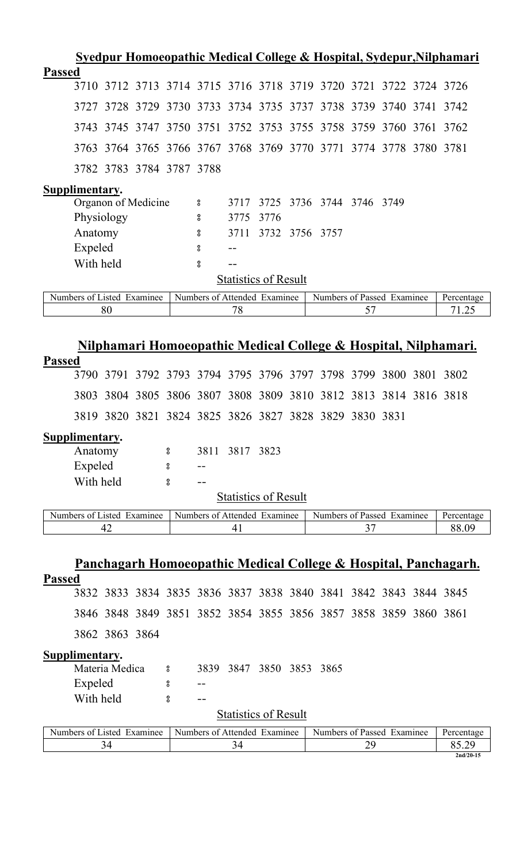| <u>Syedpur Homoeopathic Medical College &amp; Hospital, Sydepur, Nilphamari</u>      |                                                        |                             |      |           |  |                                  |  |  |                     |  |  |  |  |
|--------------------------------------------------------------------------------------|--------------------------------------------------------|-----------------------------|------|-----------|--|----------------------------------|--|--|---------------------|--|--|--|--|
| <b>Passed</b>                                                                        |                                                        |                             |      |           |  |                                  |  |  |                     |  |  |  |  |
| 3710 3712 3713 3714 3715 3716 3718 3719 3720 3721 3722 3724 3726                     |                                                        |                             |      |           |  |                                  |  |  |                     |  |  |  |  |
| 3728 3729 3730 3733 3734 3735 3737 3738 3739 3740 3741 3742<br>3727                  |                                                        |                             |      |           |  |                                  |  |  |                     |  |  |  |  |
| 3743<br>3745                                                                         | 3747 3750 3751 3752 3753 3755 3758 3759 3760 3761 3762 |                             |      |           |  |                                  |  |  |                     |  |  |  |  |
| 3764 3765 3766 3767 3768 3769 3770 3771 3774 3778 3780 3781<br>3763                  |                                                        |                             |      |           |  |                                  |  |  |                     |  |  |  |  |
| 3782 3783 3784 3787 3788                                                             |                                                        |                             |      |           |  |                                  |  |  |                     |  |  |  |  |
| Supplimentary.                                                                       |                                                        |                             |      |           |  |                                  |  |  |                     |  |  |  |  |
| Organon of Medicine<br>3736 3744 3746<br>3725<br>3749<br>3717<br>$\rm ^o$            |                                                        |                             |      |           |  |                                  |  |  |                     |  |  |  |  |
| Physiology                                                                           | 8                                                      | 3775                        | 3776 |           |  |                                  |  |  |                     |  |  |  |  |
| Anatomy                                                                              | 8                                                      | 3711                        | 3732 | 3756 3757 |  |                                  |  |  |                     |  |  |  |  |
| Expeled                                                                              | 8                                                      |                             |      |           |  |                                  |  |  |                     |  |  |  |  |
| With held                                                                            | 8                                                      |                             |      |           |  |                                  |  |  |                     |  |  |  |  |
|                                                                                      |                                                        | <b>Statistics of Result</b> |      |           |  |                                  |  |  |                     |  |  |  |  |
| Numbers of Listed Examinee                                                           | Numbers of Attended Examinee                           |                             |      |           |  | Numbers of Passed Examinee       |  |  | Percentage          |  |  |  |  |
|                                                                                      |                                                        |                             |      |           |  |                                  |  |  |                     |  |  |  |  |
| 80<br>78<br>57<br>71.25                                                              |                                                        |                             |      |           |  |                                  |  |  |                     |  |  |  |  |
| <u>Nilphamari Homoeopathic Medical College &amp; Hospital, Nilphamari.</u>           |                                                        |                             |      |           |  |                                  |  |  |                     |  |  |  |  |
| <b>Passed</b><br>3791 3792 3793 3794 3795 3796 3797 3798 3799 3800 3801 3802<br>3790 |                                                        |                             |      |           |  |                                  |  |  |                     |  |  |  |  |
| 3804 3805 3806 3807 3808 3809 3810 3812 3813 3814 3816 3818<br>3803                  |                                                        |                             |      |           |  |                                  |  |  |                     |  |  |  |  |
| 3820 3821 3824 3825 3826 3827 3828 3829 3830 3831<br>3819                            |                                                        |                             |      |           |  |                                  |  |  |                     |  |  |  |  |
|                                                                                      |                                                        |                             |      |           |  |                                  |  |  |                     |  |  |  |  |
| Supplimentary.<br>8                                                                  |                                                        | 3811 3817 3823              |      |           |  |                                  |  |  |                     |  |  |  |  |
| Anatomy<br>8                                                                         |                                                        |                             |      |           |  |                                  |  |  |                     |  |  |  |  |
| Expeled<br>With held<br>8                                                            |                                                        |                             |      |           |  |                                  |  |  |                     |  |  |  |  |
|                                                                                      |                                                        | <b>Statistics of Result</b> |      |           |  |                                  |  |  |                     |  |  |  |  |
|                                                                                      |                                                        |                             |      |           |  |                                  |  |  |                     |  |  |  |  |
| Numbers of Listed Examinee<br>42                                                     | Numbers of Attended Examinee                           | 41                          |      |           |  | Numbers of Passed Examinee<br>37 |  |  | Percentage<br>88.09 |  |  |  |  |

|                |                                                                  |     |      |                              |                |                            |    |  | Panchagarh Homoeopathic Medical College & Hospital, Panchagarh. |
|----------------|------------------------------------------------------------------|-----|------|------------------------------|----------------|----------------------------|----|--|-----------------------------------------------------------------|
| <b>Passed</b>  |                                                                  |     |      |                              |                |                            |    |  |                                                                 |
|                | 3832 3833 3834 3835 3836 3837 3838 3840 3841 3842 3843 3844 3845 |     |      |                              |                |                            |    |  |                                                                 |
|                | 3846 3848 3849 3851 3852 3854 3855 3856 3857 3858 3859 3860 3861 |     |      |                              |                |                            |    |  |                                                                 |
|                | 3862 3863 3864                                                   |     |      |                              |                |                            |    |  |                                                                 |
| Supplimentary. |                                                                  |     |      |                              |                |                            |    |  |                                                                 |
|                | Materia Medica                                                   | - 8 | 3839 | 3847                         | 3850 3853 3865 |                            |    |  |                                                                 |
|                | Expeled                                                          | 8   | $ -$ |                              |                |                            |    |  |                                                                 |
|                | With held                                                        | 8   | --   |                              |                |                            |    |  |                                                                 |
|                |                                                                  |     |      | <b>Statistics of Result</b>  |                |                            |    |  |                                                                 |
|                | Numbers of Listed Examinee                                       |     |      | Numbers of Attended Examinee |                | Numbers of Passed Examinee |    |  | Percentage                                                      |
|                | 34                                                               |     |      | 34                           |                |                            | 29 |  | 85.29                                                           |
|                |                                                                  |     |      |                              |                |                            |    |  | $2nd/20-15$                                                     |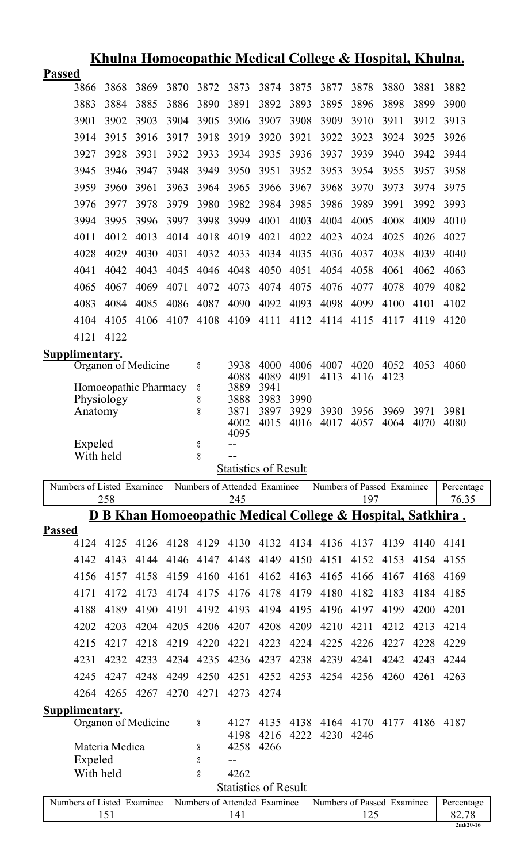|               |                            |                |                       |           |                    |                                     |              |      | <u>Khulna Homoeopathic Medical College &amp; Hospital, Khulna.</u>     |      |      |      |                     |
|---------------|----------------------------|----------------|-----------------------|-----------|--------------------|-------------------------------------|--------------|------|------------------------------------------------------------------------|------|------|------|---------------------|
| <b>Passed</b> |                            |                |                       |           |                    |                                     |              |      |                                                                        |      |      |      |                     |
|               | 3866                       | 3868           | 3869                  | 3870      | 3872               | 3873                                | 3874         | 3875 | 3877                                                                   | 3878 | 3880 | 3881 | 3882                |
|               | 3883                       | 3884           | 3885                  | 3886      | 3890               | 3891                                | 3892         | 3893 | 3895                                                                   | 3896 | 3898 | 3899 | 3900                |
|               | 3901                       | 3902           | 3903                  | 3904      | 3905               | 3906                                | 3907         | 3908 | 3909                                                                   | 3910 | 3911 | 3912 | 3913                |
|               | 3914                       | 3915           | 3916                  | 3917      | 3918               | 3919                                | 3920         | 3921 | 3922                                                                   | 3923 | 3924 | 3925 | 3926                |
|               | 3927                       | 3928           | 3931                  | 3932      | 3933               | 3934                                | 3935         | 3936 | 3937                                                                   | 3939 | 3940 | 3942 | 3944                |
|               | 3945                       | 3946           | 3947                  | 3948      | 3949               | 3950                                | 3951         | 3952 | 3953                                                                   | 3954 | 3955 | 3957 | 3958                |
|               | 3959                       | 3960           | 3961                  | 3963      | 3964               | 3965                                | 3966         | 3967 | 3968                                                                   | 3970 | 3973 | 3974 | 3975                |
|               | 3976                       | 3977           | 3978                  | 3979      | 3980               | 3982                                | 3984         | 3985 | 3986                                                                   | 3989 | 3991 | 3992 | 3993                |
|               | 3994                       | 3995           | 3996                  | 3997      | 3998               | 3999                                | 4001         | 4003 | 4004                                                                   | 4005 | 4008 | 4009 | 4010                |
|               | 4011                       | 4012           | 4013                  | 4014      | 4018               | 4019                                | 4021         | 4022 | 4023                                                                   | 4024 | 4025 | 4026 | 4027                |
|               | 4028                       | 4029           | 4030                  | 4031      | 4032               | 4033                                | 4034         | 4035 | 4036                                                                   | 4037 | 4038 | 4039 | 4040                |
|               | 4041                       | 4042           | 4043                  | 4045      | 4046               | 4048                                | 4050         | 4051 | 4054                                                                   | 4058 | 4061 | 4062 | 4063                |
|               | 4065                       | 4067           | 4069                  | 4071      | 4072               | 4073                                | 4074         | 4075 | 4076                                                                   | 4077 | 4078 | 4079 | 4082                |
|               | 4083                       | 4084           | 4085                  | 4086      | 4087               | 4090                                | 4092         | 4093 | 4098                                                                   | 4099 | 4100 | 4101 | 4102                |
|               | 4104                       | 4105           | 4106                  | 4107      | 4108               | 4109                                | 4111         | 4112 | 4114                                                                   | 4115 | 4117 | 4119 | 4120                |
|               | 4121                       | 4122           |                       |           |                    |                                     |              |      |                                                                        |      |      |      |                     |
|               |                            |                |                       |           |                    |                                     |              |      |                                                                        |      |      |      |                     |
|               | Supplimentary.             |                | Organon of Medicine   |           | °                  | 3938                                | 4000         | 4006 | 4007                                                                   | 4020 | 4052 | 4053 | 4060                |
|               |                            |                |                       |           |                    | 4088                                | 4089<br>3941 | 4091 | 4113                                                                   | 4116 | 4123 |      |                     |
|               |                            | Physiology     | Homoeopathic Pharmacy |           | °<br>°             | 3889<br>3888                        | 3983         | 3990 |                                                                        |      |      |      |                     |
|               | Anatomy                    |                |                       |           | $^{\rm o}_{\rm o}$ | 3871                                | 3897         | 3929 | 3930                                                                   | 3956 | 3969 | 3971 | 3981                |
|               |                            |                |                       |           |                    | 4002<br>4095                        | 4015         | 4016 | 4017                                                                   | 4057 | 4064 | 4070 | 4080                |
|               | Expeled                    |                |                       |           | °                  |                                     |              |      |                                                                        |      |      |      |                     |
|               | With held                  |                |                       |           | o<br>0             |                                     |              |      |                                                                        |      |      |      |                     |
|               |                            |                |                       |           |                    | <b>Statistics of Result</b>         |              |      |                                                                        |      |      |      |                     |
|               |                            |                |                       |           |                    |                                     |              |      |                                                                        |      |      |      |                     |
|               | Numbers of Listed Examinee |                |                       |           |                    | Numbers of Attended Examinee        |              |      | Numbers of Passed Examinee                                             |      |      |      | Percentage          |
|               |                            | 258            |                       |           |                    | 245                                 |              |      |                                                                        | 197  |      |      | 76.35               |
|               |                            |                |                       |           |                    |                                     |              |      | <u>D B Khan Homoeopathic Medical College &amp; Hospital, Satkhira.</u> |      |      |      |                     |
| <b>Passed</b> | 4124                       | 4125           |                       | 4126 4128 |                    | 4129 4130                           | 4132         |      | 4134 4136                                                              | 4137 | 4139 | 4140 | 4141                |
|               | 4142                       | 4143           | 4144                  | 4146      | 4147               | 4148                                | 4149         | 4150 | 4151                                                                   | 4152 | 4153 | 4154 | 4155                |
|               | 4156                       | 4157           | 4158                  | 4159      | 4160               | 4161                                | 4162         | 4163 | 4165                                                                   | 4166 | 4167 | 4168 | 4169                |
|               | 4171                       | 4172           | 4173                  |           | 4175               |                                     |              |      |                                                                        |      |      |      |                     |
|               |                            |                |                       | 4174      |                    | 4176                                | 4178         | 4179 | 4180                                                                   | 4182 | 4183 | 4184 | 4185                |
|               | 4188                       | 4189           | 4190                  | 4191      | 4192               | 4193                                | 4194         | 4195 | 4196                                                                   | 4197 | 4199 | 4200 | 4201                |
|               | 4202                       | 4203           | 4204                  | 4205      | 4206               | 4207                                | 4208         | 4209 | 4210                                                                   | 4211 | 4212 | 4213 | 4214                |
|               | 4215                       | 4217           | 4218                  | 4219      | 4220               | 4221                                | 4223         | 4224 | 4225                                                                   | 4226 | 4227 | 4228 | 4229                |
|               | 4231                       | 4232           | 4233                  | 4234      | 4235               | 4236                                | 4237         | 4238 | 4239                                                                   | 4241 | 4242 | 4243 | 4244                |
|               | 4245                       | 4247           | 4248                  | 4249      | 4250               | 4251                                | 4252         | 4253 | 4254                                                                   | 4256 | 4260 | 4261 | 4263                |
|               | 4264                       | 4265           | 4267                  | 4270      | 4271               | 4273                                | 4274         |      |                                                                        |      |      |      |                     |
|               | Supplimentary.             |                |                       |           |                    |                                     |              |      |                                                                        |      |      |      |                     |
|               |                            |                | Organon of Medicine   |           | °                  | 4127<br>4198                        | 4135<br>4216 | 4222 | 4138 4164 4170 4177<br>4230 4246                                       |      |      |      | 4186 4187           |
|               |                            | Materia Medica |                       |           | 8                  |                                     | 4258 4266    |      |                                                                        |      |      |      |                     |
|               | Expeled                    |                |                       |           | 8                  |                                     |              |      |                                                                        |      |      |      |                     |
|               | With held                  |                |                       |           | $_{\rm 8}^{\rm o}$ | 4262                                |              |      |                                                                        |      |      |      |                     |
|               |                            |                |                       |           |                    | <b>Statistics of Result</b>         |              |      |                                                                        |      |      |      |                     |
|               | Numbers of Listed Examinee | 151            |                       |           |                    | Numbers of Attended Examinee<br>141 |              |      | Numbers of Passed Examinee                                             | 125  |      |      | Percentage<br>82.78 |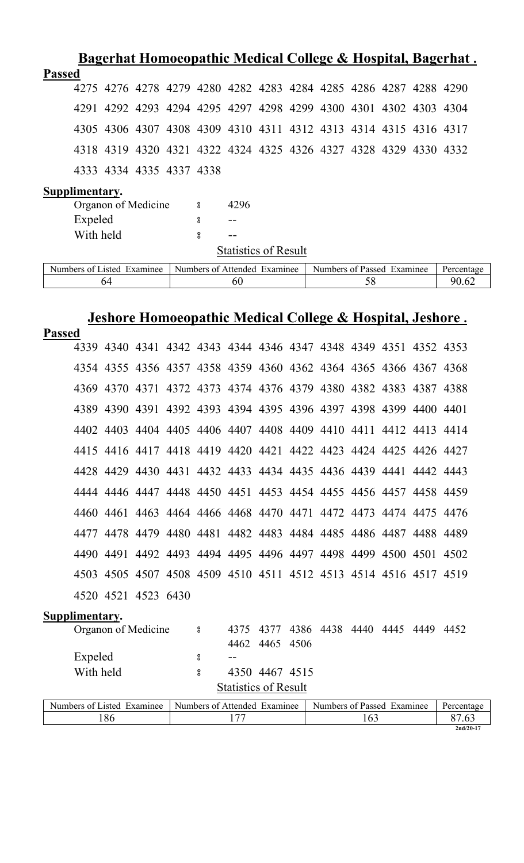|                                                                  |    |  |                                                           |                             |  |                            |    |  | <u> Bagerhat Homoeopathic Medical College &amp; Hospital, Bagerhat.</u> |
|------------------------------------------------------------------|----|--|-----------------------------------------------------------|-----------------------------|--|----------------------------|----|--|-------------------------------------------------------------------------|
| <b>Passed</b>                                                    |    |  |                                                           |                             |  |                            |    |  |                                                                         |
| 4275 4276 4278 4279 4280 4282 4283 4284 4285 4286 4287 4288 4290 |    |  |                                                           |                             |  |                            |    |  |                                                                         |
| 4291 4292 4293 4294 4295 4297 4298 4299 4300 4301 4302 4303 4304 |    |  |                                                           |                             |  |                            |    |  |                                                                         |
| 4305 4306 4307 4308 4309 4310 4311 4312 4313 4314 4315 4316 4317 |    |  |                                                           |                             |  |                            |    |  |                                                                         |
| 4318 4319 4320 4321 4322 4324 4325 4326 4327 4328 4329 4330 4332 |    |  |                                                           |                             |  |                            |    |  |                                                                         |
| 4333 4334 4335 4337 4338                                         |    |  |                                                           |                             |  |                            |    |  |                                                                         |
| Supplimentary.                                                   |    |  |                                                           |                             |  |                            |    |  |                                                                         |
| Organon of Medicine                                              |    |  | °                                                         | 4296                        |  |                            |    |  |                                                                         |
| Expeled                                                          |    |  | 8                                                         |                             |  |                            |    |  |                                                                         |
| With held                                                        |    |  | 8                                                         |                             |  |                            |    |  |                                                                         |
|                                                                  |    |  |                                                           | <b>Statistics of Result</b> |  |                            |    |  |                                                                         |
|                                                                  |    |  |                                                           |                             |  |                            |    |  |                                                                         |
| Numbers of Listed Examinee                                       |    |  | Numbers of Attended Examinee                              |                             |  | Numbers of Passed Examinee |    |  | Percentage                                                              |
|                                                                  | 64 |  |                                                           | 60                          |  |                            | 58 |  | 90.62                                                                   |
|                                                                  |    |  |                                                           |                             |  |                            |    |  |                                                                         |
|                                                                  |    |  |                                                           |                             |  |                            |    |  |                                                                         |
| <b>Passed</b>                                                    |    |  | Jeshore Homoeopathic Medical College & Hospital, Jeshore. |                             |  |                            |    |  |                                                                         |
| 4339 4340 4341 4342 4343 4344 4346 4347 4348 4349 4351 4352 4353 |    |  |                                                           |                             |  |                            |    |  |                                                                         |
| 4354 4355 4356 4357 4358 4359 4360 4362 4364 4365 4366 4367 4368 |    |  |                                                           |                             |  |                            |    |  |                                                                         |
| 4369 4370 4371 4372 4373 4374 4376 4379 4380 4382 4383 4387 4388 |    |  |                                                           |                             |  |                            |    |  |                                                                         |
| 4389 4390 4391 4392 4393 4394 4395 4396 4397 4398 4399 4400 4401 |    |  |                                                           |                             |  |                            |    |  |                                                                         |
| 4402 4403 4404 4405 4406 4407 4408 4409 4410 4411 4412 4413 4414 |    |  |                                                           |                             |  |                            |    |  |                                                                         |

| 4503 4505 4507 4508 4509 4510 4511 4512 4513 4514 4516 4517 4519 |  |  |  |                                         |  |
|------------------------------------------------------------------|--|--|--|-----------------------------------------|--|
| 4520 4521 4523 6430                                              |  |  |  |                                         |  |
| Supplimentary.                                                   |  |  |  |                                         |  |
| Organon of Medicine                                              |  |  |  | 4375 4377 4386 4438 4440 4445 4449 4452 |  |

| Organon of Medicine                                       |                             |                |  | 4373 4377 4380 4438 4440 4443 4449 4432 |  |                        |  |
|-----------------------------------------------------------|-----------------------------|----------------|--|-----------------------------------------|--|------------------------|--|
|                                                           |                             | 4462 4465 4506 |  |                                         |  |                        |  |
| Expeled                                                   | $- -$                       |                |  |                                         |  |                        |  |
| With held                                                 |                             | 4350 4467 4515 |  |                                         |  |                        |  |
|                                                           | <b>Statistics of Result</b> |                |  |                                         |  |                        |  |
| Numbers of Listed Evamines   Numbers of Attended Evamines |                             |                |  | Numbers of Dassed Evenings              |  | $D$ <sub>arcanta</sub> |  |

4428 4429 4430 4431 4432 4433 4434 4435 4436 4439 4441 4442 4443

4444 4446 4447 4448 4450 4451 4453 4454 4455 4456 4457 4458 4459

4460 4461 4463 4464 4466 4468 4470 4471 4472 4473 4474 4475 4476

4477 4478 4479 4480 4481 4482 4483 4484 4485 4486 4487 4488 4489

4490 4491 4492 4493 4494 4495 4496 4497 4498 4499 4500 4501 4502

| $\mathbf{r}$ .<br>Examinee<br>usted.<br>Numbers<br>0Ť | Numbers of<br>$\blacksquare$<br>Attended<br>Examinee | $\sim$ $\sim$<br>$\blacksquare$<br>Numbers<br>of Passed<br>Examinee | Percentage  |
|-------------------------------------------------------|------------------------------------------------------|---------------------------------------------------------------------|-------------|
| 86                                                    | $\overline{\phantom{a}}$                             | 1 V.J                                                               | ⌒冖          |
|                                                       |                                                      |                                                                     | $2nd/20-17$ |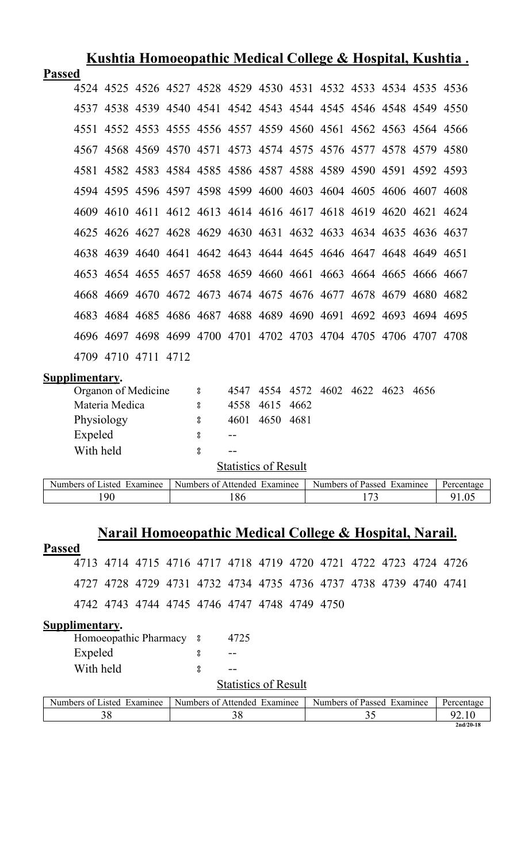|               |                            |                |                     |                              |      |                             |      | <u>Kushtia Homoeopathic Medical College &amp; Hospital, Kushtia.</u> |  |            |
|---------------|----------------------------|----------------|---------------------|------------------------------|------|-----------------------------|------|----------------------------------------------------------------------|--|------------|
| <b>Passed</b> |                            |                |                     |                              |      |                             |      |                                                                      |  |            |
|               |                            |                |                     |                              |      |                             |      | 4524 4525 4526 4527 4528 4529 4530 4531 4532 4533 4534 4535 4536     |  |            |
|               |                            |                |                     |                              |      |                             |      | 4537 4538 4539 4540 4541 4542 4543 4544 4545 4546 4548 4549 4550     |  |            |
|               |                            |                |                     |                              |      |                             |      | 4551 4552 4553 4555 4556 4557 4559 4560 4561 4562 4563 4564 4566     |  |            |
|               |                            |                |                     |                              |      |                             |      | 4567 4568 4569 4570 4571 4573 4574 4575 4576 4577 4578 4579 4580     |  |            |
|               |                            |                |                     |                              |      |                             |      | 4581 4582 4583 4584 4585 4586 4587 4588 4589 4590 4591 4592 4593     |  |            |
|               |                            |                |                     |                              |      |                             |      | 4594 4595 4596 4597 4598 4599 4600 4603 4604 4605 4606 4607 4608     |  |            |
|               |                            |                |                     |                              |      |                             |      | 4609 4610 4611 4612 4613 4614 4616 4617 4618 4619 4620 4621 4624     |  |            |
|               |                            |                |                     |                              |      |                             |      | 4625 4626 4627 4628 4629 4630 4631 4632 4633 4634 4635 4636 4637     |  |            |
|               |                            |                |                     |                              |      |                             |      | 4638 4639 4640 4641 4642 4643 4644 4645 4646 4647 4648 4649 4651     |  |            |
|               |                            |                |                     |                              |      |                             |      | 4653 4654 4655 4657 4658 4659 4660 4661 4663 4664 4665 4666 4667     |  |            |
|               |                            |                |                     |                              |      |                             |      | 4668 4669 4670 4672 4673 4674 4675 4676 4677 4678 4679 4680 4682     |  |            |
|               |                            |                |                     |                              |      |                             |      | 4683 4684 4685 4686 4687 4688 4689 4690 4691 4692 4693 4694 4695     |  |            |
|               |                            |                |                     |                              |      |                             |      | 4696 4697 4698 4699 4700 4701 4702 4703 4704 4705 4706 4707 4708     |  |            |
|               |                            |                | 4709 4710 4711 4712 |                              |      |                             |      |                                                                      |  |            |
|               | Supplimentary.             |                |                     |                              |      |                             |      |                                                                      |  |            |
|               |                            |                | Organon of Medicine | $\rm ^o$                     | 4547 | 4554                        |      | 4572 4602 4622 4623 4656                                             |  |            |
|               |                            | Materia Medica |                     | 8                            | 4558 | 4615                        | 4662 |                                                                      |  |            |
|               | Physiology                 |                |                     | 8                            | 4601 | 4650 4681                   |      |                                                                      |  |            |
|               | Expeled                    |                |                     | 8                            | $-$  |                             |      |                                                                      |  |            |
|               | With held                  |                |                     | 8                            | $-$  |                             |      |                                                                      |  |            |
|               |                            |                |                     |                              |      | <b>Statistics of Result</b> |      |                                                                      |  |            |
|               | Numbers of Listed Examinee |                |                     | Numbers of Attended Examinee |      |                             |      | Numbers of Passed Examinee                                           |  | Percentage |

## **Narail Homoeopathic Medical College & Hospital, Narail.**

190 186 173 91.05

#### **Passed**

4713 4714 4715 4716 4717 4718 4719 4720 4721 4722 4723 4724 4726 4727 4728 4729 4731 4732 4734 4735 4736 4737 4738 4739 4740 4741 4742 4743 4744 4745 4746 4747 4748 4749 4750

#### **Supplimentary.**

| Homoeopathic Pharmacy |   | 4725                 |
|-----------------------|---|----------------------|
| Expeled               |   |                      |
| With held             | ႙ |                      |
|                       |   | $\sim \cdot$ $\cdot$ |

#### **Statistics of Result**

| Numbers of<br>Examinee<br>usted. | Attended<br>Numbers of<br>Examinee | Numbers of Passed<br>Examinee | Percentage         |
|----------------------------------|------------------------------------|-------------------------------|--------------------|
| າ ເ<br>υu                        | υu                                 | ັັ                            | $\sim \cdot \cdot$ |
|                                  |                                    |                               | $2nd/20-18$        |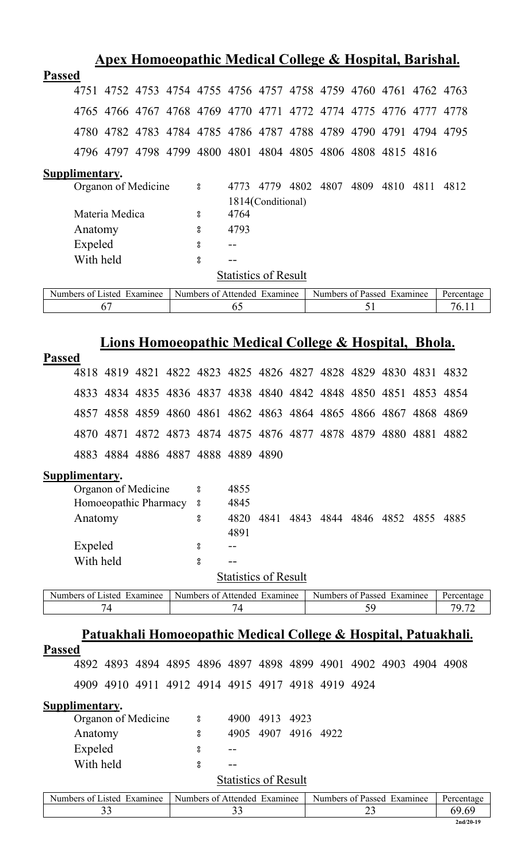| Apex Homoeopathic Medical College & Hospital, Barishal. |           |                |                            |  |   |                              |                   |  |                                                                  |      |      |      |            |
|---------------------------------------------------------|-----------|----------------|----------------------------|--|---|------------------------------|-------------------|--|------------------------------------------------------------------|------|------|------|------------|
| <b>Passed</b>                                           |           |                |                            |  |   |                              |                   |  |                                                                  |      |      |      |            |
|                                                         | 4751      |                |                            |  |   |                              |                   |  | 4752 4753 4754 4755 4756 4757 4758 4759 4760 4761 4762 4763      |      |      |      |            |
|                                                         |           |                |                            |  |   |                              |                   |  | 4765 4766 4767 4768 4769 4770 4771 4772 4774 4775 4776 4777 4778 |      |      |      |            |
|                                                         |           |                |                            |  |   |                              |                   |  | 4780 4782 4783 4784 4785 4786 4787 4788 4789 4790 4791 4794 4795 |      |      |      |            |
|                                                         |           |                |                            |  |   |                              |                   |  | 4796 4797 4798 4799 4800 4801 4804 4805 4806 4808 4815 4816      |      |      |      |            |
| Supplimentary.                                          |           |                |                            |  |   |                              |                   |  |                                                                  |      |      |      |            |
|                                                         |           |                | Organon of Medicine        |  | ° | 4773                         |                   |  | 4779 4802 4807                                                   | 4809 | 4810 | 4811 | 4812       |
|                                                         |           |                |                            |  |   |                              | 1814(Conditional) |  |                                                                  |      |      |      |            |
|                                                         |           | Materia Medica |                            |  | 8 | 4764                         |                   |  |                                                                  |      |      |      |            |
|                                                         | Anatomy   |                |                            |  | 8 | 4793                         |                   |  |                                                                  |      |      |      |            |
|                                                         | Expeled   |                |                            |  | 8 |                              |                   |  |                                                                  |      |      |      |            |
|                                                         | With held |                |                            |  | 8 |                              |                   |  |                                                                  |      |      |      |            |
|                                                         |           |                |                            |  |   | <b>Statistics of Result</b>  |                   |  |                                                                  |      |      |      |            |
|                                                         |           |                | Numbers of Listed Examinee |  |   | Numbers of Attended Examinee |                   |  | Numbers of Passed Examinee                                       |      |      |      | Percentage |
|                                                         |           | 67             |                            |  |   | 65                           |                   |  |                                                                  | 51   |      |      | 76.11      |
|                                                         |           |                |                            |  |   |                              |                   |  |                                                                  |      |      |      |            |

# **Lions Homoeopathic Medical College & Hospital, Bhola.**

| <b>Passed</b>                                                                                 |                                    |  |   |                              |      |      |                                                                  |    |           |                                                                            |
|-----------------------------------------------------------------------------------------------|------------------------------------|--|---|------------------------------|------|------|------------------------------------------------------------------|----|-----------|----------------------------------------------------------------------------|
|                                                                                               |                                    |  |   |                              |      |      | 4818 4819 4821 4822 4823 4825 4826 4827 4828 4829 4830 4831 4832 |    |           |                                                                            |
|                                                                                               |                                    |  |   |                              |      |      | 4833 4834 4835 4836 4837 4838 4840 4842 4848 4850 4851 4853 4854 |    |           |                                                                            |
|                                                                                               |                                    |  |   |                              |      |      | 4857 4858 4859 4860 4861 4862 4863 4864 4865 4866 4867 4868 4869 |    |           |                                                                            |
|                                                                                               |                                    |  |   |                              |      |      | 4870 4871 4872 4873 4874 4875 4876 4877 4878 4879 4880 4881 4882 |    |           |                                                                            |
|                                                                                               | 4883 4884 4886 4887 4888 4889 4890 |  |   |                              |      |      |                                                                  |    |           |                                                                            |
| <b>Supplimentary.</b>                                                                         |                                    |  |   |                              |      |      |                                                                  |    |           |                                                                            |
|                                                                                               | Organon of Medicine                |  | ° | 4855                         |      |      |                                                                  |    |           |                                                                            |
|                                                                                               | Homoeopathic Pharmacy 8            |  |   | 4845                         |      |      |                                                                  |    |           |                                                                            |
| Anatomy                                                                                       |                                    |  | 8 | 4820                         |      |      | 4841 4843 4844 4846 4852                                         |    | 4855 4885 |                                                                            |
|                                                                                               |                                    |  |   | 4891                         |      |      |                                                                  |    |           |                                                                            |
| Expeled                                                                                       |                                    |  | 8 |                              |      |      |                                                                  |    |           |                                                                            |
| With held                                                                                     |                                    |  | 8 |                              |      |      |                                                                  |    |           |                                                                            |
|                                                                                               |                                    |  |   |                              |      |      |                                                                  |    |           |                                                                            |
|                                                                                               |                                    |  |   | <b>Statistics of Result</b>  |      |      |                                                                  |    |           |                                                                            |
| Numbers of Listed Examinee                                                                    |                                    |  |   | Numbers of Attended Examinee |      |      | Numbers of Passed Examinee                                       |    |           | Percentage                                                                 |
|                                                                                               | 74                                 |  |   | 74                           |      |      |                                                                  | 59 |           | 79.72                                                                      |
|                                                                                               |                                    |  |   |                              |      |      |                                                                  |    |           |                                                                            |
|                                                                                               |                                    |  |   |                              |      |      |                                                                  |    |           | <u>Patuakhali Homoeopathic Medical College &amp; Hospital, Patuakhali.</u> |
| <b>Passed</b>                                                                                 |                                    |  |   |                              |      |      | 4892 4893 4894 4895 4896 4897 4898 4899 4901 4902 4903 4904 4908 |    |           |                                                                            |
|                                                                                               |                                    |  |   |                              |      |      | 4909 4910 4911 4912 4914 4915 4917 4918 4919 4924                |    |           |                                                                            |
|                                                                                               |                                    |  |   |                              |      |      |                                                                  |    |           |                                                                            |
| Supplimentary.                                                                                |                                    |  |   |                              |      |      |                                                                  |    |           |                                                                            |
|                                                                                               | Organon of Medicine                |  | 8 | 4900                         | 4913 | 4923 |                                                                  |    |           |                                                                            |
| Anatomy                                                                                       |                                    |  | ° | 4905                         | 4907 | 4916 | 4922                                                             |    |           |                                                                            |
| Expeled                                                                                       |                                    |  | 8 |                              |      |      |                                                                  |    |           |                                                                            |
| With held                                                                                     |                                    |  | 8 |                              |      |      |                                                                  |    |           |                                                                            |
|                                                                                               |                                    |  |   | <b>Statistics of Result</b>  |      |      |                                                                  |    |           |                                                                            |
| Numbers of Listed Examinee Numbers of Attended Examinee Numbers of Passed Examinee Percentage |                                    |  |   |                              |      |      |                                                                  |    |           |                                                                            |

| Numbers of Listed Examinee | Numbers of Attended Examinee | Numbers of Passed Examinee | Percentage  |
|----------------------------|------------------------------|----------------------------|-------------|
|                            |                              |                            |             |
|                            |                              |                            | $2nd/20-19$ |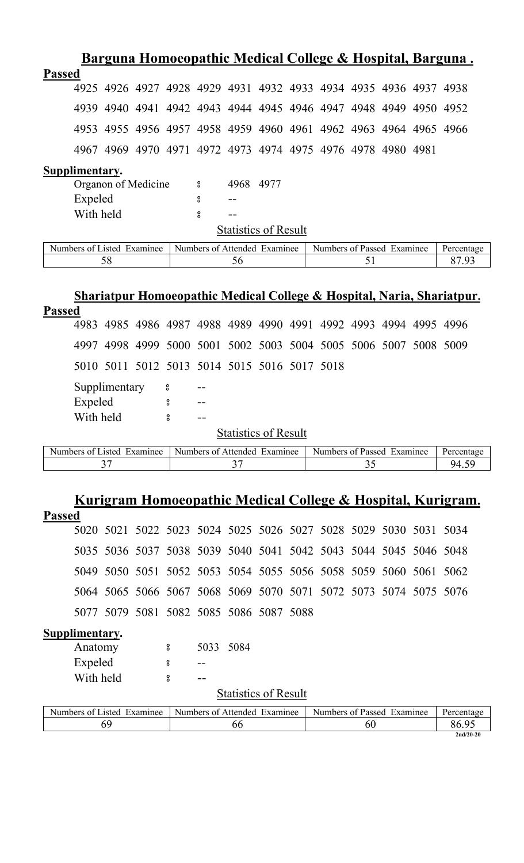|                                                                        | Barguna Homoeopathic Medical College & Hospital, Barguna.        |  |  |                              |           |                             |  |                                                             |    |  |            |
|------------------------------------------------------------------------|------------------------------------------------------------------|--|--|------------------------------|-----------|-----------------------------|--|-------------------------------------------------------------|----|--|------------|
| <b>Passed</b>                                                          |                                                                  |  |  |                              |           |                             |  |                                                             |    |  |            |
|                                                                        | 4925 4926 4927 4928 4929 4931 4932 4933 4934 4935 4936 4937 4938 |  |  |                              |           |                             |  |                                                             |    |  |            |
| 4939                                                                   |                                                                  |  |  |                              |           |                             |  | 4940 4941 4942 4943 4944 4945 4946 4947 4948 4949 4950 4952 |    |  |            |
| 4953                                                                   |                                                                  |  |  |                              |           |                             |  | 4955 4956 4957 4958 4959 4960 4961 4962 4963 4964 4965 4966 |    |  |            |
|                                                                        | 4967 4969 4970 4971 4972 4973 4974 4975 4976 4978 4980 4981      |  |  |                              |           |                             |  |                                                             |    |  |            |
| Supplimentary.                                                         |                                                                  |  |  |                              |           |                             |  |                                                             |    |  |            |
|                                                                        | Organon of Medicine                                              |  |  | $\boldsymbol{S}$             | 4968 4977 |                             |  |                                                             |    |  |            |
|                                                                        | Expeled                                                          |  |  | 8                            |           |                             |  |                                                             |    |  |            |
|                                                                        | With held                                                        |  |  | $_{\rm o}^{\rm o}$           |           |                             |  |                                                             |    |  |            |
|                                                                        |                                                                  |  |  |                              |           | <b>Statistics of Result</b> |  |                                                             |    |  |            |
| Numbers of Listed Examinee                                             |                                                                  |  |  | Numbers of Attended Examinee |           |                             |  | Numbers of Passed Examinee                                  |    |  | Percentage |
|                                                                        | 58                                                               |  |  |                              | 56        |                             |  |                                                             | 51 |  | 87.93      |
| Shariatpur Homoeopathic Medical College & Hospital, Naria, Shariatpur. |                                                                  |  |  |                              |           |                             |  |                                                             |    |  |            |
| <b>Passed</b>                                                          |                                                                  |  |  |                              |           |                             |  |                                                             |    |  |            |
| 4983                                                                   |                                                                  |  |  |                              |           |                             |  | 4985 4986 4987 4988 4989 4990 4991 4992 4993 4994           |    |  | 4995 4996  |

Supplimentary 8 --

5010 5011 5012 5013 5014 5015 5016 5017 5018

| Expeled   |  |
|-----------|--|
| With held |  |

**Statistics of Result** 

| Numbers of Listed Examinee | Numbers of Attended Examinee | Numbers of Passed Examinee | <b>Percentage</b> |
|----------------------------|------------------------------|----------------------------|-------------------|
|                            |                              |                            |                   |

4997 4998 4999 5000 5001 5002 5003 5004 5005 5006 5007 5008 5009

### **Kurigram Homoeopathic Medical College & Hospital, Kurigram.**

| L | x<br>N. | 丶<br>↖ |  |
|---|---------|--------|--|
|   |         |        |  |

|  | 5020 5021 5022 5023 5024 5025 5026 5027 5028 5029 5030 5031 5034 |  |  |  |  |  |
|--|------------------------------------------------------------------|--|--|--|--|--|
|  | 5035 5036 5037 5038 5039 5040 5041 5042 5043 5044 5045 5046 5048 |  |  |  |  |  |
|  | 5049 5050 5051 5052 5053 5054 5055 5056 5058 5059 5060 5061 5062 |  |  |  |  |  |
|  | 5064 5065 5066 5067 5068 5069 5070 5071 5072 5073 5074 5075 5076 |  |  |  |  |  |
|  | 5077 5079 5081 5082 5085 5086 5087 5088                          |  |  |  |  |  |

### **Supplimentary.**

| Anatomy   | ႙ | 5033 5084 |  |
|-----------|---|-----------|--|
| Expeled   |   |           |  |
| With held | ႙ |           |  |

#### **Statistics of Result**

| $\blacksquare$<br>Examinee<br>Numbers of<br>.1sted | Numbers of Attended<br>$\blacksquare$<br>Examinee | $\blacksquare$<br>Passed<br>Examinee<br>Numbers of | Percentage  |
|----------------------------------------------------|---------------------------------------------------|----------------------------------------------------|-------------|
|                                                    | - OC                                              | υU                                                 | 86.9        |
|                                                    |                                                   |                                                    | $2nd/20-20$ |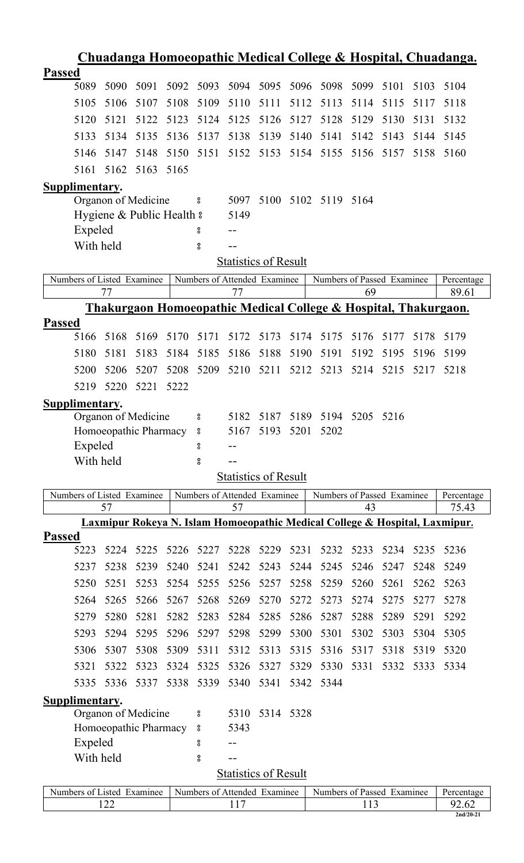| <b>Passed</b><br>5089<br>5091<br>5093<br>5094<br>5095<br>5096<br>5099<br>5090<br>5092<br>5098<br>5101<br>5103<br>5104<br>5106<br>5108<br>5109<br>5105<br>5107<br>5110<br>5111<br>5112<br>5113<br>5114<br>5115<br>5117<br>5118<br>5124<br>5125<br>5126<br>5127<br>5128<br>5129<br>5130<br>5120<br>5121<br>5122<br>5123<br>5131<br>5132<br>5134<br>5135<br>5136<br>5137<br>5138<br>5139<br>5140<br>5141<br>5143<br>5133<br>5142<br>5144<br>5145<br>5148<br>5150<br>5151<br>5152 5153<br>5154 5155<br>5156<br>5157<br>5146<br>5147<br>5158<br>5160<br>5162<br>5163<br>5165<br>5161<br>Supplimentary.<br>Organon of Medicine<br>5100 5102 5119 5164<br>5097<br>$\bf{S}$<br>Hygiene & Public Health &<br>5149<br>Expeled<br>8<br>With held<br>$^{\rm o}_{\rm o}$<br>Statistics of Result<br>Numbers of Listed Examinee<br>Numbers of Attended Examinee<br>Numbers of Passed Examinee<br>Percentage<br>77<br>69<br>89.61<br>77<br>Thakurgaon Homoeopathic Medical College & Hospital, Thakurgaon.<br><b>Passed</b><br>5166<br>5168<br>5169<br>5170<br>5171<br>5172<br>5173<br>5174<br>5175<br>5176<br>5179<br>5177<br>5178<br>5180<br>5181<br>5183<br>5184<br>5185<br>5186<br>5188<br>5191<br>5190<br>5192<br>5195<br>5196<br>5199<br>5209<br>5210<br>5211<br>5212<br>5213<br>5214<br>5215<br>5200<br>5206<br>5207<br>5208<br>5217<br>5218<br>5220<br>5221<br>5222<br>5219<br>Supplimentary.<br>Organon of Medicine<br>5182<br>5187<br>5189<br>5194<br>5205<br>5216<br>8<br>Homoeopathic Pharmacy<br>5167<br>5193<br>5201<br>5202<br>$\bf{S}$<br>Expeled<br>$\rm ^o$<br>With held<br>8<br><b>Statistics of Result</b><br>Numbers of Listed Examinee<br>Numbers of Attended Examinee<br>Numbers of Passed Examinee<br>Percentage<br>57<br>75.43<br>57<br>43<br>Laxmipur Rokeya N. Islam Homoeopathic Medical College & Hospital, Laxmipur.<br><b>Passed</b><br>5224<br>5225<br>5226<br>5227<br>5228<br>5229<br>5231<br>5232<br>5233<br>5234<br>5235<br>5223<br>5236<br>5238<br>5239<br>5240<br>5241<br>5243<br>5244<br>5245<br>5237<br>5242<br>5246<br>5247<br>5248<br>5249<br>5251<br>5253<br>5254<br>5255<br>5256<br>5257<br>5259<br>5260<br>5261<br>5262<br>5263<br>5250<br>5258<br>5267<br>5270<br>5273<br>5274<br>5275<br>5277<br>5264<br>5265<br>5266<br>5268<br>5269<br>5272<br>5278<br>5280<br>5281<br>5282<br>5283<br>5284<br>5285<br>5286<br>5287<br>5288<br>5289<br>5291<br>5292<br>5279<br>5294<br>5295<br>5296<br>5297<br>5298<br>5299<br>5300<br>5301<br>5302<br>5303<br>5304<br>5305<br>5293<br>5307<br>5308<br>5309<br>5311<br>5313<br>5315<br>5316<br>5317<br>5318<br>5319<br>5320<br>5306<br>5312<br>5325<br>5323<br>5324<br>5326<br>5327<br>5329<br>5330<br>5331<br>5332<br>5333<br>5321<br>5322<br>5334<br>5338<br>5339<br>5340<br>5341<br>5335<br>5336<br>5337<br>5342<br>5344<br>Supplimentary.<br>Organon of Medicine<br>5314 5328<br>5310<br>$\rm ^o$<br>Homoeopathic Pharmacy<br>5343<br>$\bf{S}$<br>Expeled<br>°<br>With held<br>$^{\rm o}_{\rm o}$<br>--<br><b>Statistics of Result</b><br>Numbers of Listed Examinee<br>Numbers of Attended Examinee<br>Numbers of Passed Examinee<br>Percentage<br>122<br>117<br>113<br>92.62<br>$2nd/20-21$ |  |  |  |  |  |  |  |  |  |  | <u> Chuadanga Homoeopathic Medical College &amp; Hospital, Chuadanga.</u> |
|--------------------------------------------------------------------------------------------------------------------------------------------------------------------------------------------------------------------------------------------------------------------------------------------------------------------------------------------------------------------------------------------------------------------------------------------------------------------------------------------------------------------------------------------------------------------------------------------------------------------------------------------------------------------------------------------------------------------------------------------------------------------------------------------------------------------------------------------------------------------------------------------------------------------------------------------------------------------------------------------------------------------------------------------------------------------------------------------------------------------------------------------------------------------------------------------------------------------------------------------------------------------------------------------------------------------------------------------------------------------------------------------------------------------------------------------------------------------------------------------------------------------------------------------------------------------------------------------------------------------------------------------------------------------------------------------------------------------------------------------------------------------------------------------------------------------------------------------------------------------------------------------------------------------------------------------------------------------------------------------------------------------------------------------------------------------------------------------------------------------------------------------------------------------------------------------------------------------------------------------------------------------------------------------------------------------------------------------------------------------------------------------------------------------------------------------------------------------------------------------------------------------------------------------------------------------------------------------------------------------------------------------------------------------------------------------------------------------------------------------------------------------------------------------------------------------------------------------------------------------------------------------------------------------------------------------------------------------------------------------------------------------------------------------------------------------------------------------------------------------------------------------------------------------|--|--|--|--|--|--|--|--|--|--|---------------------------------------------------------------------------|
|                                                                                                                                                                                                                                                                                                                                                                                                                                                                                                                                                                                                                                                                                                                                                                                                                                                                                                                                                                                                                                                                                                                                                                                                                                                                                                                                                                                                                                                                                                                                                                                                                                                                                                                                                                                                                                                                                                                                                                                                                                                                                                                                                                                                                                                                                                                                                                                                                                                                                                                                                                                                                                                                                                                                                                                                                                                                                                                                                                                                                                                                                                                                                                    |  |  |  |  |  |  |  |  |  |  |                                                                           |
|                                                                                                                                                                                                                                                                                                                                                                                                                                                                                                                                                                                                                                                                                                                                                                                                                                                                                                                                                                                                                                                                                                                                                                                                                                                                                                                                                                                                                                                                                                                                                                                                                                                                                                                                                                                                                                                                                                                                                                                                                                                                                                                                                                                                                                                                                                                                                                                                                                                                                                                                                                                                                                                                                                                                                                                                                                                                                                                                                                                                                                                                                                                                                                    |  |  |  |  |  |  |  |  |  |  |                                                                           |
|                                                                                                                                                                                                                                                                                                                                                                                                                                                                                                                                                                                                                                                                                                                                                                                                                                                                                                                                                                                                                                                                                                                                                                                                                                                                                                                                                                                                                                                                                                                                                                                                                                                                                                                                                                                                                                                                                                                                                                                                                                                                                                                                                                                                                                                                                                                                                                                                                                                                                                                                                                                                                                                                                                                                                                                                                                                                                                                                                                                                                                                                                                                                                                    |  |  |  |  |  |  |  |  |  |  |                                                                           |
|                                                                                                                                                                                                                                                                                                                                                                                                                                                                                                                                                                                                                                                                                                                                                                                                                                                                                                                                                                                                                                                                                                                                                                                                                                                                                                                                                                                                                                                                                                                                                                                                                                                                                                                                                                                                                                                                                                                                                                                                                                                                                                                                                                                                                                                                                                                                                                                                                                                                                                                                                                                                                                                                                                                                                                                                                                                                                                                                                                                                                                                                                                                                                                    |  |  |  |  |  |  |  |  |  |  |                                                                           |
|                                                                                                                                                                                                                                                                                                                                                                                                                                                                                                                                                                                                                                                                                                                                                                                                                                                                                                                                                                                                                                                                                                                                                                                                                                                                                                                                                                                                                                                                                                                                                                                                                                                                                                                                                                                                                                                                                                                                                                                                                                                                                                                                                                                                                                                                                                                                                                                                                                                                                                                                                                                                                                                                                                                                                                                                                                                                                                                                                                                                                                                                                                                                                                    |  |  |  |  |  |  |  |  |  |  |                                                                           |
|                                                                                                                                                                                                                                                                                                                                                                                                                                                                                                                                                                                                                                                                                                                                                                                                                                                                                                                                                                                                                                                                                                                                                                                                                                                                                                                                                                                                                                                                                                                                                                                                                                                                                                                                                                                                                                                                                                                                                                                                                                                                                                                                                                                                                                                                                                                                                                                                                                                                                                                                                                                                                                                                                                                                                                                                                                                                                                                                                                                                                                                                                                                                                                    |  |  |  |  |  |  |  |  |  |  |                                                                           |
|                                                                                                                                                                                                                                                                                                                                                                                                                                                                                                                                                                                                                                                                                                                                                                                                                                                                                                                                                                                                                                                                                                                                                                                                                                                                                                                                                                                                                                                                                                                                                                                                                                                                                                                                                                                                                                                                                                                                                                                                                                                                                                                                                                                                                                                                                                                                                                                                                                                                                                                                                                                                                                                                                                                                                                                                                                                                                                                                                                                                                                                                                                                                                                    |  |  |  |  |  |  |  |  |  |  |                                                                           |
|                                                                                                                                                                                                                                                                                                                                                                                                                                                                                                                                                                                                                                                                                                                                                                                                                                                                                                                                                                                                                                                                                                                                                                                                                                                                                                                                                                                                                                                                                                                                                                                                                                                                                                                                                                                                                                                                                                                                                                                                                                                                                                                                                                                                                                                                                                                                                                                                                                                                                                                                                                                                                                                                                                                                                                                                                                                                                                                                                                                                                                                                                                                                                                    |  |  |  |  |  |  |  |  |  |  |                                                                           |
|                                                                                                                                                                                                                                                                                                                                                                                                                                                                                                                                                                                                                                                                                                                                                                                                                                                                                                                                                                                                                                                                                                                                                                                                                                                                                                                                                                                                                                                                                                                                                                                                                                                                                                                                                                                                                                                                                                                                                                                                                                                                                                                                                                                                                                                                                                                                                                                                                                                                                                                                                                                                                                                                                                                                                                                                                                                                                                                                                                                                                                                                                                                                                                    |  |  |  |  |  |  |  |  |  |  |                                                                           |
|                                                                                                                                                                                                                                                                                                                                                                                                                                                                                                                                                                                                                                                                                                                                                                                                                                                                                                                                                                                                                                                                                                                                                                                                                                                                                                                                                                                                                                                                                                                                                                                                                                                                                                                                                                                                                                                                                                                                                                                                                                                                                                                                                                                                                                                                                                                                                                                                                                                                                                                                                                                                                                                                                                                                                                                                                                                                                                                                                                                                                                                                                                                                                                    |  |  |  |  |  |  |  |  |  |  |                                                                           |
|                                                                                                                                                                                                                                                                                                                                                                                                                                                                                                                                                                                                                                                                                                                                                                                                                                                                                                                                                                                                                                                                                                                                                                                                                                                                                                                                                                                                                                                                                                                                                                                                                                                                                                                                                                                                                                                                                                                                                                                                                                                                                                                                                                                                                                                                                                                                                                                                                                                                                                                                                                                                                                                                                                                                                                                                                                                                                                                                                                                                                                                                                                                                                                    |  |  |  |  |  |  |  |  |  |  |                                                                           |
|                                                                                                                                                                                                                                                                                                                                                                                                                                                                                                                                                                                                                                                                                                                                                                                                                                                                                                                                                                                                                                                                                                                                                                                                                                                                                                                                                                                                                                                                                                                                                                                                                                                                                                                                                                                                                                                                                                                                                                                                                                                                                                                                                                                                                                                                                                                                                                                                                                                                                                                                                                                                                                                                                                                                                                                                                                                                                                                                                                                                                                                                                                                                                                    |  |  |  |  |  |  |  |  |  |  |                                                                           |
|                                                                                                                                                                                                                                                                                                                                                                                                                                                                                                                                                                                                                                                                                                                                                                                                                                                                                                                                                                                                                                                                                                                                                                                                                                                                                                                                                                                                                                                                                                                                                                                                                                                                                                                                                                                                                                                                                                                                                                                                                                                                                                                                                                                                                                                                                                                                                                                                                                                                                                                                                                                                                                                                                                                                                                                                                                                                                                                                                                                                                                                                                                                                                                    |  |  |  |  |  |  |  |  |  |  |                                                                           |
|                                                                                                                                                                                                                                                                                                                                                                                                                                                                                                                                                                                                                                                                                                                                                                                                                                                                                                                                                                                                                                                                                                                                                                                                                                                                                                                                                                                                                                                                                                                                                                                                                                                                                                                                                                                                                                                                                                                                                                                                                                                                                                                                                                                                                                                                                                                                                                                                                                                                                                                                                                                                                                                                                                                                                                                                                                                                                                                                                                                                                                                                                                                                                                    |  |  |  |  |  |  |  |  |  |  |                                                                           |
|                                                                                                                                                                                                                                                                                                                                                                                                                                                                                                                                                                                                                                                                                                                                                                                                                                                                                                                                                                                                                                                                                                                                                                                                                                                                                                                                                                                                                                                                                                                                                                                                                                                                                                                                                                                                                                                                                                                                                                                                                                                                                                                                                                                                                                                                                                                                                                                                                                                                                                                                                                                                                                                                                                                                                                                                                                                                                                                                                                                                                                                                                                                                                                    |  |  |  |  |  |  |  |  |  |  |                                                                           |
|                                                                                                                                                                                                                                                                                                                                                                                                                                                                                                                                                                                                                                                                                                                                                                                                                                                                                                                                                                                                                                                                                                                                                                                                                                                                                                                                                                                                                                                                                                                                                                                                                                                                                                                                                                                                                                                                                                                                                                                                                                                                                                                                                                                                                                                                                                                                                                                                                                                                                                                                                                                                                                                                                                                                                                                                                                                                                                                                                                                                                                                                                                                                                                    |  |  |  |  |  |  |  |  |  |  |                                                                           |
|                                                                                                                                                                                                                                                                                                                                                                                                                                                                                                                                                                                                                                                                                                                                                                                                                                                                                                                                                                                                                                                                                                                                                                                                                                                                                                                                                                                                                                                                                                                                                                                                                                                                                                                                                                                                                                                                                                                                                                                                                                                                                                                                                                                                                                                                                                                                                                                                                                                                                                                                                                                                                                                                                                                                                                                                                                                                                                                                                                                                                                                                                                                                                                    |  |  |  |  |  |  |  |  |  |  |                                                                           |
|                                                                                                                                                                                                                                                                                                                                                                                                                                                                                                                                                                                                                                                                                                                                                                                                                                                                                                                                                                                                                                                                                                                                                                                                                                                                                                                                                                                                                                                                                                                                                                                                                                                                                                                                                                                                                                                                                                                                                                                                                                                                                                                                                                                                                                                                                                                                                                                                                                                                                                                                                                                                                                                                                                                                                                                                                                                                                                                                                                                                                                                                                                                                                                    |  |  |  |  |  |  |  |  |  |  |                                                                           |
|                                                                                                                                                                                                                                                                                                                                                                                                                                                                                                                                                                                                                                                                                                                                                                                                                                                                                                                                                                                                                                                                                                                                                                                                                                                                                                                                                                                                                                                                                                                                                                                                                                                                                                                                                                                                                                                                                                                                                                                                                                                                                                                                                                                                                                                                                                                                                                                                                                                                                                                                                                                                                                                                                                                                                                                                                                                                                                                                                                                                                                                                                                                                                                    |  |  |  |  |  |  |  |  |  |  |                                                                           |
|                                                                                                                                                                                                                                                                                                                                                                                                                                                                                                                                                                                                                                                                                                                                                                                                                                                                                                                                                                                                                                                                                                                                                                                                                                                                                                                                                                                                                                                                                                                                                                                                                                                                                                                                                                                                                                                                                                                                                                                                                                                                                                                                                                                                                                                                                                                                                                                                                                                                                                                                                                                                                                                                                                                                                                                                                                                                                                                                                                                                                                                                                                                                                                    |  |  |  |  |  |  |  |  |  |  |                                                                           |
|                                                                                                                                                                                                                                                                                                                                                                                                                                                                                                                                                                                                                                                                                                                                                                                                                                                                                                                                                                                                                                                                                                                                                                                                                                                                                                                                                                                                                                                                                                                                                                                                                                                                                                                                                                                                                                                                                                                                                                                                                                                                                                                                                                                                                                                                                                                                                                                                                                                                                                                                                                                                                                                                                                                                                                                                                                                                                                                                                                                                                                                                                                                                                                    |  |  |  |  |  |  |  |  |  |  |                                                                           |
|                                                                                                                                                                                                                                                                                                                                                                                                                                                                                                                                                                                                                                                                                                                                                                                                                                                                                                                                                                                                                                                                                                                                                                                                                                                                                                                                                                                                                                                                                                                                                                                                                                                                                                                                                                                                                                                                                                                                                                                                                                                                                                                                                                                                                                                                                                                                                                                                                                                                                                                                                                                                                                                                                                                                                                                                                                                                                                                                                                                                                                                                                                                                                                    |  |  |  |  |  |  |  |  |  |  |                                                                           |
|                                                                                                                                                                                                                                                                                                                                                                                                                                                                                                                                                                                                                                                                                                                                                                                                                                                                                                                                                                                                                                                                                                                                                                                                                                                                                                                                                                                                                                                                                                                                                                                                                                                                                                                                                                                                                                                                                                                                                                                                                                                                                                                                                                                                                                                                                                                                                                                                                                                                                                                                                                                                                                                                                                                                                                                                                                                                                                                                                                                                                                                                                                                                                                    |  |  |  |  |  |  |  |  |  |  |                                                                           |
|                                                                                                                                                                                                                                                                                                                                                                                                                                                                                                                                                                                                                                                                                                                                                                                                                                                                                                                                                                                                                                                                                                                                                                                                                                                                                                                                                                                                                                                                                                                                                                                                                                                                                                                                                                                                                                                                                                                                                                                                                                                                                                                                                                                                                                                                                                                                                                                                                                                                                                                                                                                                                                                                                                                                                                                                                                                                                                                                                                                                                                                                                                                                                                    |  |  |  |  |  |  |  |  |  |  |                                                                           |
|                                                                                                                                                                                                                                                                                                                                                                                                                                                                                                                                                                                                                                                                                                                                                                                                                                                                                                                                                                                                                                                                                                                                                                                                                                                                                                                                                                                                                                                                                                                                                                                                                                                                                                                                                                                                                                                                                                                                                                                                                                                                                                                                                                                                                                                                                                                                                                                                                                                                                                                                                                                                                                                                                                                                                                                                                                                                                                                                                                                                                                                                                                                                                                    |  |  |  |  |  |  |  |  |  |  |                                                                           |
|                                                                                                                                                                                                                                                                                                                                                                                                                                                                                                                                                                                                                                                                                                                                                                                                                                                                                                                                                                                                                                                                                                                                                                                                                                                                                                                                                                                                                                                                                                                                                                                                                                                                                                                                                                                                                                                                                                                                                                                                                                                                                                                                                                                                                                                                                                                                                                                                                                                                                                                                                                                                                                                                                                                                                                                                                                                                                                                                                                                                                                                                                                                                                                    |  |  |  |  |  |  |  |  |  |  |                                                                           |
|                                                                                                                                                                                                                                                                                                                                                                                                                                                                                                                                                                                                                                                                                                                                                                                                                                                                                                                                                                                                                                                                                                                                                                                                                                                                                                                                                                                                                                                                                                                                                                                                                                                                                                                                                                                                                                                                                                                                                                                                                                                                                                                                                                                                                                                                                                                                                                                                                                                                                                                                                                                                                                                                                                                                                                                                                                                                                                                                                                                                                                                                                                                                                                    |  |  |  |  |  |  |  |  |  |  |                                                                           |
|                                                                                                                                                                                                                                                                                                                                                                                                                                                                                                                                                                                                                                                                                                                                                                                                                                                                                                                                                                                                                                                                                                                                                                                                                                                                                                                                                                                                                                                                                                                                                                                                                                                                                                                                                                                                                                                                                                                                                                                                                                                                                                                                                                                                                                                                                                                                                                                                                                                                                                                                                                                                                                                                                                                                                                                                                                                                                                                                                                                                                                                                                                                                                                    |  |  |  |  |  |  |  |  |  |  |                                                                           |
|                                                                                                                                                                                                                                                                                                                                                                                                                                                                                                                                                                                                                                                                                                                                                                                                                                                                                                                                                                                                                                                                                                                                                                                                                                                                                                                                                                                                                                                                                                                                                                                                                                                                                                                                                                                                                                                                                                                                                                                                                                                                                                                                                                                                                                                                                                                                                                                                                                                                                                                                                                                                                                                                                                                                                                                                                                                                                                                                                                                                                                                                                                                                                                    |  |  |  |  |  |  |  |  |  |  |                                                                           |
|                                                                                                                                                                                                                                                                                                                                                                                                                                                                                                                                                                                                                                                                                                                                                                                                                                                                                                                                                                                                                                                                                                                                                                                                                                                                                                                                                                                                                                                                                                                                                                                                                                                                                                                                                                                                                                                                                                                                                                                                                                                                                                                                                                                                                                                                                                                                                                                                                                                                                                                                                                                                                                                                                                                                                                                                                                                                                                                                                                                                                                                                                                                                                                    |  |  |  |  |  |  |  |  |  |  |                                                                           |
|                                                                                                                                                                                                                                                                                                                                                                                                                                                                                                                                                                                                                                                                                                                                                                                                                                                                                                                                                                                                                                                                                                                                                                                                                                                                                                                                                                                                                                                                                                                                                                                                                                                                                                                                                                                                                                                                                                                                                                                                                                                                                                                                                                                                                                                                                                                                                                                                                                                                                                                                                                                                                                                                                                                                                                                                                                                                                                                                                                                                                                                                                                                                                                    |  |  |  |  |  |  |  |  |  |  |                                                                           |
|                                                                                                                                                                                                                                                                                                                                                                                                                                                                                                                                                                                                                                                                                                                                                                                                                                                                                                                                                                                                                                                                                                                                                                                                                                                                                                                                                                                                                                                                                                                                                                                                                                                                                                                                                                                                                                                                                                                                                                                                                                                                                                                                                                                                                                                                                                                                                                                                                                                                                                                                                                                                                                                                                                                                                                                                                                                                                                                                                                                                                                                                                                                                                                    |  |  |  |  |  |  |  |  |  |  |                                                                           |
|                                                                                                                                                                                                                                                                                                                                                                                                                                                                                                                                                                                                                                                                                                                                                                                                                                                                                                                                                                                                                                                                                                                                                                                                                                                                                                                                                                                                                                                                                                                                                                                                                                                                                                                                                                                                                                                                                                                                                                                                                                                                                                                                                                                                                                                                                                                                                                                                                                                                                                                                                                                                                                                                                                                                                                                                                                                                                                                                                                                                                                                                                                                                                                    |  |  |  |  |  |  |  |  |  |  |                                                                           |
|                                                                                                                                                                                                                                                                                                                                                                                                                                                                                                                                                                                                                                                                                                                                                                                                                                                                                                                                                                                                                                                                                                                                                                                                                                                                                                                                                                                                                                                                                                                                                                                                                                                                                                                                                                                                                                                                                                                                                                                                                                                                                                                                                                                                                                                                                                                                                                                                                                                                                                                                                                                                                                                                                                                                                                                                                                                                                                                                                                                                                                                                                                                                                                    |  |  |  |  |  |  |  |  |  |  |                                                                           |
|                                                                                                                                                                                                                                                                                                                                                                                                                                                                                                                                                                                                                                                                                                                                                                                                                                                                                                                                                                                                                                                                                                                                                                                                                                                                                                                                                                                                                                                                                                                                                                                                                                                                                                                                                                                                                                                                                                                                                                                                                                                                                                                                                                                                                                                                                                                                                                                                                                                                                                                                                                                                                                                                                                                                                                                                                                                                                                                                                                                                                                                                                                                                                                    |  |  |  |  |  |  |  |  |  |  |                                                                           |
|                                                                                                                                                                                                                                                                                                                                                                                                                                                                                                                                                                                                                                                                                                                                                                                                                                                                                                                                                                                                                                                                                                                                                                                                                                                                                                                                                                                                                                                                                                                                                                                                                                                                                                                                                                                                                                                                                                                                                                                                                                                                                                                                                                                                                                                                                                                                                                                                                                                                                                                                                                                                                                                                                                                                                                                                                                                                                                                                                                                                                                                                                                                                                                    |  |  |  |  |  |  |  |  |  |  |                                                                           |
|                                                                                                                                                                                                                                                                                                                                                                                                                                                                                                                                                                                                                                                                                                                                                                                                                                                                                                                                                                                                                                                                                                                                                                                                                                                                                                                                                                                                                                                                                                                                                                                                                                                                                                                                                                                                                                                                                                                                                                                                                                                                                                                                                                                                                                                                                                                                                                                                                                                                                                                                                                                                                                                                                                                                                                                                                                                                                                                                                                                                                                                                                                                                                                    |  |  |  |  |  |  |  |  |  |  |                                                                           |
|                                                                                                                                                                                                                                                                                                                                                                                                                                                                                                                                                                                                                                                                                                                                                                                                                                                                                                                                                                                                                                                                                                                                                                                                                                                                                                                                                                                                                                                                                                                                                                                                                                                                                                                                                                                                                                                                                                                                                                                                                                                                                                                                                                                                                                                                                                                                                                                                                                                                                                                                                                                                                                                                                                                                                                                                                                                                                                                                                                                                                                                                                                                                                                    |  |  |  |  |  |  |  |  |  |  |                                                                           |
|                                                                                                                                                                                                                                                                                                                                                                                                                                                                                                                                                                                                                                                                                                                                                                                                                                                                                                                                                                                                                                                                                                                                                                                                                                                                                                                                                                                                                                                                                                                                                                                                                                                                                                                                                                                                                                                                                                                                                                                                                                                                                                                                                                                                                                                                                                                                                                                                                                                                                                                                                                                                                                                                                                                                                                                                                                                                                                                                                                                                                                                                                                                                                                    |  |  |  |  |  |  |  |  |  |  |                                                                           |
|                                                                                                                                                                                                                                                                                                                                                                                                                                                                                                                                                                                                                                                                                                                                                                                                                                                                                                                                                                                                                                                                                                                                                                                                                                                                                                                                                                                                                                                                                                                                                                                                                                                                                                                                                                                                                                                                                                                                                                                                                                                                                                                                                                                                                                                                                                                                                                                                                                                                                                                                                                                                                                                                                                                                                                                                                                                                                                                                                                                                                                                                                                                                                                    |  |  |  |  |  |  |  |  |  |  |                                                                           |
|                                                                                                                                                                                                                                                                                                                                                                                                                                                                                                                                                                                                                                                                                                                                                                                                                                                                                                                                                                                                                                                                                                                                                                                                                                                                                                                                                                                                                                                                                                                                                                                                                                                                                                                                                                                                                                                                                                                                                                                                                                                                                                                                                                                                                                                                                                                                                                                                                                                                                                                                                                                                                                                                                                                                                                                                                                                                                                                                                                                                                                                                                                                                                                    |  |  |  |  |  |  |  |  |  |  |                                                                           |
|                                                                                                                                                                                                                                                                                                                                                                                                                                                                                                                                                                                                                                                                                                                                                                                                                                                                                                                                                                                                                                                                                                                                                                                                                                                                                                                                                                                                                                                                                                                                                                                                                                                                                                                                                                                                                                                                                                                                                                                                                                                                                                                                                                                                                                                                                                                                                                                                                                                                                                                                                                                                                                                                                                                                                                                                                                                                                                                                                                                                                                                                                                                                                                    |  |  |  |  |  |  |  |  |  |  |                                                                           |
|                                                                                                                                                                                                                                                                                                                                                                                                                                                                                                                                                                                                                                                                                                                                                                                                                                                                                                                                                                                                                                                                                                                                                                                                                                                                                                                                                                                                                                                                                                                                                                                                                                                                                                                                                                                                                                                                                                                                                                                                                                                                                                                                                                                                                                                                                                                                                                                                                                                                                                                                                                                                                                                                                                                                                                                                                                                                                                                                                                                                                                                                                                                                                                    |  |  |  |  |  |  |  |  |  |  |                                                                           |
|                                                                                                                                                                                                                                                                                                                                                                                                                                                                                                                                                                                                                                                                                                                                                                                                                                                                                                                                                                                                                                                                                                                                                                                                                                                                                                                                                                                                                                                                                                                                                                                                                                                                                                                                                                                                                                                                                                                                                                                                                                                                                                                                                                                                                                                                                                                                                                                                                                                                                                                                                                                                                                                                                                                                                                                                                                                                                                                                                                                                                                                                                                                                                                    |  |  |  |  |  |  |  |  |  |  |                                                                           |
|                                                                                                                                                                                                                                                                                                                                                                                                                                                                                                                                                                                                                                                                                                                                                                                                                                                                                                                                                                                                                                                                                                                                                                                                                                                                                                                                                                                                                                                                                                                                                                                                                                                                                                                                                                                                                                                                                                                                                                                                                                                                                                                                                                                                                                                                                                                                                                                                                                                                                                                                                                                                                                                                                                                                                                                                                                                                                                                                                                                                                                                                                                                                                                    |  |  |  |  |  |  |  |  |  |  |                                                                           |
|                                                                                                                                                                                                                                                                                                                                                                                                                                                                                                                                                                                                                                                                                                                                                                                                                                                                                                                                                                                                                                                                                                                                                                                                                                                                                                                                                                                                                                                                                                                                                                                                                                                                                                                                                                                                                                                                                                                                                                                                                                                                                                                                                                                                                                                                                                                                                                                                                                                                                                                                                                                                                                                                                                                                                                                                                                                                                                                                                                                                                                                                                                                                                                    |  |  |  |  |  |  |  |  |  |  |                                                                           |
|                                                                                                                                                                                                                                                                                                                                                                                                                                                                                                                                                                                                                                                                                                                                                                                                                                                                                                                                                                                                                                                                                                                                                                                                                                                                                                                                                                                                                                                                                                                                                                                                                                                                                                                                                                                                                                                                                                                                                                                                                                                                                                                                                                                                                                                                                                                                                                                                                                                                                                                                                                                                                                                                                                                                                                                                                                                                                                                                                                                                                                                                                                                                                                    |  |  |  |  |  |  |  |  |  |  |                                                                           |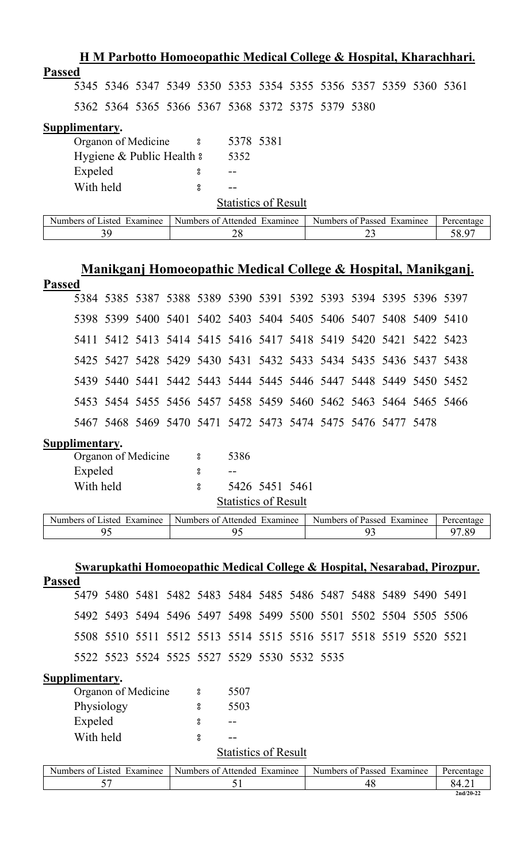| H M Parbotto Homoeopathic Medical College & Hospital, Kharachhari.                                     |  |  |  |  |  |  |  |  |  |
|--------------------------------------------------------------------------------------------------------|--|--|--|--|--|--|--|--|--|
| <b>Passed</b>                                                                                          |  |  |  |  |  |  |  |  |  |
| 5345 5346 5347 5349 5350 5353 5354 5355 5356 5357 5359 5360 5361                                       |  |  |  |  |  |  |  |  |  |
| 5362 5364 5365 5366 5367 5368 5372 5375 5379 5380                                                      |  |  |  |  |  |  |  |  |  |
| Supplimentary.                                                                                         |  |  |  |  |  |  |  |  |  |
| 5378 5381<br>Organon of Medicine 8                                                                     |  |  |  |  |  |  |  |  |  |
| Hygiene & Public Health &<br>5352                                                                      |  |  |  |  |  |  |  |  |  |
| Expeled<br>8<br>--                                                                                     |  |  |  |  |  |  |  |  |  |
| With held<br>8                                                                                         |  |  |  |  |  |  |  |  |  |
| <b>Statistics of Result</b>                                                                            |  |  |  |  |  |  |  |  |  |
| Numbers of Listed Examinee<br>Numbers of Attended Examinee<br>Numbers of Passed Examinee<br>Percentage |  |  |  |  |  |  |  |  |  |
| 39<br>23<br>28<br>58.97                                                                                |  |  |  |  |  |  |  |  |  |

# **Manikganj Homoeopathic Medical College & Hospital, Manikganj.**

| <b>Passed</b>              |                                                                  |  |          |                              |                |                            |  |            |
|----------------------------|------------------------------------------------------------------|--|----------|------------------------------|----------------|----------------------------|--|------------|
|                            | 5384 5385 5387 5388 5389 5390 5391 5392 5393 5394 5395 5396 5397 |  |          |                              |                |                            |  |            |
|                            | 5398 5399 5400 5401 5402 5403 5404 5405 5406 5407 5408 5409 5410 |  |          |                              |                |                            |  |            |
|                            | 5411 5412 5413 5414 5415 5416 5417 5418 5419 5420 5421 5422 5423 |  |          |                              |                |                            |  |            |
|                            | 5425 5427 5428 5429 5430 5431 5432 5433 5434 5435 5436 5437 5438 |  |          |                              |                |                            |  |            |
|                            | 5439 5440 5441 5442 5443 5444 5445 5446 5447 5448 5449 5450 5452 |  |          |                              |                |                            |  |            |
|                            | 5453 5454 5455 5456 5457 5458 5459 5460 5462 5463 5464 5465 5466 |  |          |                              |                |                            |  |            |
|                            | 5467 5468 5469 5470 5471 5472 5473 5474 5475 5476 5477 5478      |  |          |                              |                |                            |  |            |
| Supplimentary.             |                                                                  |  |          |                              |                |                            |  |            |
|                            | Organon of Medicine 3                                            |  |          | 5386                         |                |                            |  |            |
| Expeled                    |                                                                  |  | ႙        |                              |                |                            |  |            |
| With held                  |                                                                  |  | $\rm ^o$ |                              | 5426 5451 5461 |                            |  |            |
|                            |                                                                  |  |          | <b>Statistics of Result</b>  |                |                            |  |            |
| Numbers of Listed Examinee |                                                                  |  |          | Numbers of Attended Examinee |                | Numbers of Passed Examinee |  | Percentage |

| txamınee: | Attended       | txaminee | Percentage                  |
|-----------|----------------|----------|-----------------------------|
| usted.    | <b>Numbers</b> | Passed   |                             |
| Numbers   | Examinee       | 0Ť       |                             |
| ΩŤ        | ി 1            | Numbers  |                             |
|           |                |          | $\Omega$<br>$\cdot$ $\circ$ |

|                             |                                                                  |  |  |                          |                              |  |  |  |    |                            | Swarupkathi Homoeopathic Medical College & Hospital, Nesarabad, Pirozpur. |
|-----------------------------|------------------------------------------------------------------|--|--|--------------------------|------------------------------|--|--|--|----|----------------------------|---------------------------------------------------------------------------|
| <b>Passed</b>               |                                                                  |  |  |                          |                              |  |  |  |    |                            |                                                                           |
|                             | 5479 5480 5481 5482 5483 5484 5485 5486 5487 5488 5489 5490 5491 |  |  |                          |                              |  |  |  |    |                            |                                                                           |
|                             | 5492 5493 5494 5496 5497 5498 5499 5500 5501 5502 5504 5505 5506 |  |  |                          |                              |  |  |  |    |                            |                                                                           |
|                             | 5508 5510 5511 5512 5513 5514 5515 5516 5517 5518 5519 5520 5521 |  |  |                          |                              |  |  |  |    |                            |                                                                           |
|                             | 5522 5523 5524 5525 5527 5529 5530 5532 5535                     |  |  |                          |                              |  |  |  |    |                            |                                                                           |
| Supplimentary.              |                                                                  |  |  |                          |                              |  |  |  |    |                            |                                                                           |
|                             | Organon of Medicine                                              |  |  | $\overline{\phantom{0}}$ | 5507                         |  |  |  |    |                            |                                                                           |
|                             | Physiology                                                       |  |  | 8                        | 5503                         |  |  |  |    |                            |                                                                           |
| Expeled                     |                                                                  |  |  | 8                        |                              |  |  |  |    |                            |                                                                           |
|                             | With held                                                        |  |  | 8                        | --                           |  |  |  |    |                            |                                                                           |
| <b>Statistics of Result</b> |                                                                  |  |  |                          |                              |  |  |  |    |                            |                                                                           |
| Numbers of Listed Examinee  |                                                                  |  |  |                          | Numbers of Attended Examinee |  |  |  |    | Numbers of Passed Examinee | Percentage                                                                |
|                             | 57                                                               |  |  |                          | 51                           |  |  |  | 48 |                            | 84.21                                                                     |
|                             |                                                                  |  |  |                          |                              |  |  |  |    |                            | $2nd/20-22$                                                               |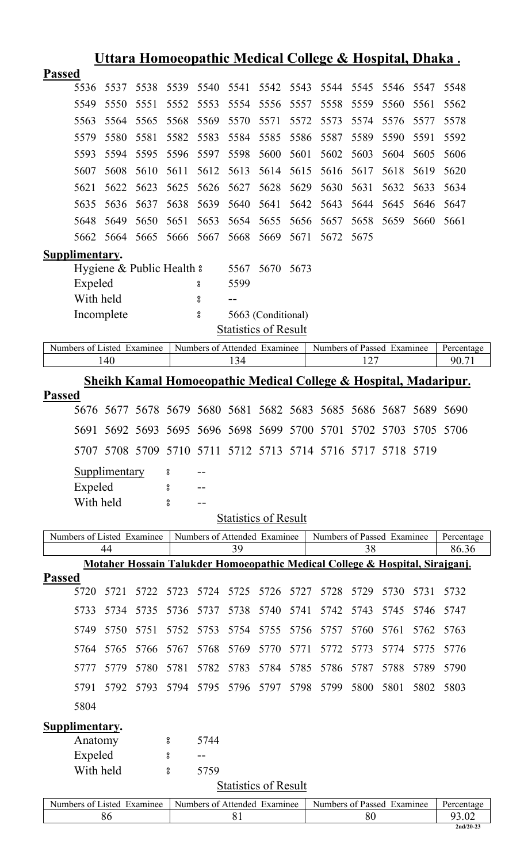|                |                                                                  |                      |                            |                    |                              |      |                             |      | <u> Uttara Homoeopathic Medical College &amp; Hospital, Dhaka.</u>           |      |      |      |            |
|----------------|------------------------------------------------------------------|----------------------|----------------------------|--------------------|------------------------------|------|-----------------------------|------|------------------------------------------------------------------------------|------|------|------|------------|
| <b>Passed</b>  |                                                                  |                      |                            |                    |                              |      |                             |      |                                                                              |      |      |      |            |
|                | 5536                                                             | 5537                 | 5538                       | 5539               | 5540                         | 5541 | 5542                        | 5543 | 5544                                                                         | 5545 | 5546 | 5547 | 5548       |
|                | 5549                                                             | 5550                 | 5551                       | 5552               | 5553                         | 5554 | 5556                        | 5557 | 5558                                                                         | 5559 | 5560 | 5561 | 5562       |
|                | 5563                                                             | 5564                 | 5565                       | 5568               | 5569                         | 5570 | 5571                        | 5572 | 5573                                                                         | 5574 | 5576 | 5577 | 5578       |
|                | 5579                                                             | 5580                 | 5581                       | 5582               | 5583                         | 5584 | 5585                        | 5586 | 5587                                                                         | 5589 | 5590 | 5591 | 5592       |
|                | 5593                                                             | 5594                 | 5595                       | 5596               | 5597                         | 5598 | 5600                        | 5601 | 5602                                                                         | 5603 | 5604 | 5605 | 5606       |
|                | 5607                                                             | 5608                 | 5610                       | 5611               | 5612                         | 5613 | 5614                        | 5615 | 5616                                                                         | 5617 | 5618 | 5619 | 5620       |
|                | 5621                                                             | 5622                 | 5623                       | 5625               | 5626                         | 5627 | 5628                        | 5629 | 5630                                                                         | 5631 | 5632 | 5633 | 5634       |
|                | 5635                                                             | 5636                 | 5637                       | 5638               | 5639                         | 5640 | 5641                        | 5642 | 5643                                                                         | 5644 | 5645 | 5646 | 5647       |
|                | 5648                                                             | 5649                 | 5650                       | 5651               | 5653                         | 5654 | 5655                        | 5656 | 5657                                                                         | 5658 | 5659 | 5660 | 5661       |
|                | 5662                                                             | 5664                 | 5665                       | 5666               | 5667                         | 5668 | 5669                        | 5671 | 5672                                                                         | 5675 |      |      |            |
| Supplimentary. |                                                                  |                      |                            |                    |                              |      |                             |      |                                                                              |      |      |      |            |
|                |                                                                  |                      | Hygiene & Public Health &  |                    |                              | 5567 | 5670                        | 5673 |                                                                              |      |      |      |            |
|                | Expeled                                                          |                      |                            |                    | 8                            | 5599 |                             |      |                                                                              |      |      |      |            |
|                | With held                                                        |                      |                            |                    | 8                            | --   |                             |      |                                                                              |      |      |      |            |
|                | Incomplete                                                       |                      |                            |                    | 8                            |      | 5663 (Conditional)          |      |                                                                              |      |      |      |            |
|                |                                                                  |                      |                            |                    |                              |      | <b>Statistics of Result</b> |      |                                                                              |      |      |      |            |
|                |                                                                  |                      | Numbers of Listed Examinee |                    | Numbers of Attended Examinee |      |                             |      | Numbers of Passed Examinee                                                   |      |      |      | Percentage |
|                |                                                                  | 140                  |                            |                    |                              | 134  |                             |      |                                                                              | 127  |      |      | 90.71      |
|                | Sheikh Kamal Homoeopathic Medical College & Hospital, Madaripur. |                      |                            |                    |                              |      |                             |      |                                                                              |      |      |      |            |
| Passed         |                                                                  | 5676 5677            | 5678                       |                    |                              |      |                             |      | 5679 5680 5681 5682 5683 5685 5686 5687                                      |      |      |      | 5689 5690  |
|                |                                                                  |                      |                            |                    |                              |      |                             |      |                                                                              |      |      |      |            |
|                |                                                                  |                      |                            |                    |                              |      |                             |      | 5691 5692 5693 5695 5696 5698 5699 5700 5701 5702 5703 5705 5706             |      |      |      |            |
|                |                                                                  |                      |                            |                    |                              |      |                             |      | 5707 5708 5709 5710 5711 5712 5713 5714 5716 5717 5718 5719                  |      |      |      |            |
|                |                                                                  | <b>Supplimentary</b> |                            | 8                  |                              |      |                             |      |                                                                              |      |      |      |            |
|                | Expeled                                                          |                      |                            | 8                  |                              |      |                             |      |                                                                              |      |      |      |            |
|                | With held                                                        |                      |                            | o<br>0             |                              |      |                             |      |                                                                              |      |      |      |            |
|                |                                                                  |                      |                            |                    |                              |      | <b>Statistics of Result</b> |      |                                                                              |      |      |      |            |
|                |                                                                  |                      | Numbers of Listed Examinee |                    | Numbers of Attended Examinee |      |                             |      | Numbers of Passed Examinee                                                   |      |      |      | Percentage |
|                |                                                                  | 44                   |                            |                    |                              | 39   |                             |      |                                                                              | 38   |      |      | 86.36      |
|                |                                                                  |                      |                            |                    |                              |      |                             |      | Motaher Hossain Talukder Homoeopathic Medical College & Hospital, Sirajganj. |      |      |      |            |
| <b>Passed</b>  | 5720                                                             | 5721                 | 5722                       | 5723               | 5724                         | 5725 | 5726                        | 5727 | 5728                                                                         | 5729 | 5730 | 5731 | 5732       |
|                | 5733                                                             | 5734                 | 5735                       | 5736               | 5737                         | 5738 | 5740                        | 5741 | 5742                                                                         | 5743 | 5745 | 5746 | 5747       |
|                |                                                                  |                      |                            |                    |                              |      |                             |      |                                                                              |      |      |      |            |
|                | 5749                                                             | 5750                 | 5751                       | 5752               | 5753                         | 5754 | 5755                        | 5756 | 5757                                                                         | 5760 | 5761 | 5762 | 5763       |
|                | 5764                                                             | 5765                 | 5766                       | 5767               | 5768                         | 5769 | 5770                        | 5771 | 5772                                                                         | 5773 | 5774 | 5775 | 5776       |
|                | 5777                                                             | 5779                 | 5780                       | 5781               | 5782                         | 5783 | 5784                        | 5785 | 5786                                                                         | 5787 | 5788 | 5789 | 5790       |
|                | 5791                                                             | 5792                 | 5793                       | 5794               | 5795                         | 5796 | 5797                        | 5798 | 5799                                                                         | 5800 | 5801 | 5802 | 5803       |
|                | 5804                                                             |                      |                            |                    |                              |      |                             |      |                                                                              |      |      |      |            |
| Supplimentary. |                                                                  |                      |                            |                    |                              |      |                             |      |                                                                              |      |      |      |            |
|                | Anatomy                                                          |                      |                            | 8                  | 5744                         |      |                             |      |                                                                              |      |      |      |            |
|                | Expeled                                                          |                      |                            | 8                  |                              |      |                             |      |                                                                              |      |      |      |            |
|                | With held                                                        |                      |                            | $_{\rm o}^{\rm o}$ | 5759                         |      |                             |      |                                                                              |      |      |      |            |
|                |                                                                  |                      |                            |                    |                              |      | <b>Statistics of Result</b> |      |                                                                              |      |      |      |            |
|                |                                                                  |                      | Numbers of Listed Examinee |                    | Numbers of Attended Examinee |      |                             |      | Numbers of Passed Examinee                                                   |      |      |      | Percentage |
|                |                                                                  | 86                   |                            |                    |                              | 81   |                             |      |                                                                              | 80   |      |      | 93.02      |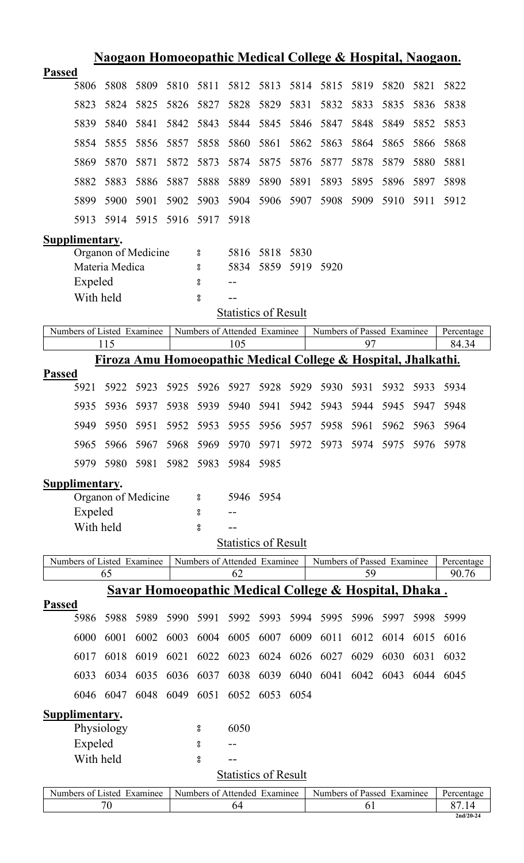|                            | <u>Naogaon Homoeopathic Medical College &amp; Hospital, Naogaon.</u>                                   |      |      |                    |                              |           |      |                                                       |      |           |      |             |
|----------------------------|--------------------------------------------------------------------------------------------------------|------|------|--------------------|------------------------------|-----------|------|-------------------------------------------------------|------|-----------|------|-------------|
| <b>Passed</b>              |                                                                                                        |      |      |                    |                              |           |      |                                                       |      |           |      |             |
| 5806                       | 5808                                                                                                   | 5809 | 5810 | 5811               | 5812                         | 5813      | 5814 | 5815                                                  | 5819 | 5820      | 5821 | 5822        |
| 5823                       | 5824                                                                                                   | 5825 | 5826 | 5827               | 5828                         | 5829      | 5831 | 5832                                                  | 5833 | 5835      | 5836 | 5838        |
| 5839                       | 5840                                                                                                   | 5841 | 5842 | 5843               | 5844                         | 5845      | 5846 | 5847                                                  | 5848 | 5849      | 5852 | 5853        |
| 5854                       | 5855                                                                                                   | 5856 | 5857 | 5858               | 5860                         | 5861      | 5862 | 5863                                                  | 5864 | 5865      | 5866 | 5868        |
| 5869                       | 5870                                                                                                   | 5871 | 5872 | 5873               | 5874                         | 5875      | 5876 | 5877                                                  | 5878 | 5879      | 5880 | 5881        |
| 5882                       | 5883                                                                                                   | 5886 | 5887 | 5888               | 5889                         | 5890      | 5891 | 5893                                                  | 5895 | 5896      | 5897 | 5898        |
| 5899                       | 5900                                                                                                   | 5901 | 5902 | 5903               | 5904                         | 5906      | 5907 | 5908                                                  | 5909 | 5910      | 5911 | 5912        |
| 5913                       | 5914                                                                                                   | 5915 | 5916 | 5917               | 5918                         |           |      |                                                       |      |           |      |             |
| Supplimentary.             |                                                                                                        |      |      |                    |                              |           |      |                                                       |      |           |      |             |
|                            | Organon of Medicine                                                                                    |      |      | °                  | 5816                         | 5818      | 5830 |                                                       |      |           |      |             |
|                            | Materia Medica                                                                                         |      |      | 8                  | 5834                         | 5859      | 5919 | 5920                                                  |      |           |      |             |
| Expeled                    |                                                                                                        |      |      | 8                  |                              |           |      |                                                       |      |           |      |             |
|                            | With held                                                                                              |      |      | 8                  |                              |           |      |                                                       |      |           |      |             |
|                            |                                                                                                        |      |      |                    | <b>Statistics of Result</b>  |           |      |                                                       |      |           |      |             |
| Numbers of Listed Examinee |                                                                                                        |      |      |                    | Numbers of Attended Examinee |           |      | Numbers of Passed Examinee                            |      |           |      | Percentage  |
|                            | 115                                                                                                    |      |      |                    | 105                          |           |      |                                                       | 97   |           |      | 84.34       |
|                            | Firoza Amu Homoeopathic Medical College & Hospital, Jhalkathi.                                         |      |      |                    |                              |           |      |                                                       |      |           |      |             |
| <b>Passed</b>              |                                                                                                        |      |      |                    |                              |           |      |                                                       |      |           |      |             |
| 5921                       | 5922                                                                                                   | 5923 | 5925 | 5926               | 5927                         | 5928      | 5929 | 5930                                                  | 5931 | 5932      | 5933 | 5934        |
| 5935                       | 5936                                                                                                   | 5937 | 5938 | 5939               | 5940                         | 5941      | 5942 | 5943                                                  | 5944 | 5945      | 5947 | 5948        |
| 5949                       | 5950                                                                                                   | 5951 | 5952 | 5953               | 5955                         | 5956      | 5957 | 5958                                                  | 5961 | 5962      | 5963 | 5964        |
| 5965                       | 5966                                                                                                   | 5967 | 5968 | 5969               | 5970                         | 5971      | 5972 | 5973                                                  |      | 5974 5975 | 5976 | 5978        |
| 5979                       | 5980                                                                                                   | 5981 | 5982 | 5983               | 5984                         | 5985      |      |                                                       |      |           |      |             |
| Supplimentary.             |                                                                                                        |      |      |                    |                              |           |      |                                                       |      |           |      |             |
|                            | Organon of Medicine                                                                                    |      |      | 8                  |                              | 5946 5954 |      |                                                       |      |           |      |             |
| Expeled                    |                                                                                                        |      |      | °                  |                              |           |      |                                                       |      |           |      |             |
|                            | With held                                                                                              |      |      | °                  |                              |           |      |                                                       |      |           |      |             |
|                            |                                                                                                        |      |      |                    | Statistics of Result         |           |      |                                                       |      |           |      |             |
|                            | Numbers of Listed Examinee<br>Numbers of Attended Examinee<br>Numbers of Passed Examinee<br>Percentage |      |      |                    |                              |           |      |                                                       |      |           |      |             |
|                            | 65                                                                                                     |      |      |                    | 62                           |           |      |                                                       | 59   |           |      | 90.76       |
|                            |                                                                                                        |      |      |                    |                              |           |      | Savar Homoeopathic Medical College & Hospital, Dhaka. |      |           |      |             |
| <b>Passed</b>              |                                                                                                        |      |      |                    |                              |           |      |                                                       |      |           |      |             |
| 5986                       | 5988                                                                                                   | 5989 | 5990 | 5991               | 5992                         | 5993      | 5994 | 5995                                                  | 5996 | 5997      | 5998 | 5999        |
| 6000                       | 6001                                                                                                   | 6002 | 6003 | 6004               | 6005                         | 6007      | 6009 | 6011                                                  | 6012 | 6014      | 6015 | 6016        |
| 6017                       | 6018                                                                                                   | 6019 | 6021 | 6022               | 6023                         | 6024      | 6026 | 6027                                                  | 6029 | 6030      | 6031 | 6032        |
| 6033                       | 6034                                                                                                   | 6035 | 6036 | 6037               | 6038                         | 6039      | 6040 | 6041                                                  | 6042 | 6043      | 6044 | 6045        |
| 6046                       | 6047                                                                                                   | 6048 | 6049 | 6051               | 6052                         | 6053      | 6054 |                                                       |      |           |      |             |
| Supplimentary.             |                                                                                                        |      |      |                    |                              |           |      |                                                       |      |           |      |             |
|                            | Physiology                                                                                             |      |      | 8                  | 6050                         |           |      |                                                       |      |           |      |             |
| Expeled                    |                                                                                                        |      |      | °                  |                              |           |      |                                                       |      |           |      |             |
|                            | With held                                                                                              |      |      | $_{\rm o}^{\rm o}$ |                              |           |      |                                                       |      |           |      |             |
|                            |                                                                                                        |      |      |                    | <b>Statistics of Result</b>  |           |      |                                                       |      |           |      |             |
| Numbers of Listed Examinee |                                                                                                        |      |      |                    | Numbers of Attended Examinee |           |      | Numbers of Passed Examinee                            |      |           |      | Percentage  |
|                            | 70                                                                                                     |      |      |                    | 64                           |           |      |                                                       | 61   |           |      | 87.14       |
|                            |                                                                                                        |      |      |                    |                              |           |      |                                                       |      |           |      | $2nd/20-24$ |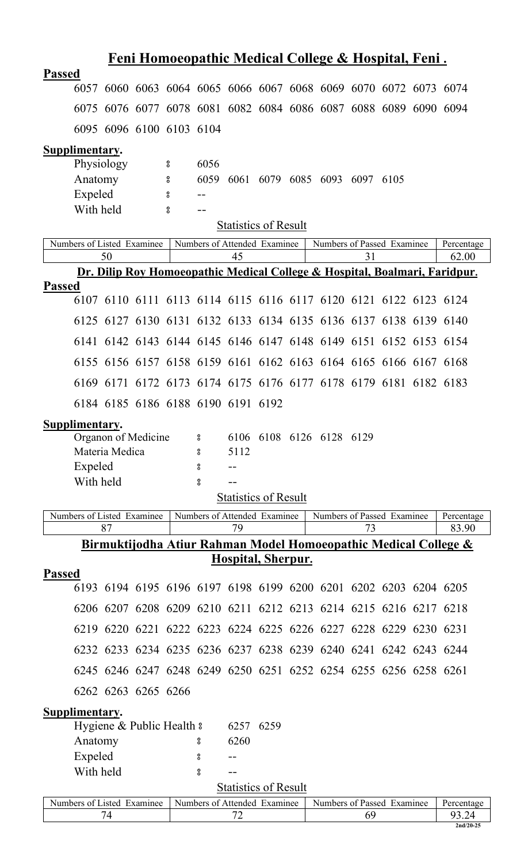| <b>Passed</b><br>6057 6060 6063 6064 6065 6066 6067 6068 6069 6070 6072 6073 6074<br>6075 6076 6077 6078 6081 6082 6084 6086 6087 6088 6089 6090 6094<br>6095 6096 6100 6103 6104<br>Supplimentary.<br>Physiology<br>6056<br>$\rm ^o$<br>$\rm ^o$<br>6059<br>Anatomy<br>6061 6079 6085 6093 6097 6105<br>Expeled<br>$\rm ^o$<br>With held<br>8<br>$ -$<br><b>Statistics of Result</b><br>Numbers of Listed Examinee<br>Numbers of Attended Examinee<br>Numbers of Passed Examinee<br>Percentage<br>62.00<br>50<br>45<br>31<br>Dr. Dilip Roy Homoeopathic Medical College & Hospital, Boalmari, Faridpur.<br><b>Passed</b><br>6107 6110 6111 6113 6114 6115 6116 6117 6120 6121 6122 6123 6124<br>6125 6127 6130 6131 6132 6133 6134 6135 6136 6137 6138 6139 6140<br>6141 6142 6143 6144 6145 6146 6147 6148 6149 6151 6152 6153 6154<br>6155 6156 6157 6158 6159 6161 6162 6163 6164 6165 6166 6167 6168<br>6169 6171 6172 6173 6174 6175 6176 6177 6178 6179 6181 6182 6183<br>6184 6185 6186 6188 6190 6191 6192<br>Supplimentary.<br>Organon of Medicine 8 6106 6108 6126 6128 6129<br>Materia Medica<br>5112<br>8<br>Expeled<br>8<br>With held<br>$_{\rm o}^{\rm o}$<br><b>Statistics of Result</b><br>Numbers of Listed Examinee<br>Numbers of Attended Examinee<br>Numbers of Passed Examinee<br>Percentage<br>87<br>83.90<br>79<br>73<br>Birmuktijodha Atiur Rahman Model Homoeopathic Medical College &<br>Hospital, Sherpur.<br><b>Passed</b><br>6193 6194 6195 6196 6197 6198 6199 6200 6201 6202 6203 6204 6205<br>6206 6207 6208 6209 6210 6211 6212 6213 6214 6215 6216 6217 6218<br>6219 6220 6221 6222 6223 6224 6225 6226 6227 6228 6229 6230 6231<br>6232 6233 6234 6235 6236 6237 6238 6239 6240 6241 6242 6243 6244<br>6245 6246 6247 6248 6249 6250 6251 6252 6254 6255 6256 6258 6261<br>6262 6263 6265 6266<br>Supplimentary.<br>Hygiene & Public Health &<br>6257 6259<br>Anatomy<br>6260<br>8<br>Expeled<br>8<br>With held<br>8<br><b>Statistics of Result</b><br>Numbers of Listed Examinee<br>Numbers of Attended Examinee<br>Numbers of Passed Examinee<br>Percentage<br>72<br>74<br>69<br>93.24<br>$2nd/20-25$ |  |  |  |  |  |  |  |  | <u>Feni Homoeopathic Medical College &amp; Hospital, Feni.</u> |  |  |  |
|---------------------------------------------------------------------------------------------------------------------------------------------------------------------------------------------------------------------------------------------------------------------------------------------------------------------------------------------------------------------------------------------------------------------------------------------------------------------------------------------------------------------------------------------------------------------------------------------------------------------------------------------------------------------------------------------------------------------------------------------------------------------------------------------------------------------------------------------------------------------------------------------------------------------------------------------------------------------------------------------------------------------------------------------------------------------------------------------------------------------------------------------------------------------------------------------------------------------------------------------------------------------------------------------------------------------------------------------------------------------------------------------------------------------------------------------------------------------------------------------------------------------------------------------------------------------------------------------------------------------------------------------------------------------------------------------------------------------------------------------------------------------------------------------------------------------------------------------------------------------------------------------------------------------------------------------------------------------------------------------------------------------------------------------------------------------------------------------------------------------------------------------|--|--|--|--|--|--|--|--|----------------------------------------------------------------|--|--|--|
|                                                                                                                                                                                                                                                                                                                                                                                                                                                                                                                                                                                                                                                                                                                                                                                                                                                                                                                                                                                                                                                                                                                                                                                                                                                                                                                                                                                                                                                                                                                                                                                                                                                                                                                                                                                                                                                                                                                                                                                                                                                                                                                                             |  |  |  |  |  |  |  |  |                                                                |  |  |  |
|                                                                                                                                                                                                                                                                                                                                                                                                                                                                                                                                                                                                                                                                                                                                                                                                                                                                                                                                                                                                                                                                                                                                                                                                                                                                                                                                                                                                                                                                                                                                                                                                                                                                                                                                                                                                                                                                                                                                                                                                                                                                                                                                             |  |  |  |  |  |  |  |  |                                                                |  |  |  |
|                                                                                                                                                                                                                                                                                                                                                                                                                                                                                                                                                                                                                                                                                                                                                                                                                                                                                                                                                                                                                                                                                                                                                                                                                                                                                                                                                                                                                                                                                                                                                                                                                                                                                                                                                                                                                                                                                                                                                                                                                                                                                                                                             |  |  |  |  |  |  |  |  |                                                                |  |  |  |
|                                                                                                                                                                                                                                                                                                                                                                                                                                                                                                                                                                                                                                                                                                                                                                                                                                                                                                                                                                                                                                                                                                                                                                                                                                                                                                                                                                                                                                                                                                                                                                                                                                                                                                                                                                                                                                                                                                                                                                                                                                                                                                                                             |  |  |  |  |  |  |  |  |                                                                |  |  |  |
|                                                                                                                                                                                                                                                                                                                                                                                                                                                                                                                                                                                                                                                                                                                                                                                                                                                                                                                                                                                                                                                                                                                                                                                                                                                                                                                                                                                                                                                                                                                                                                                                                                                                                                                                                                                                                                                                                                                                                                                                                                                                                                                                             |  |  |  |  |  |  |  |  |                                                                |  |  |  |
|                                                                                                                                                                                                                                                                                                                                                                                                                                                                                                                                                                                                                                                                                                                                                                                                                                                                                                                                                                                                                                                                                                                                                                                                                                                                                                                                                                                                                                                                                                                                                                                                                                                                                                                                                                                                                                                                                                                                                                                                                                                                                                                                             |  |  |  |  |  |  |  |  |                                                                |  |  |  |
|                                                                                                                                                                                                                                                                                                                                                                                                                                                                                                                                                                                                                                                                                                                                                                                                                                                                                                                                                                                                                                                                                                                                                                                                                                                                                                                                                                                                                                                                                                                                                                                                                                                                                                                                                                                                                                                                                                                                                                                                                                                                                                                                             |  |  |  |  |  |  |  |  |                                                                |  |  |  |
|                                                                                                                                                                                                                                                                                                                                                                                                                                                                                                                                                                                                                                                                                                                                                                                                                                                                                                                                                                                                                                                                                                                                                                                                                                                                                                                                                                                                                                                                                                                                                                                                                                                                                                                                                                                                                                                                                                                                                                                                                                                                                                                                             |  |  |  |  |  |  |  |  |                                                                |  |  |  |
|                                                                                                                                                                                                                                                                                                                                                                                                                                                                                                                                                                                                                                                                                                                                                                                                                                                                                                                                                                                                                                                                                                                                                                                                                                                                                                                                                                                                                                                                                                                                                                                                                                                                                                                                                                                                                                                                                                                                                                                                                                                                                                                                             |  |  |  |  |  |  |  |  |                                                                |  |  |  |
|                                                                                                                                                                                                                                                                                                                                                                                                                                                                                                                                                                                                                                                                                                                                                                                                                                                                                                                                                                                                                                                                                                                                                                                                                                                                                                                                                                                                                                                                                                                                                                                                                                                                                                                                                                                                                                                                                                                                                                                                                                                                                                                                             |  |  |  |  |  |  |  |  |                                                                |  |  |  |
|                                                                                                                                                                                                                                                                                                                                                                                                                                                                                                                                                                                                                                                                                                                                                                                                                                                                                                                                                                                                                                                                                                                                                                                                                                                                                                                                                                                                                                                                                                                                                                                                                                                                                                                                                                                                                                                                                                                                                                                                                                                                                                                                             |  |  |  |  |  |  |  |  |                                                                |  |  |  |
|                                                                                                                                                                                                                                                                                                                                                                                                                                                                                                                                                                                                                                                                                                                                                                                                                                                                                                                                                                                                                                                                                                                                                                                                                                                                                                                                                                                                                                                                                                                                                                                                                                                                                                                                                                                                                                                                                                                                                                                                                                                                                                                                             |  |  |  |  |  |  |  |  |                                                                |  |  |  |
|                                                                                                                                                                                                                                                                                                                                                                                                                                                                                                                                                                                                                                                                                                                                                                                                                                                                                                                                                                                                                                                                                                                                                                                                                                                                                                                                                                                                                                                                                                                                                                                                                                                                                                                                                                                                                                                                                                                                                                                                                                                                                                                                             |  |  |  |  |  |  |  |  |                                                                |  |  |  |
|                                                                                                                                                                                                                                                                                                                                                                                                                                                                                                                                                                                                                                                                                                                                                                                                                                                                                                                                                                                                                                                                                                                                                                                                                                                                                                                                                                                                                                                                                                                                                                                                                                                                                                                                                                                                                                                                                                                                                                                                                                                                                                                                             |  |  |  |  |  |  |  |  |                                                                |  |  |  |
|                                                                                                                                                                                                                                                                                                                                                                                                                                                                                                                                                                                                                                                                                                                                                                                                                                                                                                                                                                                                                                                                                                                                                                                                                                                                                                                                                                                                                                                                                                                                                                                                                                                                                                                                                                                                                                                                                                                                                                                                                                                                                                                                             |  |  |  |  |  |  |  |  |                                                                |  |  |  |
|                                                                                                                                                                                                                                                                                                                                                                                                                                                                                                                                                                                                                                                                                                                                                                                                                                                                                                                                                                                                                                                                                                                                                                                                                                                                                                                                                                                                                                                                                                                                                                                                                                                                                                                                                                                                                                                                                                                                                                                                                                                                                                                                             |  |  |  |  |  |  |  |  |                                                                |  |  |  |
|                                                                                                                                                                                                                                                                                                                                                                                                                                                                                                                                                                                                                                                                                                                                                                                                                                                                                                                                                                                                                                                                                                                                                                                                                                                                                                                                                                                                                                                                                                                                                                                                                                                                                                                                                                                                                                                                                                                                                                                                                                                                                                                                             |  |  |  |  |  |  |  |  |                                                                |  |  |  |
|                                                                                                                                                                                                                                                                                                                                                                                                                                                                                                                                                                                                                                                                                                                                                                                                                                                                                                                                                                                                                                                                                                                                                                                                                                                                                                                                                                                                                                                                                                                                                                                                                                                                                                                                                                                                                                                                                                                                                                                                                                                                                                                                             |  |  |  |  |  |  |  |  |                                                                |  |  |  |
|                                                                                                                                                                                                                                                                                                                                                                                                                                                                                                                                                                                                                                                                                                                                                                                                                                                                                                                                                                                                                                                                                                                                                                                                                                                                                                                                                                                                                                                                                                                                                                                                                                                                                                                                                                                                                                                                                                                                                                                                                                                                                                                                             |  |  |  |  |  |  |  |  |                                                                |  |  |  |
|                                                                                                                                                                                                                                                                                                                                                                                                                                                                                                                                                                                                                                                                                                                                                                                                                                                                                                                                                                                                                                                                                                                                                                                                                                                                                                                                                                                                                                                                                                                                                                                                                                                                                                                                                                                                                                                                                                                                                                                                                                                                                                                                             |  |  |  |  |  |  |  |  |                                                                |  |  |  |
|                                                                                                                                                                                                                                                                                                                                                                                                                                                                                                                                                                                                                                                                                                                                                                                                                                                                                                                                                                                                                                                                                                                                                                                                                                                                                                                                                                                                                                                                                                                                                                                                                                                                                                                                                                                                                                                                                                                                                                                                                                                                                                                                             |  |  |  |  |  |  |  |  |                                                                |  |  |  |
|                                                                                                                                                                                                                                                                                                                                                                                                                                                                                                                                                                                                                                                                                                                                                                                                                                                                                                                                                                                                                                                                                                                                                                                                                                                                                                                                                                                                                                                                                                                                                                                                                                                                                                                                                                                                                                                                                                                                                                                                                                                                                                                                             |  |  |  |  |  |  |  |  |                                                                |  |  |  |
|                                                                                                                                                                                                                                                                                                                                                                                                                                                                                                                                                                                                                                                                                                                                                                                                                                                                                                                                                                                                                                                                                                                                                                                                                                                                                                                                                                                                                                                                                                                                                                                                                                                                                                                                                                                                                                                                                                                                                                                                                                                                                                                                             |  |  |  |  |  |  |  |  |                                                                |  |  |  |
|                                                                                                                                                                                                                                                                                                                                                                                                                                                                                                                                                                                                                                                                                                                                                                                                                                                                                                                                                                                                                                                                                                                                                                                                                                                                                                                                                                                                                                                                                                                                                                                                                                                                                                                                                                                                                                                                                                                                                                                                                                                                                                                                             |  |  |  |  |  |  |  |  |                                                                |  |  |  |
|                                                                                                                                                                                                                                                                                                                                                                                                                                                                                                                                                                                                                                                                                                                                                                                                                                                                                                                                                                                                                                                                                                                                                                                                                                                                                                                                                                                                                                                                                                                                                                                                                                                                                                                                                                                                                                                                                                                                                                                                                                                                                                                                             |  |  |  |  |  |  |  |  |                                                                |  |  |  |
|                                                                                                                                                                                                                                                                                                                                                                                                                                                                                                                                                                                                                                                                                                                                                                                                                                                                                                                                                                                                                                                                                                                                                                                                                                                                                                                                                                                                                                                                                                                                                                                                                                                                                                                                                                                                                                                                                                                                                                                                                                                                                                                                             |  |  |  |  |  |  |  |  |                                                                |  |  |  |
|                                                                                                                                                                                                                                                                                                                                                                                                                                                                                                                                                                                                                                                                                                                                                                                                                                                                                                                                                                                                                                                                                                                                                                                                                                                                                                                                                                                                                                                                                                                                                                                                                                                                                                                                                                                                                                                                                                                                                                                                                                                                                                                                             |  |  |  |  |  |  |  |  |                                                                |  |  |  |
|                                                                                                                                                                                                                                                                                                                                                                                                                                                                                                                                                                                                                                                                                                                                                                                                                                                                                                                                                                                                                                                                                                                                                                                                                                                                                                                                                                                                                                                                                                                                                                                                                                                                                                                                                                                                                                                                                                                                                                                                                                                                                                                                             |  |  |  |  |  |  |  |  |                                                                |  |  |  |
|                                                                                                                                                                                                                                                                                                                                                                                                                                                                                                                                                                                                                                                                                                                                                                                                                                                                                                                                                                                                                                                                                                                                                                                                                                                                                                                                                                                                                                                                                                                                                                                                                                                                                                                                                                                                                                                                                                                                                                                                                                                                                                                                             |  |  |  |  |  |  |  |  |                                                                |  |  |  |
|                                                                                                                                                                                                                                                                                                                                                                                                                                                                                                                                                                                                                                                                                                                                                                                                                                                                                                                                                                                                                                                                                                                                                                                                                                                                                                                                                                                                                                                                                                                                                                                                                                                                                                                                                                                                                                                                                                                                                                                                                                                                                                                                             |  |  |  |  |  |  |  |  |                                                                |  |  |  |
|                                                                                                                                                                                                                                                                                                                                                                                                                                                                                                                                                                                                                                                                                                                                                                                                                                                                                                                                                                                                                                                                                                                                                                                                                                                                                                                                                                                                                                                                                                                                                                                                                                                                                                                                                                                                                                                                                                                                                                                                                                                                                                                                             |  |  |  |  |  |  |  |  |                                                                |  |  |  |
|                                                                                                                                                                                                                                                                                                                                                                                                                                                                                                                                                                                                                                                                                                                                                                                                                                                                                                                                                                                                                                                                                                                                                                                                                                                                                                                                                                                                                                                                                                                                                                                                                                                                                                                                                                                                                                                                                                                                                                                                                                                                                                                                             |  |  |  |  |  |  |  |  |                                                                |  |  |  |
|                                                                                                                                                                                                                                                                                                                                                                                                                                                                                                                                                                                                                                                                                                                                                                                                                                                                                                                                                                                                                                                                                                                                                                                                                                                                                                                                                                                                                                                                                                                                                                                                                                                                                                                                                                                                                                                                                                                                                                                                                                                                                                                                             |  |  |  |  |  |  |  |  |                                                                |  |  |  |
|                                                                                                                                                                                                                                                                                                                                                                                                                                                                                                                                                                                                                                                                                                                                                                                                                                                                                                                                                                                                                                                                                                                                                                                                                                                                                                                                                                                                                                                                                                                                                                                                                                                                                                                                                                                                                                                                                                                                                                                                                                                                                                                                             |  |  |  |  |  |  |  |  |                                                                |  |  |  |
|                                                                                                                                                                                                                                                                                                                                                                                                                                                                                                                                                                                                                                                                                                                                                                                                                                                                                                                                                                                                                                                                                                                                                                                                                                                                                                                                                                                                                                                                                                                                                                                                                                                                                                                                                                                                                                                                                                                                                                                                                                                                                                                                             |  |  |  |  |  |  |  |  |                                                                |  |  |  |
|                                                                                                                                                                                                                                                                                                                                                                                                                                                                                                                                                                                                                                                                                                                                                                                                                                                                                                                                                                                                                                                                                                                                                                                                                                                                                                                                                                                                                                                                                                                                                                                                                                                                                                                                                                                                                                                                                                                                                                                                                                                                                                                                             |  |  |  |  |  |  |  |  |                                                                |  |  |  |
|                                                                                                                                                                                                                                                                                                                                                                                                                                                                                                                                                                                                                                                                                                                                                                                                                                                                                                                                                                                                                                                                                                                                                                                                                                                                                                                                                                                                                                                                                                                                                                                                                                                                                                                                                                                                                                                                                                                                                                                                                                                                                                                                             |  |  |  |  |  |  |  |  |                                                                |  |  |  |
|                                                                                                                                                                                                                                                                                                                                                                                                                                                                                                                                                                                                                                                                                                                                                                                                                                                                                                                                                                                                                                                                                                                                                                                                                                                                                                                                                                                                                                                                                                                                                                                                                                                                                                                                                                                                                                                                                                                                                                                                                                                                                                                                             |  |  |  |  |  |  |  |  |                                                                |  |  |  |
|                                                                                                                                                                                                                                                                                                                                                                                                                                                                                                                                                                                                                                                                                                                                                                                                                                                                                                                                                                                                                                                                                                                                                                                                                                                                                                                                                                                                                                                                                                                                                                                                                                                                                                                                                                                                                                                                                                                                                                                                                                                                                                                                             |  |  |  |  |  |  |  |  |                                                                |  |  |  |
|                                                                                                                                                                                                                                                                                                                                                                                                                                                                                                                                                                                                                                                                                                                                                                                                                                                                                                                                                                                                                                                                                                                                                                                                                                                                                                                                                                                                                                                                                                                                                                                                                                                                                                                                                                                                                                                                                                                                                                                                                                                                                                                                             |  |  |  |  |  |  |  |  |                                                                |  |  |  |
|                                                                                                                                                                                                                                                                                                                                                                                                                                                                                                                                                                                                                                                                                                                                                                                                                                                                                                                                                                                                                                                                                                                                                                                                                                                                                                                                                                                                                                                                                                                                                                                                                                                                                                                                                                                                                                                                                                                                                                                                                                                                                                                                             |  |  |  |  |  |  |  |  |                                                                |  |  |  |
|                                                                                                                                                                                                                                                                                                                                                                                                                                                                                                                                                                                                                                                                                                                                                                                                                                                                                                                                                                                                                                                                                                                                                                                                                                                                                                                                                                                                                                                                                                                                                                                                                                                                                                                                                                                                                                                                                                                                                                                                                                                                                                                                             |  |  |  |  |  |  |  |  |                                                                |  |  |  |
|                                                                                                                                                                                                                                                                                                                                                                                                                                                                                                                                                                                                                                                                                                                                                                                                                                                                                                                                                                                                                                                                                                                                                                                                                                                                                                                                                                                                                                                                                                                                                                                                                                                                                                                                                                                                                                                                                                                                                                                                                                                                                                                                             |  |  |  |  |  |  |  |  |                                                                |  |  |  |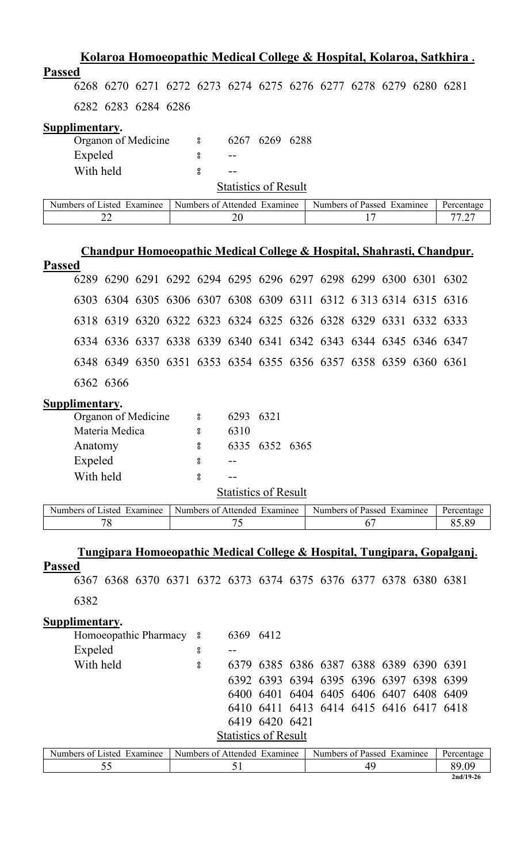| <u>Kolaroa Homoeopathic Medical College &amp; Hospital, Kolaroa, Satkhira.</u>      |                              |                             |                |                                         |    |      |             |
|-------------------------------------------------------------------------------------|------------------------------|-----------------------------|----------------|-----------------------------------------|----|------|-------------|
| <b>Passed</b>                                                                       |                              |                             |                |                                         |    |      |             |
| 6268 6270 6271 6272 6273 6274 6275 6276 6277 6278 6279 6280 6281                    |                              |                             |                |                                         |    |      |             |
| 6282 6283 6284 6286                                                                 |                              |                             |                |                                         |    |      |             |
| Supplimentary.                                                                      |                              |                             |                |                                         |    |      |             |
| Organon of Medicine                                                                 | °                            |                             | 6267 6269 6288 |                                         |    |      |             |
| Expeled                                                                             | 8                            |                             |                |                                         |    |      |             |
| With held                                                                           | $_{\rm o}^{\rm o}$           | <b>Statistics of Result</b> |                |                                         |    |      |             |
| Numbers of Listed Examinee                                                          | Numbers of Attended Examinee |                             |                | Numbers of Passed Examinee              |    |      | Percentage  |
| 22                                                                                  |                              | 20                          |                |                                         | 17 |      | 77.27       |
|                                                                                     |                              |                             |                |                                         |    |      |             |
| Chandpur Homoeopathic Medical College & Hospital, Shahrasti, Chandpur.              |                              |                             |                |                                         |    |      |             |
| <b>Passed</b>                                                                       |                              |                             |                |                                         |    |      |             |
| 6289 6290 6291 6292 6294 6295 6296 6297 6298 6299 6300 6301 6302                    |                              |                             |                |                                         |    |      |             |
| 6303 6304 6305 6306 6307 6308 6309 6311 6312 6313 6314 6315 6316                    |                              |                             |                |                                         |    |      |             |
| 6318 6319 6320 6322 6323 6324 6325 6326 6328 6329 6331 6332 6333                    |                              |                             |                |                                         |    |      |             |
| 6334 6336 6337 6338 6339 6340 6341 6342 6343 6344 6345 6346 6347                    |                              |                             |                |                                         |    |      |             |
| 6348 6349 6350 6351 6353 6354 6355 6356 6357 6358 6359 6360 6361                    |                              |                             |                |                                         |    |      |             |
| 6362 6366                                                                           |                              |                             |                |                                         |    |      |             |
| Supplimentary.                                                                      |                              |                             |                |                                         |    |      |             |
| Organon of Medicine                                                                 | 8 <sup>o</sup>               | 6293 6321                   |                |                                         |    |      |             |
| Materia Medica                                                                      | $\boldsymbol{S}$             | 6310                        |                |                                         |    |      |             |
| Anatomy                                                                             | 8                            |                             | 6335 6352 6365 |                                         |    |      |             |
| Expeled<br>With held                                                                | 8<br>8                       |                             |                |                                         |    |      |             |
|                                                                                     |                              | <b>Statistics of Result</b> |                |                                         |    |      |             |
| Numbers of Listed Examinee                                                          | Numbers of Attended Examinee |                             |                | Numbers of Passed Examinee              |    |      | Percentage  |
| 78                                                                                  |                              | 75                          |                |                                         | 67 |      | 85.89       |
|                                                                                     |                              |                             |                |                                         |    |      |             |
| <u>Tungipara Homoeopathic Medical College &amp; Hospital, Tungipara, Gopalganj.</u> |                              |                             |                |                                         |    |      |             |
| <b>Passed</b><br>6367 6368 6370 6371 6372 6373 6374 6375 6376 6377 6378 6380 6381   |                              |                             |                |                                         |    |      |             |
| 6382                                                                                |                              |                             |                |                                         |    |      |             |
| Supplimentary.                                                                      |                              |                             |                |                                         |    |      |             |
| Homoeopathic Pharmacy 8                                                             |                              | 6369 6412                   |                |                                         |    |      |             |
| Expeled                                                                             | °                            | $-$                         |                |                                         |    |      |             |
| With held                                                                           | °                            |                             |                | 6379 6385 6386 6387 6388 6389 6390 6391 |    |      |             |
|                                                                                     |                              |                             |                | 6392 6393 6394 6395 6396 6397           |    | 6398 | 6399        |
|                                                                                     |                              |                             |                | 6400 6401 6404 6405 6406 6407 6408 6409 |    |      |             |
|                                                                                     |                              |                             |                | 6410 6411 6413 6414 6415 6416 6417 6418 |    |      |             |
|                                                                                     |                              | <b>Statistics of Result</b> | 6419 6420 6421 |                                         |    |      |             |
| Numbers of Listed Examinee                                                          | Numbers of Attended Examinee |                             |                | Numbers of Passed Examinee              |    |      | Percentage  |
| 55                                                                                  |                              | 51                          |                |                                         | 49 |      | 89.09       |
|                                                                                     |                              |                             |                |                                         |    |      | $2nd/19-26$ |